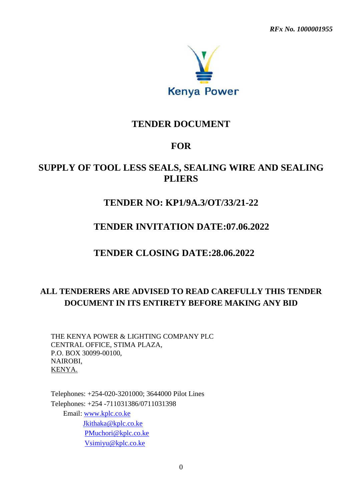*RFx No. 1000001955* 



# **TENDER DOCUMENT**

# **FOR**

# **SUPPLY OF TOOL LESS SEALS, SEALING WIRE AND SEALING PLIERS**

# **TENDER NO: KP1/9A.3/OT/33/21-22**

# **TENDER INVITATION DATE:07.06.2022**

# **TENDER CLOSING DATE:28.06.2022**

# **ALL TENDERERS ARE ADVISED TO READ CAREFULLY THIS TENDER DOCUMENT IN ITS ENTIRETY BEFORE MAKING ANY BID**

THE KENYA POWER & LIGHTING COMPANY PLC CENTRAL OFFICE, STIMA PLAZA, P.O. BOX 30099-00100, NAIROBI, KENYA.

Telephones: +254-020-3201000; 3644000 Pilot Lines Telephones: +254 -711031386/0711031398 Email: [www.kplc.co.ke](http://www.kplc.co.ke/) [Jkithaka@kplc.co.ke](mailto:Jkithaka@kplc.co.ke) [PMuchori@kplc.co.ke](mailto:PMuchori@kplc.co.ke) [Vsimiyu@kplc.co.ke](mailto:Vsimiyu@kplc.co.ke)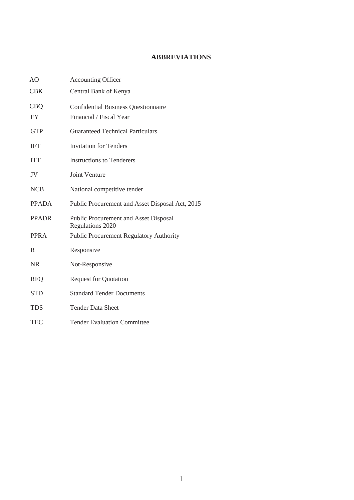# **ABBREVIATIONS**

| AO           | <b>Accounting Officer</b>                                        |
|--------------|------------------------------------------------------------------|
| <b>CBK</b>   | Central Bank of Kenya                                            |
| <b>CBQ</b>   | <b>Confidential Business Questionnaire</b>                       |
| <b>FY</b>    | Financial / Fiscal Year                                          |
| <b>GTP</b>   | <b>Guaranteed Technical Particulars</b>                          |
| <b>IFT</b>   | <b>Invitation for Tenders</b>                                    |
| <b>ITT</b>   | <b>Instructions to Tenderers</b>                                 |
| JV           | <b>Joint Venture</b>                                             |
| <b>NCB</b>   | National competitive tender                                      |
| <b>PPADA</b> | Public Procurement and Asset Disposal Act, 2015                  |
| <b>PPADR</b> | <b>Public Procurement and Asset Disposal</b><br>Regulations 2020 |
| <b>PPRA</b>  | <b>Public Procurement Regulatory Authority</b>                   |
| R            | Responsive                                                       |
| <b>NR</b>    | Not-Responsive                                                   |
| <b>RFQ</b>   | <b>Request for Quotation</b>                                     |
| <b>STD</b>   | <b>Standard Tender Documents</b>                                 |
| <b>TDS</b>   | <b>Tender Data Sheet</b>                                         |
| <b>TEC</b>   | <b>Tender Evaluation Committee</b>                               |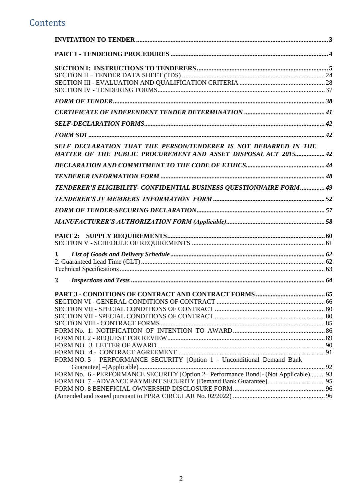# **Contents**

| SELF DECLARATION THAT THE PERSON/TENDERER IS NOT DEBARRED IN THE<br>MATTER OF THE PUBLIC PROCUREMENT AND ASSET DISPOSAL ACT 2015 42 |  |
|-------------------------------------------------------------------------------------------------------------------------------------|--|
|                                                                                                                                     |  |
|                                                                                                                                     |  |
| TENDERER'S ELIGIBILITY- CONFIDENTIAL BUSINESS QUESTIONNAIRE FORM 49                                                                 |  |
|                                                                                                                                     |  |
|                                                                                                                                     |  |
|                                                                                                                                     |  |
|                                                                                                                                     |  |
|                                                                                                                                     |  |
| L.                                                                                                                                  |  |
|                                                                                                                                     |  |
|                                                                                                                                     |  |
| $\mathfrak{Z}$                                                                                                                      |  |
|                                                                                                                                     |  |
|                                                                                                                                     |  |
|                                                                                                                                     |  |
|                                                                                                                                     |  |
|                                                                                                                                     |  |
|                                                                                                                                     |  |
|                                                                                                                                     |  |
|                                                                                                                                     |  |
|                                                                                                                                     |  |
| FORM NO. 5 - PERFORMANCE SECURITY [Option 1 - Unconditional Demand Bank                                                             |  |
| FORM No. 6 - PERFORMANCE SECURITY [Option 2– Performance Bond]- (Not Applicable) 93                                                 |  |
|                                                                                                                                     |  |
|                                                                                                                                     |  |
|                                                                                                                                     |  |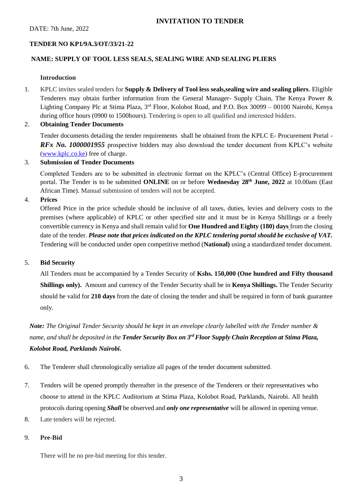# <span id="page-3-0"></span>**TENDER NO KP1/9A.3/OT/33/21-22**

# **NAME: SUPPLY OF TOOL LESS SEALS, SEALING WIRE AND SEALING PLIERS**

# **Introduction**

1. KPLC invites sealed tenders for **Supply & Delivery of Tool less seals,sealing wire and sealing pliers**. Eligible Tenderers may obtain further information from the General Manager- Supply Chain, The Kenya Power & Lighting Company Plc at Stima Plaza, 3rd Floor, Kolobot Road, and P.O. Box 30099 – 00100 Nairobi, Kenya during office hours (0900 to 1500hours). Tendering is open to all qualified and interested bidders.

# 2. **Obtaining Tender Documents**

Tender documents detailing the tender requirements shall be obtained from the KPLC E- Procurement Portal - *RFx No. 1000001955* prospective bidders may also download the tender document from KPLC's website [\(www.kplc.co.ke\)](http://www.kplc.co.ke/) free of charge.

# 3. **Submission of Tender Documents**

Completed Tenders are to be submitted in electronic format on the KPLC's (Central Office) E-procurement portal. The Tender is to be submitted **ONLINE** on or before **Wednesday 28th June, 2022** at 10.00am (East African Time). Manual submission of tenders will not be accepted.

# 4. **Prices**

Offered Price in the price schedule should be inclusive of all taxes, duties, levies and delivery costs to the premises (where applicable) of KPLC or other specified site and it must be in Kenya Shillings or a freely convertible currency in Kenya and shall remain valid for **One Hundred and Eighty (180) days** from the closing date of the tender. *Please note that prices indicated on the KPLC tendering portal should be exclusive of VAT.* Tendering will be conducted under open competitive method (**National)** using a standardized tender document.

# 5. **Bid Security**

All Tenders must be accompanied by a Tender Security of **Kshs. 150,000 (One hundred and Fifty thousand Shillings only).** Amount and currency of the Tender Security shall be in **Kenya Shillings.** The Tender Security should be valid for **210 days** from the date of closing the tender and shall be required in form of bank guarantee only.

*Note: The Original Tender Security should be kept in an envelope clearly labelled with the Tender number & name, and shall be deposited in the Tender Security Box on 3 rd Floor Supply Chain Reception at Stima Plaza, Kolobot Road, Parklands Nairobi.*

- 6. The Tenderer shall chronologically serialize all pages of the tender document submitted.
- 7. Tenders will be opened promptly thereafter in the presence of the Tenderers or their representatives who choose to attend in the KPLC Auditorium at Stima Plaza, Kolobot Road, Parklands, Nairobi. All health protocols during opening *Shall* be observed and *only one representative* will be allowed in opening venue.
- 8. Late tenders will be rejected.

# 9. **Pre-Bid**

There will be no pre-bid meeting for this tender.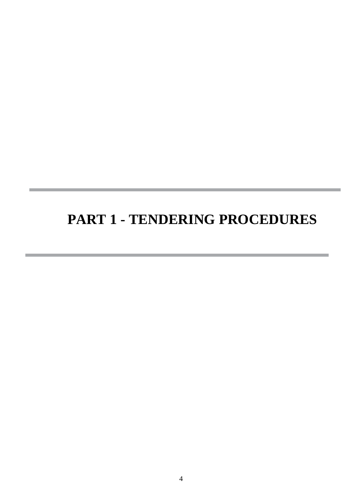# <span id="page-4-0"></span>**PART 1 - TENDERING PROCEDURES**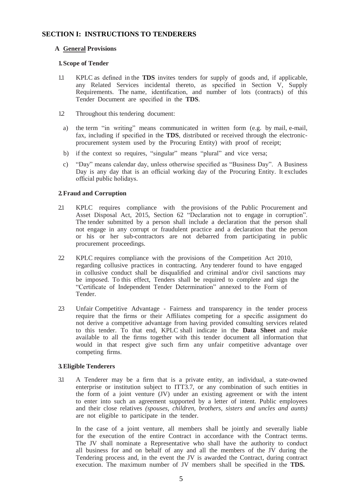# <span id="page-5-0"></span> **SECTION I: INSTRUCTIONS TO TENDERERS**

## **A General Provisions**

#### **1.Scope of Tender**

- 1.1 KPLC as defined in the **TDS** invites tenders for supply of goods and, if applicable, any Related Services incidental thereto, as specified in Section V, Supply Requirements. The name, identification, and number of lots (contracts) of this Tender Document are specified in the **TDS**.
- 12 Throughout this tendering document:
- a) the term "in writing" means communicated in written form (e.g. by mail, e-mail, fax, including if specified in the **TDS**, distributed or received through the electronicprocurement system used by the Procuring Entity) with proof of receipt;
- b) if the context so requires, "singular" means "plural" and vice versa;
- c) "Day" means calendar day, unless otherwise specified as "Business Day". A Business Day is any day that is an official working day of the Procuring Entity. It excludes official public holidays.

## **2.Fraud and Corruption**

- 2.1 KPLC requires compliance with the provisions of the Public Procurement and Asset Disposal Act, 2015, Section 62 "Declaration not to engage in corruption". The tender submitted by a person shall include a declaration that the person shall not engage in any corrupt or fraudulent practice and a declaration that the person or his or her sub-contractors are not debarred from participating in public procurement proceedings.
- 2.2 KPLC requires compliance with the provisions of the Competition Act 2010, regarding collusive practices in contracting. Any tenderer found to have engaged in collusive conduct shall be disqualified and criminal and/or civil sanctions may be imposed. To this effect, Tenders shall be required to complete and sign the "Certificate of Independent Tender Determination" annexed to the Form of Tender.
- 2.3 Unfair Competitive Advantage Fairness and transparency in the tender process require that the firms or their Affiliates competing for a specific assignment do not derive a competitive advantage from having provided consulting services related to this tender. To that end, KPLC shall indicate in the **Data Sheet** and make available to all the firms together with this tender document all information that would in that respect give such firm any unfair competitive advantage over competing firms.

## **3.Eligible Tenderers**

3.1 A Tenderer may be a firm that is a private entity, an individual, a state-owned enterprise or institution subject to ITT3.7, or any combination of such entities in the form of a joint venture (JV) under an existing agreement or with the intent to enter into such an agreement supported by a letter of intent. Public employees and their close relatives *(spouses, children, brothers, sisters and uncles and aunts)*  are not eligible to participate in the tender.

In the case of a joint venture, all members shall be jointly and severally liable for the execution of the entire Contract in accordance with the Contract terms. The JV shall nominate a Representative who shall have the authority to conduct all business for and on behalf of any and all the members of the JV during the Tendering process and, in the event the JV is awarded the Contract, during contract execution. The maximum number of JV members shall be specified in the **TDS.**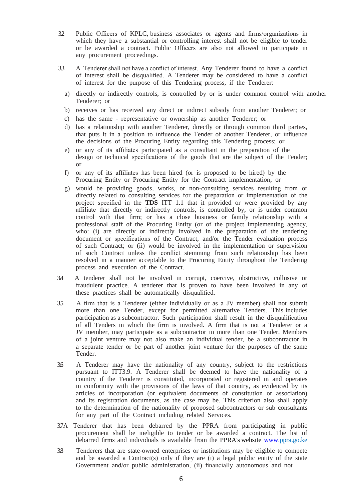- 3.2 Public Officers of KPLC, business associates or agents and firms/organizations in which they have a substantial or controlling interest shall not be eligible to tender or be awarded a contract. Public Officers are also not allowed to participate in any procurement proceedings.
- 3.3 A Tenderer shall not have a conflict of interest. Any Tenderer found to have a conflict of interest shall be disqualified. A Tenderer may be considered to have a conflict of interest for the purpose of this Tendering process, if the Tenderer:
	- a) directly or indirectly controls, is controlled by or is under common control with another Tenderer; or
	- b) receives or has received any direct or indirect subsidy from another Tenderer; or
	- c) has the same representative or ownership as another Tenderer; or
	- d) has a relationship with another Tenderer, directly or through common third parties, that puts it in a position to influence the Tender of another Tenderer, or influence the decisions of the Procuring Entity regarding this Tendering process; or
	- e) or any of its affiliates participated as a consultant in the preparation of the design or technical specifications of the goods that are the subject of the Tender; or
	- f) or any of its affiliates has been hired (or is proposed to be hired) by the Procuring Entity or Procuring Entity for the Contract implementation; or
	- g) would be providing goods, works, or non-consulting services resulting from or directly related to consulting services for the preparation or implementation of the project specified in the **TDS** ITT 1.1 that it provided or were provided by any affiliate that directly or indirectly controls, is controlled by, or is under common control with that firm; or has a close business or family relationship with a professional staff of the Procuring Entity (or of the project implementing agency, who: (i) are directly or indirectly involved in the preparation of the tendering document or specifications of the Contract, and/or the Tender evaluation process of such Contract; or (ii) would be involved in the implementation or supervision of such Contract unless the conflict stemming from such relationship has been resolved in a manner acceptable to the Procuring Entity throughout the Tendering process and execution of the Contract.
- 3.4 A tenderer shall not be involved in corrupt, coercive, obstructive, collusive or fraudulent practice. A tenderer that is proven to have been involved in any of these practices shall be automatically disqualified.
- 3.5 A firm that is a Tenderer (either individually or as a JV member) shall not submit more than one Tender, except for permitted alternative Tenders. This includes participation as a subcontractor. Such participation shall result in the disqualification of all Tenders in which the firm is involved. A firm that is not a Tenderer or a JV member, may participate as a subcontractor in more than one Tender. Members of a joint venture may not also make an individual tender, be a subcontractor in a separate tender or be part of another joint venture for the purposes of the same Tender.
- 3.6 A Tenderer may have the nationality of any country, subject to the restrictions pursuant to ITT3.9. A Tenderer shall be deemed to have the nationality of a country if the Tenderer is constituted, incorporated or registered in and operates in conformity with the provisions of the laws of that country, as evidenced by its articles of incorporation (or equivalent documents of constitution or association) and its registration documents, as the case may be. This criterion also shall apply to the determination of the nationality of proposed subcontractors or sub consultants for any part of the Contract including related Services.
- 3.7A Tenderer that has been debarred by the PPRA from participating in public procurement shall be ineligible to tender or be awarded a contract. The list of debarred firms and individuals is available from the PPRA's website www.ppra.go.ke
- 3.8 Tenderers that are state-owned enterprises or institutions may be eligible to compete and be awarded a Contract(s) only if they are (i) a legal public entity of the state Government and/or public administration, (ii) financially autonomous and not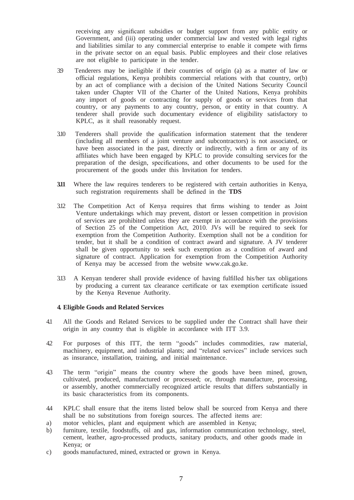receiving any significant subsidies or budget support from any public entity or Government, and (iii) operating under commercial law and vested with legal rights and liabilities similar to any commercial enterprise to enable it compete with firms in the private sector on an equal basis. Public employees and their close relatives are not eligible to participate in the tender.

- 3.9 Tenderers may be ineligible if their countries of origin (a) as a matter of law or official regulations, Kenya prohibits commercial relations with that country, or(b) by an act of compliance with a decision of the United Nations Security Council taken under Chapter VII of the Charter of the United Nations, Kenya prohibits any import of goods or contracting for supply of goods or services from that country, or any payments to any country, person, or entity in that country. A tenderer shall provide such documentary evidence of eligibility satisfactory to KPLC, as it shall reasonably request.
- 3.10 Tenderers shall provide the qualification information statement that the tenderer (including all members of a joint venture and subcontractors) is not associated, or have been associated in the past, directly or indirectly, with a firm or any of its affiliates which have been engaged by KPLC to provide consulting services for the preparation of the design, specifications, and other documents to be used for the procurement of the goods under this Invitation for tenders.
- **3.11** Where the law requires tenderers to be registered with certain authorities in Kenya, such registration requirements shall be defined in the **TDS**
- 3.12 The Competition Act of Kenya requires that firms wishing to tender as Joint Venture undertakings which may prevent, distort or lessen competition in provision of services are prohibited unless they are exempt in accordance with the provisions of Section 25 of the Competition Act, 2010. JVs will be required to seek for exemption from the Competition Authority. Exemption shall not be a condition for tender, but it shall be a condition of contract award and signature. A JV tenderer shall be given opportunity to seek such exemption as a condition of award and signature of contract. Application for exemption from the Competition Authority of Kenya may be accessed from the website [www.cak.go.ke.](http://www.cak.go.ke/)
- 3.13 A Kenyan tenderer shall provide evidence of having fulfilled his/her tax obligations by producing a current tax clearance certificate or tax exemption certificate issued by the Kenya Revenue Authority.

#### **4. Eligible Goods and Related Services**

- 4.1 All the Goods and Related Services to be supplied under the Contract shall have their origin in any country that is eligible in accordance with ITT 3.9.
- 4.2 For purposes of this ITT, the term "goods" includes commodities, raw material, machinery, equipment, and industrial plants; and "related services" include services such as insurance, installation, training, and initial maintenance.
- 4.3 The term "origin" means the country where the goods have been mined, grown, cultivated, produced, manufactured or processed; or, through manufacture, processing, or assembly, another commercially recognized article results that differs substantially in its basic characteristics from its components.
- 4.4 KPLC shall ensure that the items listed below shall be sourced from Kenya and there shall be no substitutions from foreign sources. The affected items are:
- a) motor vehicles, plant and equipment which are assembled in Kenya;
- b) furniture, textile, foodstuffs, oil and gas, information communication technology, steel, cement, leather, agro-processed products, sanitary products, and other goods made in Kenya; or
- c) goods manufactured, mined, extracted or grown in Kenya.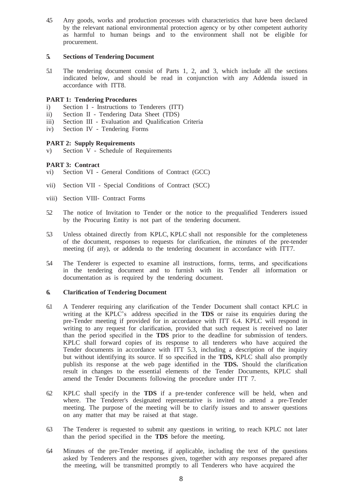4.5 Any goods, works and production processes with characteristics that have been declared by the relevant national environmental protection agency or by other competent authority as harmful to human beings and to the environment shall not be eligible for procurement.

## **5. Sections of Tendering Document**

5.1 The tendering document consist of Parts 1, 2, and 3, which include all the sections indicated below, and should be read in conjunction with any Addenda issued in accordance with ITT8.

# **PART 1: Tendering Procedures**

- i) Section I Instructions to Tenderers (ITT)
- ii) Section II Tendering Data Sheet (TDS)
- iii) Section III Evaluation and Qualification Criteria
- iv) Section IV Tendering Forms

# **PART 2: Supply Requirements**

v) Section V - Schedule of Requirements

# **PART 3: Contract**

- vi) Section VI General Conditions of Contract (GCC)
- vii) Section VII Special Conditions of Contract (SCC)
- viii) Section VIII- Contract Forms
- 5.2 The notice of Invitation to Tender or the notice to the prequalified Tenderers issued by the Procuring Entity is not part of the tendering document.
- 5.3 Unless obtained directly from KPLC, KPLC shall not responsible for the completeness of the document, responses to requests for clarification, the minutes of the pre-tender meeting (if any), or addenda to the tendering document in accordance with ITT7.
- 5.4 The Tenderer is expected to examine all instructions, forms, terms, and specifications in the tendering document and to furnish with its Tender all information or documentation as is required by the tendering document.

## **6. Clarification of Tendering Document**

- 6.1 A Tenderer requiring any clarification of the Tender Document shall contact KPLC in writing at the KPLC's address specified in the **TDS** or raise its enquiries during the pre-Tender meeting if provided for in accordance with ITT 6.4. KPLC will respond in writing to any request for clarification, provided that such request is received no later than the period specified in the **TDS** prior to the deadline for submission of tenders. KPLC shall forward copies of its response to all tenderers who have acquired the Tender documents in accordance with ITT 5.3, including a description of the inquiry but without identifying its source. If so specified in the **TDS,** KPLC shall also promptly publish its response at the web page identified in the **TDS.** Should the clarification result in changes to the essential elements of the Tender Documents, KPLC shall amend the Tender Documents following the procedure under ITT 7.
- 6.2 KPLC shall specify in the **TDS** if a pre-tender conference will be held, when and where. The Tenderer's designated representative is invited to attend a pre-Tender meeting. The purpose of the meeting will be to clarify issues and to answer questions on any matter that may be raised at that stage.
- 6.3 The Tenderer is requested to submit any questions in writing, to reach KPLC not later than the period specified in the **TDS** before the meeting.
- 6.4 Minutes of the pre-Tender meeting, if applicable, including the text of the questions asked by Tenderers and the responses given, together with any responses prepared after the meeting, will be transmitted promptly to all Tenderers who have acquired the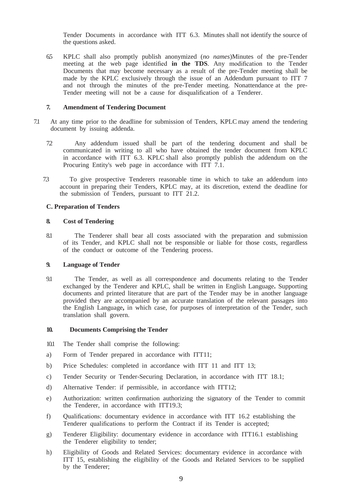Tender Documents in accordance with ITT 6.3. Minutes shall not identify the source of the questions asked.

6.5 KPLC shall also promptly publish anonymized (*no names*)Minutes of the pre-Tender meeting at the web page identified **in the TDS**. Any modification to the Tender Documents that may become necessary as a result of the pre-Tender meeting shall be made by the KPLC exclusively through the issue of an Addendum pursuant to ITT 7 and not through the minutes of the pre-Tender meeting. Nonattendance at the pre-Tender meeting will not be a cause for disqualification of a Tenderer.

#### **7. Amendment of Tendering Document**

- 7.1 At any time prior to the deadline for submission of Tenders, KPLC may amend the tendering document by issuing addenda.
	- 7.2 Any addendum issued shall be part of the tendering document and shall be communicated in writing to all who have obtained the tender document from KPLC in accordance with ITT 6.3. KPLC shall also promptly publish the addendum on the Procuring Entity's web page in accordance with ITT 7.1.
	- 7.3 To give prospective Tenderers reasonable time in which to take an addendum into account in preparing their Tenders, KPLC may, at its discretion, extend the deadline for the submission of Tenders, pursuant to ITT 21.2.

## **C. Preparation of Tenders**

#### **8. Cost of Tendering**

8.1 The Tenderer shall bear all costs associated with the preparation and submission of its Tender, and KPLC shall not be responsible or liable for those costs, regardless of the conduct or outcome of the Tendering process.

#### **9. Language of Tender**

9.1 The Tender, as well as all correspondence and documents relating to the Tender exchanged by the Tenderer and KPLC, shall be written in English Language**.** Supporting documents and printed literature that are part of the Tender may be in another language provided they are accompanied by an accurate translation of the relevant passages into the English Language**,** in which case, for purposes of interpretation of the Tender, such translation shall govern.

#### **10. Documents Comprising the Tender**

- 10.1 The Tender shall comprise the following:
- a) Form of Tender prepared in accordance with ITT11;
- b) Price Schedules: completed in accordance with ITT 11 and ITT 13;
- c) Tender Security or Tender-Securing Declaration, in accordance with ITT 18.1;
- d) Alternative Tender: if permissible, in accordance with ITT12;
- e) Authorization: written confirmation authorizing the signatory of the Tender to commit the Tenderer, in accordance with ITT19.3;
- f) Qualifications: documentary evidence in accordance with ITT 16.2 establishing the Tenderer qualifications to perform the Contract if its Tender is accepted;
- g) Tenderer Eligibility: documentary evidence in accordance with ITT16.1 establishing the Tenderer eligibility to tender;
- h) Eligibility of Goods and Related Services: documentary evidence in accordance with ITT 15, establishing the eligibility of the Goods and Related Services to be supplied by the Tenderer;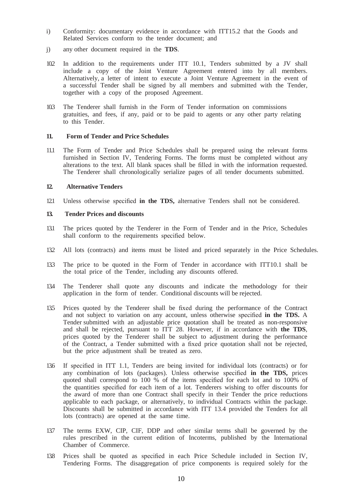- i) Conformity: documentary evidence in accordance with ITT15.2 that the Goods and Related Services conform to the tender document; and
- j) any other document required in the **TDS**.
- 10.2 In addition to the requirements under ITT 10.1, Tenders submitted by a JV shall include a copy of the Joint Venture Agreement entered into by all members. Alternatively, a letter of intent to execute a Joint Venture Agreement in the event of a successful Tender shall be signed by all members and submitted with the Tender, together with a copy of the proposed Agreement.
- 10.3 The Tenderer shall furnish in the Form of Tender information on commissions gratuities, and fees, if any, paid or to be paid to agents or any other party relating to this Tender.

#### **11. Form of Tender and Price Schedules**

11.1 The Form of Tender and Price Schedules shall be prepared using the relevant forms furnished in Section IV, Tendering Forms. The forms must be completed without any alterations to the text. All blank spaces shall be filled in with the information requested. The Tenderer shall chronologically serialize pages of all tender documents submitted.

#### **12. Alternative Tenders**

12.1 Unless otherwise specified **in the TDS,** alternative Tenders shall not be considered.

## **13. Tender Prices and discounts**

- 13.1 The prices quoted by the Tenderer in the Form of Tender and in the Price, Schedules shall conform to the requirements specified below.
- 13.2 All lots (contracts) and items must be listed and priced separately in the Price Schedules.
- 13.3 The price to be quoted in the Form of Tender in accordance with ITT10.1 shall be the total price of the Tender, including any discounts offered.
- 13.4 The Tenderer shall quote any discounts and indicate the methodology for their application in the form of tender. Conditional discounts will be rejected.
- 13.5 Prices quoted by the Tenderer shall be fixed during the performance of the Contract and not subject to variation on any account, unless otherwise specified **in the TDS.** A Tender submitted with an adjustable price quotation shall be treated as non-responsive and shall be rejected, pursuant to ITT 28. However, if in accordance with **the TDS**, prices quoted by the Tenderer shall be subject to adjustment during the performance of the Contract, a Tender submitted with a fixed price quotation shall not be rejected, but the price adjustment shall be treated as zero.
- 13.6 If specified in ITT 1.1, Tenders are being invited for individual lots (contracts) or for any combination of lots (packages). Unless otherwise specified **in the TDS,** prices quoted shall correspond to 100 % of the items specified for each lot and to 100% of the quantities specified for each item of a lot. Tenderers wishing to offer discounts for the award of more than one Contract shall specify in their Tender the price reductions applicable to each package, or alternatively, to individual Contracts within the package. Discounts shall be submitted in accordance with ITT 13.4 provided the Tenders for all lots (contracts) are opened at the same time.
- 13.7 The terms EXW, CIP, CIF, DDP and other similar terms shall be governed by the rules prescribed in the current edition of Incoterms, published by the International Chamber of Commerce.
- 13.8 Prices shall be quoted as specified in each Price Schedule included in Section IV, Tendering Forms. The disaggregation of price components is required solely for the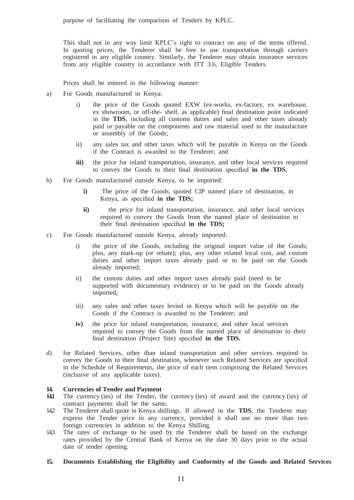This shall not in any way limit KPLC's right to contract on any of the terms offered. In quoting prices, the Tenderer shall be free to use transportation through carriers registered in any eligible country. Similarly, the Tenderer may obtain insurance services from any eligible country in accordance with ITT 3.6, Eligible Tenders.

Prices shall be entered in the following manner:

- a) For Goods manufactured in Kenya:
	- i) the price of the Goods quoted EXW (ex-works, ex-factory, ex warehouse, ex showroom, or off-the- shelf, as applicable) final destination point indicated in the **TDS**, including all customs duties and sales and other taxes already paid or payable on the components and raw material used in the manufacture or assembly of the Goods;
	- ii) any sales tax and other taxes which will be payable in Kenya on the Goods if the Contract is awarded to the Tenderer; and
	- **iii)** the price for inland transportation, insurance, and other local services required to convey the Goods to their final destination specified **in the TDS.**
- b) For Goods manufactured outside Kenya, to be imported:
	- **i)** The price of the Goods, quoted CIP named place of destination, in Kenya, as specified **in the TDS;**
	- **ii)** the price for inland transportation, insurance, and other local services required to convey the Goods from the named place of destination to their final destination specified **in the TDS;**
- c) For Goods manufactured outside Kenya, already imported:
	- i) the price of the Goods, including the original import value of the Goods; plus, any mark-up (or rebate); plus, any other related local cost, and custom duties and other import taxes already paid or to be paid on the Goods already imported;
	- ii) the custom duties and other import taxes already paid (need to be supported with documentary evidence) or to be paid on the Goods already imported;
	- iii) any sales and other taxes levied in Kenya which will be payable on the Goods if the Contract is awarded to the Tenderer; and
	- **iv)** the price for inland transportation, insurance, and other local services required to convey the Goods from the named place of destination to their final destination (Project Site) specified **in the TDS.**
- d) for Related Services, other than inland transportation and other services required to convey the Goods to their final destination, whenever such Related Services are specified in the Schedule of Requirements, the price of each item comprising the Related Services (inclusive of any applicable taxes).

## **14. Currencies of Tender and Payment**

- 141 The currency (ies) of the Tender, the currency (ies) of award and the currency (ies) of contract payments shall be the same**.**
- 14.2 The Tenderer shall quote in Kenya shillings. If allowed in the **TDS**, the Tenderer may express the Tender price in any currency, provided it shall use no more than two foreign currencies in addition to the Kenya Shilling.
- 14.3 The rates of exchange to be used by the Tenderer shall be based on the exchange rates provided by the Central Bank of Kenya on the date 30 days prior to the actual date of tender opening.

## **15. Documents Establishing the Eligibility and Conformity of the Goods and Related Services**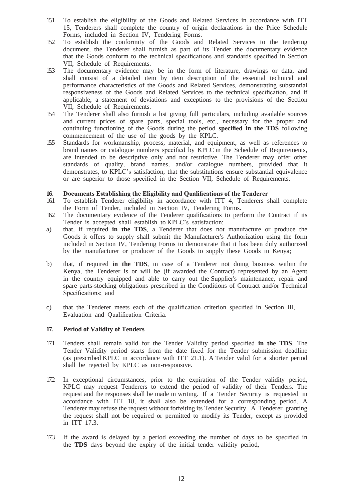- 15.1 To establish the eligibility of the Goods and Related Services in accordance with ITT 15, Tenderers shall complete the country of origin declarations in the Price Schedule Forms, included in Section IV, Tendering Forms.
- 15.2 To establish the conformity of the Goods and Related Services to the tendering document, the Tenderer shall furnish as part of its Tender the documentary evidence that the Goods conform to the technical specifications and standards specified in Section VII, Schedule of Requirements.
- 15.3 The documentary evidence may be in the form of literature, drawings or data, and shall consist of a detailed item by item description of the essential technical and performance characteristics of the Goods and Related Services, demonstrating substantial responsiveness of the Goods and Related Services to the technical specification, and if applicable, a statement of deviations and exceptions to the provisions of the Section VII, Schedule of Requirements.
- 15.4 The Tenderer shall also furnish a list giving full particulars, including available sources and current prices of spare parts, special tools, etc., necessary for the proper and continuing functioning of the Goods during the period **specified in the TDS** following commencement of the use of the goods by the KPLC.
- 15.5 Standards for workmanship, process, material, and equipment, as well as references to brand names or catalogue numbers specified by KPLC in the Schedule of Requirements, are intended to be descriptive only and not restrictive. The Tenderer may offer other standards of quality, brand names, and/or catalogue numbers, provided that it demonstrates, to KPLC's satisfaction, that the substitutions ensure substantial equivalence or are superior to those specified in the Section VII, Schedule of Requirements.

## **16. Documents Establishing the Eligibility and Qualifications of the Tenderer**

- 16.1 To establish Tenderer eligibility in accordance with ITT 4, Tenderers shall complete the Form of Tender, included in Section IV, Tendering Forms.
- 16.2 The documentary evidence of the Tenderer qualifications to perform the Contract if its Tender is accepted shall establish to KPLC's satisfaction:
- a) that, if required **in the TDS**, a Tenderer that does not manufacture or produce the Goods it offers to supply shall submit the Manufacturer's Authorization using the form included in Section IV, Tendering Forms to demonstrate that it has been duly authorized by the manufacturer or producer of the Goods to supply these Goods in Kenya;
- b) that, if required **in the TDS**, in case of a Tenderer not doing business within the Kenya, the Tenderer is or will be (if awarded the Contract) represented by an Agent in the country equipped and able to carry out the Supplier's maintenance, repair and spare parts-stocking obligations prescribed in the Conditions of Contract and/or Technical Specifications; and
- c) that the Tenderer meets each of the qualification criterion specified in Section III, Evaluation and Qualification Criteria.

## **17. Period of Validity of Tenders**

- 17.1 Tenders shall remain valid for the Tender Validity period specified **in the TDS**. The Tender Validity period starts from the date fixed for the Tender submission deadline (as prescribed KPLC in accordance with ITT 21.1). A Tender valid for a shorter period shall be rejected by KPLC as non-responsive.
- 17.2 In exceptional circumstances, prior to the expiration of the Tender validity period, KPLC may request Tenderers to extend the period of validity of their Tenders. The request and the responses shall be made in writing. If a Tender Security is requested in accordance with ITT 18, it shall also be extended for a corresponding period. A Tenderer may refuse the request without forfeiting its Tender Security. A Tenderer granting the request shall not be required or permitted to modify its Tender, except as provided in ITT 17.3.
- 17.3 If the award is delayed by a period exceeding the number of days to be specified in the **TDS** days beyond the expiry of the initial tender validity period,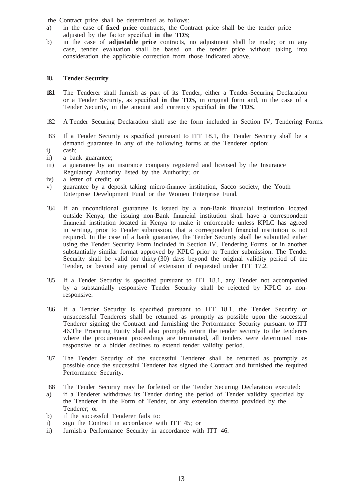the Contract price shall be determined as follows:

- a) in the case of **fixed price** contracts, the Contract price shall be the tender price adjusted by the factor specified **in the TDS**;
- b) in the case of **adjustable price** contracts, no adjustment shall be made; or in any case, tender evaluation shall be based on the tender price without taking into consideration the applicable correction from those indicated above.

#### **18. Tender Security**

- **18.1** The Tenderer shall furnish as part of its Tender, either a Tender-Securing Declaration or a Tender Security, as specified **in the TDS,** in original form and, in the case of a Tender Security**,** in the amount and currency specified **in the TDS.**
- 18.2 A Tender Securing Declaration shall use the form included in Section IV, Tendering Forms.
- 18.3 If a Tender Security is specified pursuant to ITT 18.1, the Tender Security shall be a demand guarantee in any of the following forms at the Tenderer option:
- i) cash;
- ii) a bank guarantee;
- iii) a guarantee by an insurance company registered and licensed by the Insurance Regulatory Authority listed by the Authority; or
- iv) a letter of credit; or
- v) guarantee by a deposit taking micro-finance institution, Sacco society, the Youth Enterprise Development Fund or the Women Enterprise Fund.
- 18.4 If an unconditional guarantee is issued by a non-Bank financial institution located outside Kenya, the issuing non-Bank financial institution shall have a correspondent financial institution located in Kenya to make it enforceable unless KPLC has agreed in writing, prior to Tender submission, that a correspondent financial institution is not required. In the case of a bank guarantee, the Tender Security shall be submitted either using the Tender Security Form included in Section IV, Tendering Forms, or in another substantially similar format approved by KPLC prior to Tender submission. The Tender Security shall be valid for thirty (30) days beyond the original validity period of the Tender, or beyond any period of extension if requested under ITT 17.2.
- 18.5 If a Tender Security is specified pursuant to ITT 18.1, any Tender not accompanied by a substantially responsive Tender Security shall be rejected by KPLC as nonresponsive.
- 18.6 If a Tender Security is specified pursuant to ITT 18.1, the Tender Security of unsuccessful Tenderers shall be returned as promptly as possible upon the successful Tenderer signing the Contract and furnishing the Performance Security pursuant to ITT 46.The Procuring Entity shall also promptly return the tender security to the tenderers where the procurement proceedings are terminated, all tenders were determined nonresponsive or a bidder declines to extend tender validity period.
- 187 The Tender Security of the successful Tenderer shall be returned as promptly as possible once the successful Tenderer has signed the Contract and furnished the required Performance Security.
- 18.8 The Tender Security may be forfeited or the Tender Securing Declaration executed:
- a) if a Tenderer withdraws its Tender during the period of Tender validity specified by the Tenderer in the Form of Tender, or any extension thereto provided by the Tenderer; or
- b) if the successful Tenderer fails to:
- i) sign the Contract in accordance with ITT 45; or
- ii) furnish a Performance Security in accordance with ITT 46.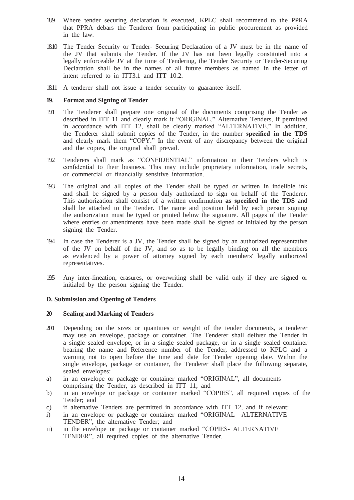- 18.9 Where tender securing declaration is executed, KPLC shall recommend to the PPRA that PPRA debars the Tenderer from participating in public procurement as provided in the law.
- 18.10 The Tender Security or Tender- Securing Declaration of a JV must be in the name of the JV that submits the Tender. If the JV has not been legally constituted into a legally enforceable JV at the time of Tendering, the Tender Security or Tender-Securing Declaration shall be in the names of all future members as named in the letter of intent referred to in ITT3.1 and ITT 10.2.
- 18.11 A tenderer shall not issue a tender security to guarantee itself.

## **19. Format and Signing of Tender**

- 19.1 The Tenderer shall prepare one original of the documents comprising the Tender as described in ITT 11 and clearly mark it "ORIGINAL." Alternative Tenders, if permitted in accordance with ITT 12, shall be clearly marked "ALTERNATIVE." In addition, the Tenderer shall submit copies of the Tender, in the number **specified in the TDS**  and clearly mark them "COPY." In the event of any discrepancy between the original and the copies, the original shall prevail.
- 19.2 Tenderers shall mark as "CONFIDENTIAL" information in their Tenders which is confidential to their business. This may include proprietary information, trade secrets, or commercial or financially sensitive information.
- 19.3 The original and all copies of the Tender shall be typed or written in indelible ink and shall be signed by a person duly authorized to sign on behalf of the Tenderer. This authorization shall consist of a written confirmation **as specified in the TDS** and shall be attached to the Tender. The name and position held by each person signing the authorization must be typed or printed below the signature. All pages of the Tender where entries or amendments have been made shall be signed or initialed by the person signing the Tender.
- 19.4 In case the Tenderer is a JV, the Tender shall be signed by an authorized representative of the JV on behalf of the JV, and so as to be legally binding on all the members as evidenced by a power of attorney signed by each members' legally authorized representatives.
- 19.5 Any inter-lineation, erasures, or overwriting shall be valid only if they are signed or initialed by the person signing the Tender.

# **D. Submission and Opening of Tenders**

## **20 Sealing and Marking of Tenders**

- 20.1 Depending on the sizes or quantities or weight of the tender documents, a tenderer may use an envelope, package or container. The Tenderer shall deliver the Tender in a single sealed envelope, or in a single sealed package, or in a single sealed container bearing the name and Reference number of the Tender, addressed to KPLC and a warning not to open before the time and date for Tender opening date. Within the single envelope, package or container, the Tenderer shall place the following separate, sealed envelopes:
- a) in an envelope or package or container marked "ORIGINAL", all documents comprising the Tender, as described in ITT 11; and
- b) in an envelope or package or container marked "COPIES", all required copies of the Tender; and
- c) if alternative Tenders are permitted in accordance with ITT 12, and if relevant:
- i) in an envelope or package or container marked "ORIGINAL –ALTERNATIVE TENDER", the alternative Tender; and
- ii) in the envelope or package or container marked "COPIES- ALTERNATIVE TENDER", all required copies of the alternative Tender.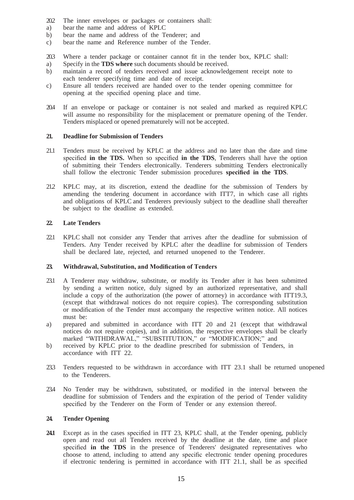- 20.2 The inner envelopes or packages or containers shall:
- a) bear the name and address of KPLC
- b) bear the name and address of the Tenderer; and
- c) bear the name and Reference number of the Tender.
- 20.3 Where a tender package or container cannot fit in the tender box, KPLC shall:
- a) Specify in the **TDS where** such documents should be received.
- b) maintain a record of tenders received and issue acknowledgement receipt note to each tenderer specifying time and date of receipt.
- c) Ensure all tenders received are handed over to the tender opening committee for opening at the specified opening place and time.
- 20.4 If an envelope or package or container is not sealed and marked as required KPLC will assume no responsibility for the misplacement or premature opening of the Tender. Tenders misplaced or opened prematurely will not be accepted.

#### **21. Deadline for Submission of Tenders**

- 21.1 Tenders must be received by KPLC at the address and no later than the date and time specified **in the TDS.** When so specified **in the TDS**, Tenderers shall have the option of submitting their Tenders electronically. Tenderers submitting Tenders electronically shall follow the electronic Tender submission procedures **specified in the TDS**.
- 21.2 KPLC may, at its discretion, extend the deadline for the submission of Tenders by amending the tendering document in accordance with ITT7, in which case all rights and obligations of KPLC and Tenderers previously subject to the deadline shall thereafter be subject to the deadline as extended.

#### **22. Late Tenders**

22.1 KPLC shall not consider any Tender that arrives after the deadline for submission of Tenders. Any Tender received by KPLC after the deadline for submission of Tenders shall be declared late, rejected, and returned unopened to the Tenderer.

#### **23. Withdrawal, Substitution, and Modification of Tenders**

- 23.1 A Tenderer may withdraw, substitute, or modify its Tender after it has been submitted by sending a written notice, duly signed by an authorized representative, and shall include a copy of the authorization (the power of attorney) in accordance with ITT19.3, (except that withdrawal notices do not require copies). The corresponding substitution or modification of the Tender must accompany the respective written notice. All notices must be:
- a) prepared and submitted in accordance with ITT 20 and 21 (except that withdrawal notices do not require copies), and in addition, the respective envelopes shall be clearly marked "WITHDRAWAL," "SUBSTITUTION," or "MODIFICATION;" and
- b) received by KPLC prior to the deadline prescribed for submission of Tenders, in accordance with ITT 22.
- 23.3 Tenders requested to be withdrawn in accordance with ITT 23.1 shall be returned unopened to the Tenderers.
- 23.4 No Tender may be withdrawn, substituted, or modified in the interval between the deadline for submission of Tenders and the expiration of the period of Tender validity specified by the Tenderer on the Form of Tender or any extension thereof.

#### **24. Tender Opening**

**24.1** Except as in the cases specified in ITT 23, KPLC shall, at the Tender opening, publicly open and read out all Tenders received by the deadline at the date, time and place specified **in the TDS** in the presence of Tenderers' designated representatives who choose to attend, including to attend any specific electronic tender opening procedures if electronic tendering is permitted in accordance with ITT 21.1, shall be as specified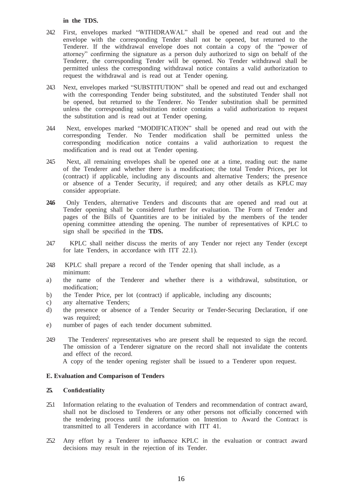#### **in the TDS.**

- 24.2 First, envelopes marked "WITHDRAWAL" shall be opened and read out and the envelope with the corresponding Tender shall not be opened, but returned to the Tenderer. If the withdrawal envelope does not contain a copy of the "power of attorney" confirming the signature as a person duly authorized to sign on behalf of the Tenderer, the corresponding Tender will be opened. No Tender withdrawal shall be permitted unless the corresponding withdrawal notice contains a valid authorization to request the withdrawal and is read out at Tender opening.
- 24.3 Next, envelopes marked "SUBSTITUTION" shall be opened and read out and exchanged with the corresponding Tender being substituted, and the substituted Tender shall not be opened, but returned to the Tenderer. No Tender substitution shall be permitted unless the corresponding substitution notice contains a valid authorization to request the substitution and is read out at Tender opening.
- 24.4 Next, envelopes marked "MODIFICATION" shall be opened and read out with the corresponding Tender. No Tender modification shall be permitted unless the corresponding modification notice contains a valid authorization to request the modification and is read out at Tender opening.
- 24.5 Next, all remaining envelopes shall be opened one at a time, reading out: the name of the Tenderer and whether there is a modification; the total Tender Prices, per lot (contract) if applicable, including any discounts and alternative Tenders; the presence or absence of a Tender Security, if required; and any other details as KPLC may consider appropriate.
- **24.6** Only Tenders, alternative Tenders and discounts that are opened and read out at Tender opening shall be considered further for evaluation. The Form of Tender and pages of the Bills of Quantities are to be initialed by the members of the tender opening committee attending the opening. The number of representatives of KPLC to sign shall be specified in the **TDS.**
- 24.7 KPLC shall neither discuss the merits of any Tender nor reject any Tender (except for late Tenders, in accordance with ITT 22.1).
- 24.8 KPLC shall prepare a record of the Tender opening that shall include, as a minimum:
- a) the name of the Tenderer and whether there is a withdrawal, substitution, or modification;
- b) the Tender Price, per lot (contract) if applicable, including any discounts;
- c) any alternative Tenders;
- d) the presence or absence of a Tender Security or Tender-Securing Declaration, if one was required;
- e) number of pages of each tender document submitted.
- 24.9 The Tenderers' representatives who are present shall be requested to sign the record. The omission of a Tenderer signature on the record shall not invalidate the contents and effect of the record. A copy of the tender opening register shall be issued to a Tenderer upon request.

# **E. Evaluation and Comparison of Tenders**

#### **25. Confidentiality**

- 25.1 Information relating to the evaluation of Tenders and recommendation of contract award, shall not be disclosed to Tenderers or any other persons not officially concerned with the tendering process until the information on Intention to Award the Contract is transmitted to all Tenderers in accordance with ITT 41.
- 25.2 Any effort by a Tenderer to influence KPLC in the evaluation or contract award decisions may result in the rejection of its Tender.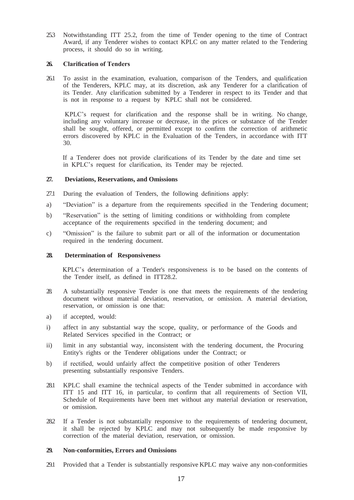25.3 Notwithstanding ITT 25.2, from the time of Tender opening to the time of Contract Award, if any Tenderer wishes to contact KPLC on any matter related to the Tendering process, it should do so in writing.

#### **26. Clarification of Tenders**

26.1 To assist in the examination, evaluation, comparison of the Tenders, and qualification of the Tenderers, KPLC may, at its discretion, ask any Tenderer for a clarification of its Tender. Any clarification submitted by a Tenderer in respect to its Tender and that is not in response to a request by KPLC shall not be considered.

KPLC's request for clarification and the response shall be in writing. No change, including any voluntary increase or decrease, in the prices or substance of the Tender shall be sought, offered, or permitted except to confirm the correction of arithmetic errors discovered by KPLC in the Evaluation of the Tenders, in accordance with ITT 30.

 If a Tenderer does not provide clarifications of its Tender by the date and time set in KPLC's request for clarification, its Tender may be rejected.

# **27. Deviations, Reservations, and Omissions**

- 27.1 During the evaluation of Tenders, the following definitions apply:
- a) "Deviation" is a departure from the requirements specified in the Tendering document;
- b) "Reservation" is the setting of limiting conditions or withholding from complete acceptance of the requirements specified in the tendering document; and
- c) "Omission" is the failure to submit part or all of the information or documentation required in the tendering document.

#### **28. Determination of Responsiveness**

 KPLC's determination of a Tender's responsiveness is to be based on the contents of the Tender itself, as defined in ITT28.2.

- 28. A substantially responsive Tender is one that meets the requirements of the tendering document without material deviation, reservation, or omission. A material deviation, reservation, or omission is one that:
- a) if accepted, would:
- i) affect in any substantial way the scope, quality, or performance of the Goods and Related Services specified in the Contract; or
- ii) limit in any substantial way, inconsistent with the tendering document, the Procuring Entity's rights or the Tenderer obligations under the Contract; or
- b) if rectified, would unfairly affect the competitive position of other Tenderers presenting substantially responsive Tenders.
- 28.1 KPLC shall examine the technical aspects of the Tender submitted in accordance with ITT 15 and ITT 16, in particular, to confirm that all requirements of Section VII, Schedule of Requirements have been met without any material deviation or reservation, or omission.
- 28.2 If a Tender is not substantially responsive to the requirements of tendering document, it shall be rejected by KPLC and may not subsequently be made responsive by correction of the material deviation, reservation, or omission.

#### **29. Non-conformities, Errors and Omissions**

29.1 Provided that a Tender is substantially responsive KPLC may waive any non-conformities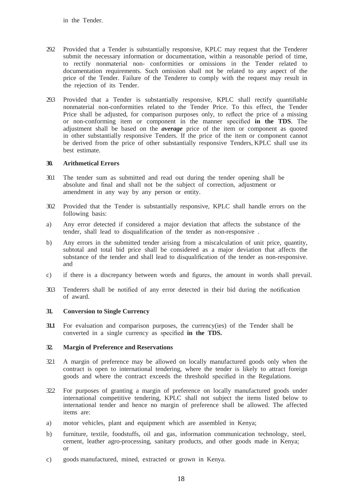- 29.2 Provided that a Tender is substantially responsive, KPLC may request that the Tenderer submit the necessary information or documentation, within a reasonable period of time, to rectify nonmaterial non- conformities or omissions in the Tender related to documentation requirements. Such omission shall not be related to any aspect of the price of the Tender. Failure of the Tenderer to comply with the request may result in the rejection of its Tender.
- 29.3 Provided that a Tender is substantially responsive, KPLC shall rectify quantifiable nonmaterial non-conformities related to the Tender Price. To this effect, the Tender Price shall be adjusted, for comparison purposes only, to reflect the price of a missing or non-conforming item or component in the manner specified **in the TDS**. The adjustment shall be based on the *average* price of the item or component as quoted in other substantially responsive Tenders. If the price of the item or component cannot be derived from the price of other substantially responsive Tenders, KPLC shall use its best estimate.

## **30. Arithmetical Errors**

- 30.1 The tender sum as submitted and read out during the tender opening shall be absolute and final and shall not be the subject of correction, adjustment or amendment in any way by any person or entity.
- 30.2 Provided that the Tender is substantially responsive, KPLC shall handle errors on the following basis:
- a) Any error detected if considered a major deviation that affects the substance of the tender, shall lead to disqualification of the tender as non-responsive .
- b) Any errors in the submitted tender arising from a miscalculation of unit price, quantity, subtotal and total bid price shall be considered as a major deviation that affects the substance of the tender and shall lead to disqualification of the tender as non-responsive. and
- c) if there is a discrepancy between words and figures, the amount in words shall prevail.
- 30.3 Tenderers shall be notified of any error detected in their bid during the notification of award.

# **31. Conversion to Single Currency**

**31.1** For evaluation and comparison purposes, the currency(ies) of the Tender shall be converted in a single currency as specified **in the TDS.**

## **32. Margin of Preference and Reservations**

- 32.1 A margin of preference may be allowed on locally manufactured goods only when the contract is open to international tendering, where the tender is likely to attract foreign goods and where the contract exceeds the threshold specified in the Regulations.
- 32.2 For purposes of granting a margin of preference on locally manufactured goods under international competitive tendering, KPLC shall not subject the items listed below to international tender and hence no margin of preference shall be allowed. The affected items are:
- a) motor vehicles, plant and equipment which are assembled in Kenya;
- b) furniture, textile, foodstuffs, oil and gas, information communication technology, steel, cement, leather agro-processing, sanitary products, and other goods made in Kenya; or
- c) goods manufactured, mined, extracted or grown in Kenya.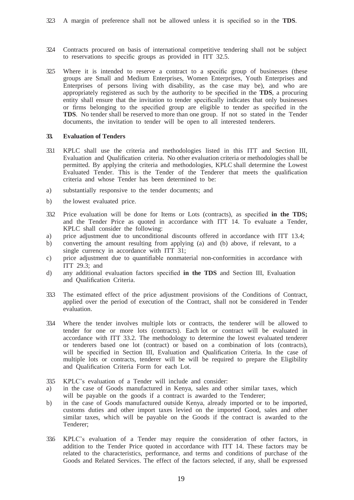- 32.4 Contracts procured on basis of international competitive tendering shall not be subject to reservations to specific groups as provided in ITT 32.5.
- 32.5 Where it is intended to reserve a contract to a specific group of businesses (these groups are Small and Medium Enterprises, Women Enterprises, Youth Enterprises and Enterprises of persons living with disability, as the case may be), and who are appropriately registered as such by the authority to be specified in the **TDS**, a procuring entity shall ensure that the invitation to tender specifically indicates that only businesses or firms belonging to the specified group are eligible to tender as specified in the **TDS**. No tender shall be reserved to more than one group. If not so stated in the Tender documents, the invitation to tender will be open to all interested tenderers.

## **33. Evaluation of Tenders**

- 33.1 KPLC shall use the criteria and methodologies listed in this ITT and Section III, Evaluation and Qualification criteria. No other evaluation criteria or methodologies shall be permitted. By applying the criteria and methodologies, KPLC shall determine the Lowest Evaluated Tender. This is the Tender of the Tenderer that meets the qualification criteria and whose Tender has been determined to be:
- a) substantially responsive to the tender documents; and
- b) the lowest evaluated price.
- 33.2 Price evaluation will be done for Items or Lots (contracts), as specified **in the TDS;**  and the Tender Price as quoted in accordance with ITT 14. To evaluate a Tender, KPLC shall consider the following:
- a) price adjustment due to unconditional discounts offered in accordance with ITT 13.4;
- b) converting the amount resulting from applying (a) and (b) above, if relevant, to a single currency in accordance with ITT 31;
- c) price adjustment due to quantifiable nonmaterial non-conformities in accordance with ITT 29.3; and
- d) any additional evaluation factors specified **in the TDS** and Section III, Evaluation and Qualification Criteria.
- 33.3 The estimated effect of the price adjustment provisions of the Conditions of Contract, applied over the period of execution of the Contract, shall not be considered in Tender evaluation.
- 33.4 Where the tender involves multiple lots or contracts, the tenderer will be allowed to tender for one or more lots (contracts). Each lot or contract will be evaluated in accordance with ITT 33.2. The methodology to determine the lowest evaluated tenderer or tenderers based one lot (contract) or based on a combination of lots (contracts), will be specified in Section III, Evaluation and Qualification Criteria. In the case of multiple lots or contracts, tenderer will be will be required to prepare the Eligibility and Qualification Criteria Form for each Lot.
- 33.5 KPLC's evaluation of a Tender will include and consider:
- a) in the case of Goods manufactured in Kenya, sales and other similar taxes, which will be payable on the goods if a contract is awarded to the Tenderer;
- b) in the case of Goods manufactured outside Kenya, already imported or to be imported, customs duties and other import taxes levied on the imported Good, sales and other similar taxes, which will be payable on the Goods if the contract is awarded to the Tenderer;
- 33.6 KPLC's evaluation of a Tender may require the consideration of other factors, in addition to the Tender Price quoted in accordance with ITT 14. These factors may be related to the characteristics, performance, and terms and conditions of purchase of the Goods and Related Services. The effect of the factors selected, if any, shall be expressed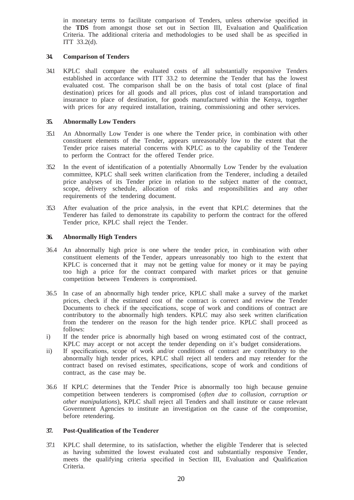in monetary terms to facilitate comparison of Tenders, unless otherwise specified in the **TDS** from amongst those set out in Section III, Evaluation and Qualification Criteria. The additional criteria and methodologies to be used shall be as specified in ITT 33.2(d).

## **34. Comparison of Tenders**

34.1 KPLC shall compare the evaluated costs of all substantially responsive Tenders established in accordance with ITT 33.2 to determine the Tender that has the lowest evaluated cost. The comparison shall be on the basis of total cost (place of final destination) prices for all goods and all prices, plus cost of inland transportation and insurance to place of destination, for goods manufactured within the Kenya, together with prices for any required installation, training, commissioning and other services.

#### **35. Abnormally Low Tenders**

- 35.1 An Abnormally Low Tender is one where the Tender price, in combination with other constituent elements of the Tender, appears unreasonably low to the extent that the Tender price raises material concerns with KPLC as to the capability of the Tenderer to perform the Contract for the offered Tender price.
- 35.2 In the event of identification of a potentially Abnormally Low Tender by the evaluation committee, KPLC shall seek written clarification from the Tenderer, including a detailed price analyses of its Tender price in relation to the subject matter of the contract, scope, delivery schedule, allocation of risks and responsibilities and any other requirements of the tendering document.
- 35.3 After evaluation of the price analysis, in the event that KPLC determines that the Tenderer has failed to demonstrate its capability to perform the contract for the offered Tender price, KPLC shall reject the Tender.

#### **36. Abnormally High Tenders**

- 36.4 An abnormally high price is one where the tender price, in combination with other constituent elements of the Tender, appears unreasonably too high to the extent that KPLC is concerned that it may not be getting value for money or it may be paying too high a price for the contract compared with market prices or that genuine competition between Tenderers is compromised.
- 36.5 In case of an abnormally high tender price, KPLC shall make a survey of the market prices, check if the estimated cost of the contract is correct and review the Tender Documents to check if the specifications, scope of work and conditions of contract are contributory to the abnormally high tenders. KPLC may also seek written clarification from the tenderer on the reason for the high tender price. KPLC shall proceed as follows:
- i) If the tender price is abnormally high based on wrong estimated cost of the contract, KPLC may accept or not accept the tender depending on it's budget considerations.
- ii) If specifications, scope of work and/or conditions of contract are contributory to the abnormally high tender prices, KPLC shall reject all tenders and may retender for the contract based on revised estimates, specifications, scope of work and conditions of contract, as the case may be.
- 36.6 If KPLC determines that the Tender Price is abnormally too high because genuine competition between tenderers is compromised (*often due to collusion, corruption or other manipulations*), KPLC shall reject all Tenders and shall institute or cause relevant Government Agencies to institute an investigation on the cause of the compromise, before retendering.

## **37. Post-Qualification of the Tenderer**

37.1 KPLC shall determine, to its satisfaction, whether the eligible Tenderer that is selected as having submitted the lowest evaluated cost and substantially responsive Tender, meets the qualifying criteria specified in Section III, Evaluation and Qualification Criteria.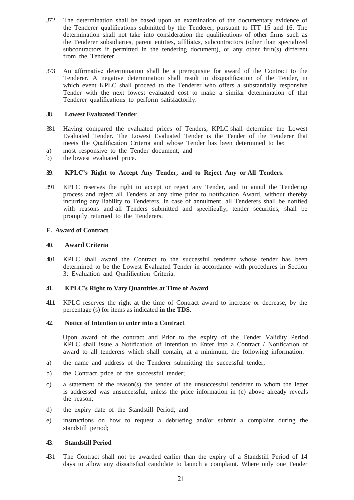- 37.2 The determination shall be based upon an examination of the documentary evidence of the Tenderer qualifications submitted by the Tenderer, pursuant to ITT 15 and 16. The determination shall not take into consideration the qualifications of other firms such as the Tenderer subsidiaries, parent entities, affiliates, subcontractors (other than specialized subcontractors if permitted in the tendering document), or any other firm(s) different from the Tenderer.
- 37.3 An affirmative determination shall be a prerequisite for award of the Contract to the Tenderer. A negative determination shall result in disqualification of the Tender, in which event KPLC shall proceed to the Tenderer who offers a substantially responsive Tender with the next lowest evaluated cost to make a similar determination of that Tenderer qualifications to perform satisfactorily.

## **38. Lowest Evaluated Tender**

- 38.1 Having compared the evaluated prices of Tenders, KPLC shall determine the Lowest Evaluated Tender. The Lowest Evaluated Tender is the Tender of the Tenderer that meets the Qualification Criteria and whose Tender has been determined to be:
- a) most responsive to the Tender document; and
- b) the lowest evaluated price.

#### **39. KPLC's Right to Accept Any Tender, and to Reject Any or All Tenders.**

39.1 KPLC reserves the right to accept or reject any Tender, and to annul the Tendering process and reject all Tenders at any time prior to notification Award, without thereby incurring any liability to Tenderers. In case of annulment, all Tenderers shall be notified with reasons and all Tenders submitted and specifically, tender securities, shall be promptly returned to the Tenderers.

#### **F. Award of Contract**

#### **40. Award Criteria**

40.1 KPLC shall award the Contract to the successful tenderer whose tender has been determined to be the Lowest Evaluated Tender in accordance with procedures in Section 3: Evaluation and Qualification Criteria.

#### **41. KPLC's Right to Vary Quantities at Time of Award**

**41.1** KPLC reserves the right at the time of Contract award to increase or decrease, by the percentage (s) for items as indicated **in the TDS.**

# **42. Notice of Intention to enter into a Contract**

 Upon award of the contract and Prior to the expiry of the Tender Validity Period KPLC shall issue a Notification of Intention to Enter into a Contract / Notification of award to all tenderers which shall contain, at a minimum, the following information:

- a) the name and address of the Tenderer submitting the successful tender;
- b) the Contract price of the successful tender;
- c) a statement of the reason(s) the tender of the unsuccessful tenderer to whom the letter is addressed was unsuccessful, unless the price information in (c) above already reveals the reason;
- d) the expiry date of the Standstill Period; and
- e) instructions on how to request a debriefing and/or submit a complaint during the standstill period;

#### **43. Standstill Period**

43.1 The Contract shall not be awarded earlier than the expiry of a Standstill Period of 14 days to allow any dissatisfied candidate to launch a complaint. Where only one Tender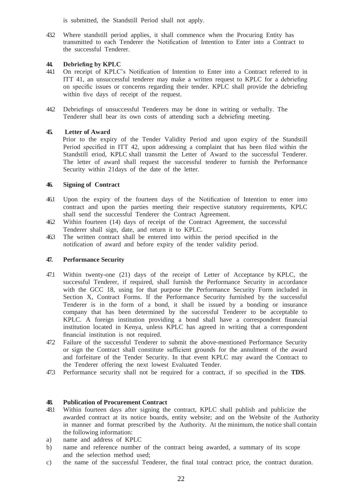is submitted, the Standstill Period shall not apply.

43.2 Where standstill period applies, it shall commence when the Procuring Entity has transmitted to each Tenderer the Notification of Intention to Enter into a Contract to the successful Tenderer.

## **44. Debriefing by KPLC**

- 44.1 On receipt of KPLC's Notification of Intention to Enter into a Contract referred to in ITT 41, an unsuccessful tenderer may make a written request to KPLC for a debriefing on specific issues or concerns regarding their tender. KPLC shall provide the debriefing within five days of receipt of the request.
- 44.2 Debriefings of unsuccessful Tenderers may be done in writing or verbally. The Tenderer shall bear its own costs of attending such a debriefing meeting.

# **45. Letter of Award**

 Prior to the expiry of the Tender Validity Period and upon expiry of the Standstill Period specified in ITT 42, upon addressing a complaint that has been filed within the Standstill eriod, KPLC shall transmit the Letter of Award to the successful Tenderer. The letter of award shall request the successful tenderer to furnish the Performance Security within 21days of the date of the letter.

# **46. Signing of Contract**

- 46.1 Upon the expiry of the fourteen days of the Notification of Intention to enter into contract and upon the parties meeting their respective statutory requirements, KPLC shall send the successful Tenderer the Contract Agreement.
- 46.2 Within fourteen (14) days of receipt of the Contract Agreement, the successful Tenderer shall sign, date, and return it to KPLC.
- 46.3 The written contract shall be entered into within the period specified in the notification of award and before expiry of the tender validity period.

# **47. Performance Security**

- 47.1 Within twenty-one (21) days of the receipt of Letter of Acceptance by KPLC, the successful Tenderer, if required, shall furnish the Performance Security in accordance with the GCC 18, using for that purpose the Performance Security Form included in Section X, Contract Forms. If the Performance Security furnished by the successful Tenderer is in the form of a bond, it shall be issued by a bonding or insurance company that has been determined by the successful Tenderer to be acceptable to KPLC. A foreign institution providing a bond shall have a correspondent financial institution located in Kenya, unless KPLC has agreed in writing that a correspondent financial institution is not required.
- 47.2 Failure of the successful Tenderer to submit the above-mentioned Performance Security or sign the Contract shall constitute sufficient grounds for the annulment of the award and forfeiture of the Tender Security. In that event KPLC may award the Contract to the Tenderer offering the next lowest Evaluated Tender.
- 47.3 Performance security shall not be required for a contract, if so specified in the **TDS**.

# **48. Publication of Procurement Contract**

- 48.1 Within fourteen days after signing the contract, KPLC shall publish and publicize the awarded contract at its notice boards, entity website; and on the Website of the Authority in manner and format prescribed by the Authority. At the minimum, the notice shall contain the following information:
- a) name and address of KPLC
- b) name and reference number of the contract being awarded, a summary of its scope and the selection method used;
- c) the name of the successful Tenderer, the final total contract price, the contract duration.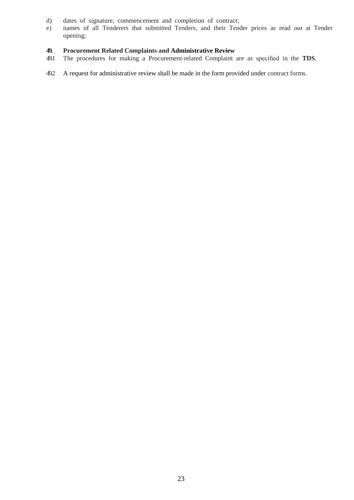- d) dates of signature, commencement and completion of contract;
- e) names of all Tenderers that submitted Tenders, and their Tender prices as read out at Tender opening;

# **49. Procurement Related Complaints and Administrative Review**

- 49.1 The procedures for making a Procurement-related Complaint are as specified in the **TDS**.
- 49.2 A request for administrative review shall be made in the form provided under contract forms.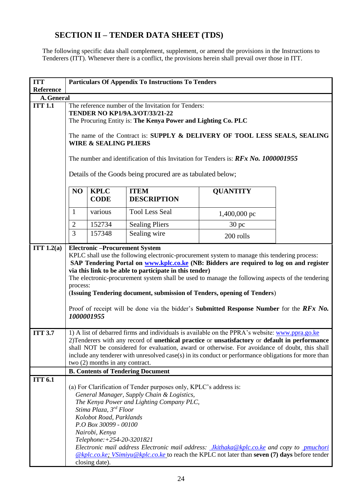# **SECTION II – TENDER DATA SHEET (TDS)**

<span id="page-24-0"></span>The following specific data shall complement, supplement, or amend the provisions in the Instructions to Tenderers (ITT). Whenever there is a conflict, the provisions herein shall prevail over those in ITT.

| <b>ITT</b>     | <b>Particulars Of Appendix To Instructions To Tenders</b>                                                                                                                                                                                                                                                                                                                                                                                                                                                                                                        |                            |                                   |                  |  |
|----------------|------------------------------------------------------------------------------------------------------------------------------------------------------------------------------------------------------------------------------------------------------------------------------------------------------------------------------------------------------------------------------------------------------------------------------------------------------------------------------------------------------------------------------------------------------------------|----------------------------|-----------------------------------|------------------|--|
| Reference      |                                                                                                                                                                                                                                                                                                                                                                                                                                                                                                                                                                  |                            |                                   |                  |  |
| A. General     |                                                                                                                                                                                                                                                                                                                                                                                                                                                                                                                                                                  |                            |                                   |                  |  |
| <b>ITT 1.1</b> | The reference number of the Invitation for Tenders:<br><b>TENDER NO KP1/9A.3/OT/33/21-22</b><br>The Procuring Entity is: The Kenya Power and Lighting Co. PLC<br>The name of the Contract is: SUPPLY & DELIVERY OF TOOL LESS SEALS, SEALING<br><b>WIRE &amp; SEALING PLIERS</b><br>The number and identification of this Invitation for Tenders is: $RFx$ No. 1000001955<br>Details of the Goods being procured are as tabulated below;                                                                                                                          |                            |                                   |                  |  |
|                | N <sub>O</sub>                                                                                                                                                                                                                                                                                                                                                                                                                                                                                                                                                   | <b>KPLC</b><br><b>CODE</b> | <b>ITEM</b><br><b>DESCRIPTION</b> | <b>QUANTITY</b>  |  |
|                | 1                                                                                                                                                                                                                                                                                                                                                                                                                                                                                                                                                                | various                    | <b>Tool Less Seal</b>             | 1,400,000 pc     |  |
|                | $\overline{2}$                                                                                                                                                                                                                                                                                                                                                                                                                                                                                                                                                   | 152734                     | <b>Sealing Pliers</b>             | 30 <sub>pc</sub> |  |
|                | 3                                                                                                                                                                                                                                                                                                                                                                                                                                                                                                                                                                | 157348                     | Sealing wire                      | 200 rolls        |  |
|                | KPLC shall use the following electronic-procurement system to manage this tendering process:<br>SAP Tendering Portal on www.kplc.co.ke (NB: Bidders are required to log on and register<br>via this link to be able to participate in this tender)<br>The electronic-procurement system shall be used to manage the following aspects of the tendering<br>process:<br>(Issuing Tendering document, submission of Tenders, opening of Tenders)<br>Proof of receipt will be done via the bidder's <b>Submitted Response Number</b> for the $RFx$ No.<br>1000001955 |                            |                                   |                  |  |
| <b>ITT 3.7</b> | 1) A list of debarred firms and individuals is available on the PPRA's website: www.ppra.go.ke<br>2) Tenderers with any record of <b>unethical practice</b> or <b>unsatisfactory</b> or <b>default in performance</b><br>shall NOT be considered for evaluation, award or otherwise. For avoidance of doubt, this shall<br>include any tenderer with unresolved case(s) in its conduct or performance obligations for more than<br>two (2) months in any contract.                                                                                               |                            |                                   |                  |  |
|                | <b>B. Contents of Tendering Document</b>                                                                                                                                                                                                                                                                                                                                                                                                                                                                                                                         |                            |                                   |                  |  |
| <b>ITT 6.1</b> | (a) For Clarification of Tender purposes only, KPLC's address is:<br>General Manager, Supply Chain & Logistics,<br>The Kenya Power and Lighting Company PLC,<br>Stima Plaza, 3rd Floor<br>Kolobot Road, Parklands<br>P.O Box 30099 - 00100<br>Nairobi, Kenya<br>Telephone: +254-20-3201821<br>Electronic mail address Electronic mail address: <i>Jkithaka@kplc.co.ke and copy to pmuchori</i><br>$@kplc.coke$ ; <i>VSimiyu</i> $@kplc.coke$ to reach the KPLC not later than seven (7) days before tender<br>closing date).                                     |                            |                                   |                  |  |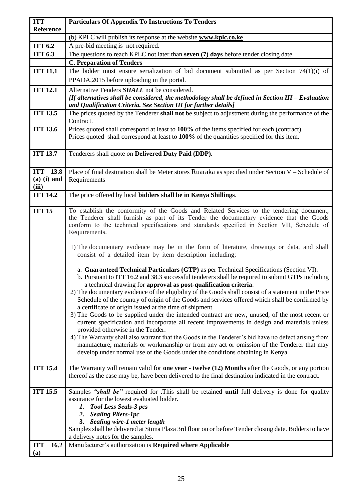| <b>ITT</b><br>Reference               | <b>Particulars Of Appendix To Instructions To Tenders</b>                                                                                                                                                                                                                                                                                                                                                                                                                                                                                                                                                                                                                                                                                                                                                                                                                                                                                                                                                                                                            |
|---------------------------------------|----------------------------------------------------------------------------------------------------------------------------------------------------------------------------------------------------------------------------------------------------------------------------------------------------------------------------------------------------------------------------------------------------------------------------------------------------------------------------------------------------------------------------------------------------------------------------------------------------------------------------------------------------------------------------------------------------------------------------------------------------------------------------------------------------------------------------------------------------------------------------------------------------------------------------------------------------------------------------------------------------------------------------------------------------------------------|
|                                       | (b) KPLC will publish its response at the website www.kplc.co.ke                                                                                                                                                                                                                                                                                                                                                                                                                                                                                                                                                                                                                                                                                                                                                                                                                                                                                                                                                                                                     |
| ITT 6.2                               | A pre-bid meeting is not required.                                                                                                                                                                                                                                                                                                                                                                                                                                                                                                                                                                                                                                                                                                                                                                                                                                                                                                                                                                                                                                   |
| <b>ITT 6.3</b>                        | The questions to reach KPLC not later than seven (7) days before tender closing date.                                                                                                                                                                                                                                                                                                                                                                                                                                                                                                                                                                                                                                                                                                                                                                                                                                                                                                                                                                                |
|                                       | <b>C. Preparation of Tenders</b>                                                                                                                                                                                                                                                                                                                                                                                                                                                                                                                                                                                                                                                                                                                                                                                                                                                                                                                                                                                                                                     |
| <b>ITT 11.1</b>                       | The bidder must ensure serialization of bid document submitted as per Section $74(1)(i)$ of                                                                                                                                                                                                                                                                                                                                                                                                                                                                                                                                                                                                                                                                                                                                                                                                                                                                                                                                                                          |
|                                       | PPADA, 2015 before uploading in the portal.                                                                                                                                                                                                                                                                                                                                                                                                                                                                                                                                                                                                                                                                                                                                                                                                                                                                                                                                                                                                                          |
| <b>ITT 12.1</b>                       | Alternative Tenders <b>SHALL</b> not be considered.                                                                                                                                                                                                                                                                                                                                                                                                                                                                                                                                                                                                                                                                                                                                                                                                                                                                                                                                                                                                                  |
|                                       | [If alternatives shall be considered, the methodology shall be defined in Section III - Evaluation                                                                                                                                                                                                                                                                                                                                                                                                                                                                                                                                                                                                                                                                                                                                                                                                                                                                                                                                                                   |
|                                       | and Qualification Criteria. See Section III for further details]                                                                                                                                                                                                                                                                                                                                                                                                                                                                                                                                                                                                                                                                                                                                                                                                                                                                                                                                                                                                     |
| <b>ITT 13.5</b>                       | The prices quoted by the Tenderer shall not be subject to adjustment during the performance of the<br>Contract.                                                                                                                                                                                                                                                                                                                                                                                                                                                                                                                                                                                                                                                                                                                                                                                                                                                                                                                                                      |
| <b>ITT 13.6</b>                       | Prices quoted shall correspond at least to 100% of the items specified for each (contract).<br>Prices quoted shall correspond at least to 100% of the quantities specified for this item.                                                                                                                                                                                                                                                                                                                                                                                                                                                                                                                                                                                                                                                                                                                                                                                                                                                                            |
| <b>ITT 13.7</b>                       | Tenderers shall quote on Delivered Duty Paid (DDP).                                                                                                                                                                                                                                                                                                                                                                                                                                                                                                                                                                                                                                                                                                                                                                                                                                                                                                                                                                                                                  |
| ITT 13.8                              | Place of final destination shall be Meter stores Ruaraka as specified under Section V – Schedule of                                                                                                                                                                                                                                                                                                                                                                                                                                                                                                                                                                                                                                                                                                                                                                                                                                                                                                                                                                  |
| $(a)$ (i) and<br>(iii)                | Requirements                                                                                                                                                                                                                                                                                                                                                                                                                                                                                                                                                                                                                                                                                                                                                                                                                                                                                                                                                                                                                                                         |
| <b>ITT 14.2</b>                       | The price offered by local bidders shall be in Kenya Shillings.                                                                                                                                                                                                                                                                                                                                                                                                                                                                                                                                                                                                                                                                                                                                                                                                                                                                                                                                                                                                      |
|                                       |                                                                                                                                                                                                                                                                                                                                                                                                                                                                                                                                                                                                                                                                                                                                                                                                                                                                                                                                                                                                                                                                      |
| <b>ITT 15</b>                         | To establish the conformity of the Goods and Related Services to the tendering document,<br>the Tenderer shall furnish as part of its Tender the documentary evidence that the Goods<br>conform to the technical specifications and standards specified in Section VII, Schedule of<br>Requirements.<br>1) The documentary evidence may be in the form of literature, drawings or data, and shall<br>consist of a detailed item by item description including;                                                                                                                                                                                                                                                                                                                                                                                                                                                                                                                                                                                                       |
|                                       | a. Guaranteed Technical Particulars (GTP) as per Technical Specifications (Section VI).<br>b. Pursuant to ITT 16.2 and 38.3 successful tenderers shall be required to submit GTPs including<br>a technical drawing for approval as post-qualification criteria.<br>2) The documentary evidence of the eligibility of the Goods shall consist of a statement in the Price<br>Schedule of the country of origin of the Goods and services offered which shall be confirmed by<br>a certificate of origin issued at the time of shipment.<br>3) The Goods to be supplied under the intended contract are new, unused, of the most recent or<br>current specification and incorporate all recent improvements in design and materials unless<br>provided otherwise in the Tender.<br>4) The Warranty shall also warrant that the Goods in the Tenderer's bid have no defect arising from<br>manufacture, materials or workmanship or from any act or omission of the Tenderer that may<br>develop under normal use of the Goods under the conditions obtaining in Kenya. |
| <b>ITT 15.4</b>                       | The Warranty will remain valid for one year - twelve (12) Months after the Goods, or any portion<br>thereof as the case may be, have been delivered to the final destination indicated in the contract.                                                                                                                                                                                                                                                                                                                                                                                                                                                                                                                                                                                                                                                                                                                                                                                                                                                              |
| <b>ITT 15.5</b><br>16.2<br><b>ITT</b> | Samples "shall be" required for .This shall be retained until full delivery is done for quality<br>assurance for the lowest evaluated bidder.<br>1. Tool Less Seals-3 pcs<br>2. Sealing Pliers-1pc<br>3. Sealing wire-1 meter length<br>Samples shall be delivered at Stima Plaza 3rd floor on or before Tender closing date. Bidders to have<br>a delivery notes for the samples.<br>Manufacturer's authorization is Required where Applicable                                                                                                                                                                                                                                                                                                                                                                                                                                                                                                                                                                                                                      |
| (a)                                   |                                                                                                                                                                                                                                                                                                                                                                                                                                                                                                                                                                                                                                                                                                                                                                                                                                                                                                                                                                                                                                                                      |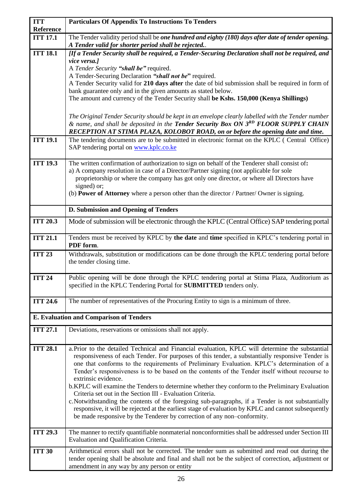| <b>ITT</b><br>Reference | <b>Particulars Of Appendix To Instructions To Tenders</b>                                                                                                                                                                                                                                                                                                                                                                                                                                                                       |
|-------------------------|---------------------------------------------------------------------------------------------------------------------------------------------------------------------------------------------------------------------------------------------------------------------------------------------------------------------------------------------------------------------------------------------------------------------------------------------------------------------------------------------------------------------------------|
| <b>ITT 17.1</b>         | The Tender validity period shall be one hundred and eighty (180) days after date of tender opening.                                                                                                                                                                                                                                                                                                                                                                                                                             |
|                         | A Tender valid for shorter period shall be rejected                                                                                                                                                                                                                                                                                                                                                                                                                                                                             |
| <b>ITT 18.1</b>         | [If a Tender Security shall be required, a Tender-Securing Declaration shall not be required, and                                                                                                                                                                                                                                                                                                                                                                                                                               |
|                         | vice versa.]                                                                                                                                                                                                                                                                                                                                                                                                                                                                                                                    |
|                         | A Tender Security "shall be" required.                                                                                                                                                                                                                                                                                                                                                                                                                                                                                          |
|                         | A Tender-Securing Declaration "shall not be" required.<br>A Tender Security valid for 210 days after the date of bid submission shall be required in form of                                                                                                                                                                                                                                                                                                                                                                    |
|                         | bank guarantee only and in the given amounts as stated below.                                                                                                                                                                                                                                                                                                                                                                                                                                                                   |
|                         | The amount and currency of the Tender Security shall be Kshs. 150,000 (Kenya Shillings)                                                                                                                                                                                                                                                                                                                                                                                                                                         |
|                         |                                                                                                                                                                                                                                                                                                                                                                                                                                                                                                                                 |
|                         | The Original Tender Security should be kept in an envelope clearly labelled with the Tender number<br>& name, and shall be deposited in the Tender Security Box ON 3RD FLOOR SUPPLY CHAIN<br>RECEPTION AT STIMA PLAZA, KOLOBOT ROAD, on or before the opening date and time.                                                                                                                                                                                                                                                    |
| <b>ITT 19.1</b>         | The tendering documents are to be submitted in electronic format on the KPLC (Central Office)                                                                                                                                                                                                                                                                                                                                                                                                                                   |
|                         | SAP tendering portal on www.kplc.co.ke                                                                                                                                                                                                                                                                                                                                                                                                                                                                                          |
| <b>ITT 19.3</b>         | The written confirmation of authorization to sign on behalf of the Tenderer shall consist of:                                                                                                                                                                                                                                                                                                                                                                                                                                   |
|                         | a) A company resolution in case of a Director/Partner signing (not applicable for sole                                                                                                                                                                                                                                                                                                                                                                                                                                          |
|                         | proprietorship or where the company has got only one director, or where all Directors have                                                                                                                                                                                                                                                                                                                                                                                                                                      |
|                         | signed) or;<br>(b) <b>Power of Attorney</b> where a person other than the director / Partner/ Owner is signing.                                                                                                                                                                                                                                                                                                                                                                                                                 |
|                         |                                                                                                                                                                                                                                                                                                                                                                                                                                                                                                                                 |
|                         | D. Submission and Opening of Tenders                                                                                                                                                                                                                                                                                                                                                                                                                                                                                            |
| <b>ITT 20.3</b>         | Mode of submission will be electronic through the KPLC (Central Office) SAP tendering portal                                                                                                                                                                                                                                                                                                                                                                                                                                    |
| <b>ITT 21.1</b>         | Tenders must be received by KPLC by the date and time specified in KPLC's tendering portal in<br>PDF form.                                                                                                                                                                                                                                                                                                                                                                                                                      |
| <b>ITT 23</b>           | Withdrawals, substitution or modifications can be done through the KPLC tendering portal before<br>the tender closing time.                                                                                                                                                                                                                                                                                                                                                                                                     |
| <b>ITT 24</b>           | Public opening will be done through the KPLC tendering portal at Stima Plaza, Auditorium as<br>specified in the KPLC Tendering Portal for SUBMITTED tenders only.                                                                                                                                                                                                                                                                                                                                                               |
| <b>ITT 24.6</b>         | The number of representatives of the Procuring Entity to sign is a minimum of three.                                                                                                                                                                                                                                                                                                                                                                                                                                            |
|                         | <b>E. Evaluation and Comparison of Tenders</b>                                                                                                                                                                                                                                                                                                                                                                                                                                                                                  |
| <b>ITT 27.1</b>         | Deviations, reservations or omissions shall not apply.                                                                                                                                                                                                                                                                                                                                                                                                                                                                          |
| <b>ITT 28.1</b>         | a. Prior to the detailed Technical and Financial evaluation, KPLC will determine the substantial<br>responsiveness of each Tender. For purposes of this tender, a substantially responsive Tender is<br>one that conforms to the requirements of Preliminary Evaluation. KPLC's determination of a<br>Tender's responsiveness is to be based on the contents of the Tender itself without recourse to<br>extrinsic evidence.<br>b.KPLC will examine the Tenders to determine whether they conform to the Preliminary Evaluation |
|                         | Criteria set out in the Section III - Evaluation Criteria.<br>c. Notwithstanding the contents of the foregoing sub-paragraphs, if a Tender is not substantially<br>responsive, it will be rejected at the earliest stage of evaluation by KPLC and cannot subsequently<br>be made responsive by the Tenderer by correction of any non-conformity.                                                                                                                                                                               |
| <b>ITT 29.3</b>         | The manner to rectify quantifiable nonmaterial nonconformities shall be addressed under Section III<br>Evaluation and Qualification Criteria.                                                                                                                                                                                                                                                                                                                                                                                   |
| <b>ITT 30</b>           | Arithmetical errors shall not be corrected. The tender sum as submitted and read out during the<br>tender opening shall be absolute and final and shall not be the subject of correction, adjustment or<br>amendment in any way by any person or entity                                                                                                                                                                                                                                                                         |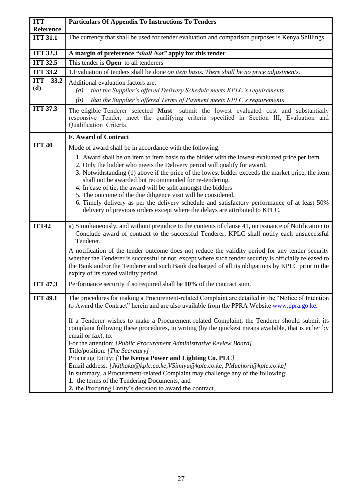| <b>ITT</b>                   | <b>Particulars Of Appendix To Instructions To Tenders</b>                                                                                                                                                                                                                                                                                                                                                                                                                                                                                                                     |
|------------------------------|-------------------------------------------------------------------------------------------------------------------------------------------------------------------------------------------------------------------------------------------------------------------------------------------------------------------------------------------------------------------------------------------------------------------------------------------------------------------------------------------------------------------------------------------------------------------------------|
| Reference<br><b>ITT 31.1</b> | The currency that shall be used for tender evaluation and comparison purposes is Kenya Shillings.                                                                                                                                                                                                                                                                                                                                                                                                                                                                             |
|                              |                                                                                                                                                                                                                                                                                                                                                                                                                                                                                                                                                                               |
| <b>ITT 32.3</b>              | A margin of preference "shall Not" apply for this tender                                                                                                                                                                                                                                                                                                                                                                                                                                                                                                                      |
| <b>ITT 32.5</b>              | This tender is <b>Open</b> to all tenderers                                                                                                                                                                                                                                                                                                                                                                                                                                                                                                                                   |
| <b>ITT 33.2</b>              | 1. Evaluation of tenders shall be done on item basis. There shall be no price adjustments.                                                                                                                                                                                                                                                                                                                                                                                                                                                                                    |
| <b>ITT</b><br>33.2           | Additional evaluation factors are:                                                                                                                                                                                                                                                                                                                                                                                                                                                                                                                                            |
| (d)                          | that the Supplier's offered Delivery Schedule meets KPLC's requirements<br>$\left(a\right)$                                                                                                                                                                                                                                                                                                                                                                                                                                                                                   |
|                              | that the Supplier's offered Terms of Payment meets KPLC's requirements<br>(b)                                                                                                                                                                                                                                                                                                                                                                                                                                                                                                 |
| <b>ITT 37.3</b>              | The eligible Tenderer selected <b>Must</b> submit the lowest evaluated cost and substantially<br>responsive Tender, meet the qualifying criteria specified in Section III, Evaluation and<br>Qualification Criteria.                                                                                                                                                                                                                                                                                                                                                          |
|                              | <b>F. Award of Contract</b>                                                                                                                                                                                                                                                                                                                                                                                                                                                                                                                                                   |
| <b>ITT 40</b>                | Mode of award shall be in accordance with the following:                                                                                                                                                                                                                                                                                                                                                                                                                                                                                                                      |
|                              | 1. Award shall be on item to item basis to the bidder with the lowest evaluated price per item.<br>2. Only the bidder who meets the Delivery period will qualify for award.<br>3. Notwithstanding (1) above if the price of the lowest bidder exceeds the market price, the item<br>shall not be awarded but recommended for re-tendering.<br>4. In case of tie, the award will be split amongst the bidders<br>5. The outcome of the due diligence visit will be considered.<br>6. Timely delivery as per the delivery schedule and satisfactory performance of at least 50% |
| <b>ITT42</b>                 | delivery of previous orders except where the delays are attributed to KPLC.<br>a) Simultaneously, and without prejudice to the contents of clause 41, on issuance of Notification to<br>Conclude award of contract to the successful Tenderer, KPLC shall notify each unsuccessful                                                                                                                                                                                                                                                                                            |
|                              | Tenderer.                                                                                                                                                                                                                                                                                                                                                                                                                                                                                                                                                                     |
|                              | A notification of the tender outcome does not reduce the validity period for any tender security<br>whether the Tenderer is successful or not, except where such tender security is officially released to<br>the Bank and/or the Tenderer and such Bank discharged of all its obligations by KPLC prior to the<br>expiry of its stated validity period                                                                                                                                                                                                                       |
| <b>ITT 47.3</b>              | Performance security if so required shall be 10% of the contract sum.                                                                                                                                                                                                                                                                                                                                                                                                                                                                                                         |
| <b>ITT 49.1</b>              | The procedures for making a Procurement-related Complaint are detailed in the "Notice of Intention"<br>to Award the Contract" herein and are also available from the PPRA Website www.ppra.go.ke.                                                                                                                                                                                                                                                                                                                                                                             |
|                              | If a Tenderer wishes to make a Procurement-related Complaint, the Tenderer should submit its<br>complaint following these procedures, in writing (by the quickest means available, that is either by<br>email or fax), to:                                                                                                                                                                                                                                                                                                                                                    |
|                              | For the attention: [Public Procurement Administrative Review Board]<br>Title/position: [The Secretary]                                                                                                                                                                                                                                                                                                                                                                                                                                                                        |
|                              | Procuring Entity: [The Kenya Power and Lighting Co. PLC]                                                                                                                                                                                                                                                                                                                                                                                                                                                                                                                      |
|                              | Email address: [Jkithaka@kplc.co.ke, VSimiyu@kplc.co.ke, PMuchori@kplc.co.ke]                                                                                                                                                                                                                                                                                                                                                                                                                                                                                                 |
|                              | In summary, a Procurement-related Complaint may challenge any of the following:                                                                                                                                                                                                                                                                                                                                                                                                                                                                                               |
|                              | 1. the terms of the Tendering Documents; and<br>2. the Procuring Entity's decision to award the contract.                                                                                                                                                                                                                                                                                                                                                                                                                                                                     |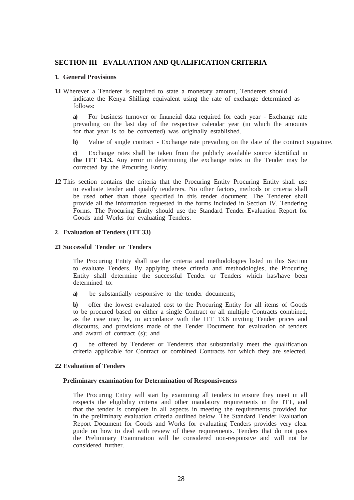# <span id="page-28-0"></span>**SECTION III - EVALUATION AND QUALIFICATION CRITERIA**

#### **1. General Provisions**

**1.1** Wherever a Tenderer is required to state a monetary amount, Tenderers should indicate the Kenya Shilling equivalent using the rate of exchange determined as follows:

**a)** For business turnover or financial data required for each year - Exchange rate prevailing on the last day of the respective calendar year (in which the amounts for that year is to be converted) was originally established.

**b)** Value of single contract - Exchange rate prevailing on the date of the contract signature.

**c)** Exchange rates shall be taken from the publicly available source identified in **the ITT 14.3.** Any error in determining the exchange rates in the Tender may be corrected by the Procuring Entity.

**1.2** This section contains the criteria that the Procuring Entity Procuring Entity shall use to evaluate tender and qualify tenderers. No other factors, methods or criteria shall be used other than those specified in this tender document. The Tenderer shall provide all the information requested in the forms included in Section IV, Tendering Forms. The Procuring Entity should use the Standard Tender Evaluation Report for Goods and Works for evaluating Tenders.

#### **2. Evaluation of Tenders (ITT 33)**

#### **2.1 Successful Tender or Tenders**

The Procuring Entity shall use the criteria and methodologies listed in this Section to evaluate Tenders. By applying these criteria and methodologies, the Procuring Entity shall determine the successful Tender or Tenders which has/have been determined to:

**a)** be substantially responsive to the tender documents;

**b)** offer the lowest evaluated cost to the Procuring Entity for all items of Goods to be procured based on either a single Contract or all multiple Contracts combined, as the case may be, in accordance with the ITT 13.6 inviting Tender prices and discounts, and provisions made of the Tender Document for evaluation of tenders and award of contract (s); and

**c)** be offered by Tenderer or Tenderers that substantially meet the qualification criteria applicable for Contract or combined Contracts for which they are selected.

#### **2.2 Evaluation of Tenders**

#### **Preliminary examination for Determination of Responsiveness**

The Procuring Entity will start by examining all tenders to ensure they meet in all respects the eligibility criteria and other mandatory requirements in the ITT, and that the tender is complete in all aspects in meeting the requirements provided for in the preliminary evaluation criteria outlined below. The Standard Tender Evaluation Report Document for Goods and Works for evaluating Tenders provides very clear guide on how to deal with review of these requirements. Tenders that do not pass the Preliminary Examination will be considered non-responsive and will not be considered further.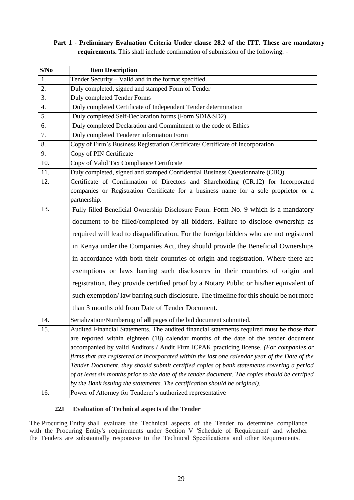**Part 1 - Preliminary Evaluation Criteria Under clause 28.2 of the ITT. These are mandatory requirements.** This shall include confirmation of submission of the following: -

| S/No | <b>Item Description</b>                                                                         |  |  |  |
|------|-------------------------------------------------------------------------------------------------|--|--|--|
| 1.   | Tender Security – Valid and in the format specified.                                            |  |  |  |
| 2.   | Duly completed, signed and stamped Form of Tender                                               |  |  |  |
| 3.   | <b>Duly completed Tender Forms</b>                                                              |  |  |  |
| 4.   | Duly completed Certificate of Independent Tender determination                                  |  |  |  |
| 5.   | Duly completed Self-Declaration forms (Form SD1&SD2)                                            |  |  |  |
| 6.   | Duly completed Declaration and Commitment to the code of Ethics                                 |  |  |  |
| 7.   | Duly completed Tenderer information Form                                                        |  |  |  |
| 8.   | Copy of Firm's Business Registration Certificate/ Certificate of Incorporation                  |  |  |  |
| 9.   | Copy of PIN Certificate                                                                         |  |  |  |
| 10.  | Copy of Valid Tax Compliance Certificate                                                        |  |  |  |
| 11.  | Duly completed, signed and stamped Confidential Business Questionnaire (CBQ)                    |  |  |  |
| 12.  | Certificate of Confirmation of Directors and Shareholding (CR.12) for Incorporated              |  |  |  |
|      | companies or Registration Certificate for a business name for a sole proprietor or a            |  |  |  |
|      | partnership.                                                                                    |  |  |  |
| 13.  | Fully filled Beneficial Ownership Disclosure Form. Form No. 9 which is a mandatory              |  |  |  |
|      | document to be filled/completed by all bidders. Failure to disclose ownership as                |  |  |  |
|      | required will lead to disqualification. For the foreign bidders who are not registered          |  |  |  |
|      | in Kenya under the Companies Act, they should provide the Beneficial Ownerships                 |  |  |  |
|      | in accordance with both their countries of origin and registration. Where there are             |  |  |  |
|      | exemptions or laws barring such disclosures in their countries of origin and                    |  |  |  |
|      | registration, they provide certified proof by a Notary Public or his/her equivalent of          |  |  |  |
|      | such exemption/law barring such disclosure. The timeline for this should be not more            |  |  |  |
|      | than 3 months old from Date of Tender Document.                                                 |  |  |  |
| 14.  | Serialization/Numbering of all pages of the bid document submitted.                             |  |  |  |
| 15.  | Audited Financial Statements. The audited financial statements required must be those that      |  |  |  |
|      | are reported within eighteen (18) calendar months of the date of the tender document            |  |  |  |
|      | accompanied by valid Auditors / Audit Firm ICPAK practicing license. (For companies or          |  |  |  |
|      | firms that are registered or incorporated within the last one calendar year of the Date of the  |  |  |  |
|      | Tender Document, they should submit certified copies of bank statements covering a period       |  |  |  |
|      | of at least six months prior to the date of the tender document. The copies should be certified |  |  |  |
|      | by the Bank issuing the statements. The certification should be original).                      |  |  |  |
| 16.  | Power of Attorney for Tenderer's authorized representative                                      |  |  |  |

# **2.2.1 Evaluation of Technical aspects of the Tender**

The Procuring Entity shall evaluate the Technical aspects of the Tender to determine compliance with the Procuring Entity's requirements under Section V 'Schedule of Requirement' and whether the Tenders are substantially responsive to the Technical Specifications and other Requirements.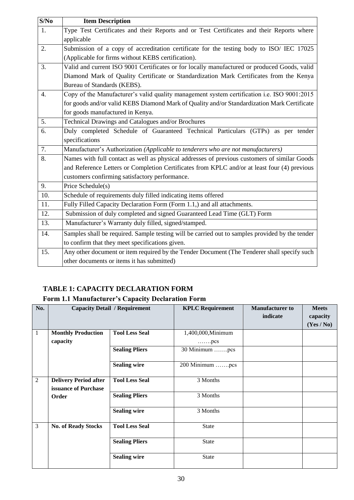| S/No | <b>Item Description</b>                                                                         |
|------|-------------------------------------------------------------------------------------------------|
| 1.   | Type Test Certificates and their Reports and or Test Certificates and their Reports where       |
|      | applicable                                                                                      |
| 2.   | Submission of a copy of accreditation certificate for the testing body to ISO/ IEC 17025        |
|      | (Applicable for firms without KEBS certification).                                              |
| 3.   | Valid and current ISO 9001 Certificates or for locally manufactured or produced Goods, valid    |
|      | Diamond Mark of Quality Certificate or Standardization Mark Certificates from the Kenya         |
|      | Bureau of Standards (KEBS).                                                                     |
| 4.   | Copy of the Manufacturer's valid quality management system certification i.e. ISO 9001:2015     |
|      | for goods and/or valid KEBS Diamond Mark of Quality and/or Standardization Mark Certificate     |
|      | for goods manufactured in Kenya.                                                                |
| 5.   | Technical Drawings and Catalogues and/or Brochures                                              |
| 6.   | Duly completed Schedule of Guaranteed Technical Particulars (GTPs) as per tender                |
|      | specifications                                                                                  |
| 7.   | Manufacturer's Authorization (Applicable to tenderers who are not manufacturers)                |
| 8.   | Names with full contact as well as physical addresses of previous customers of similar Goods    |
|      | and Reference Letters or Completion Certificates from KPLC and/or at least four (4) previous    |
|      | customers confirming satisfactory performance.                                                  |
| 9.   | Price Schedule(s)                                                                               |
| 10.  | Schedule of requirements duly filled indicating items offered                                   |
| 11.  | Fully Filled Capacity Declaration Form (Form 1.1,) and all attachments.                         |
| 12.  | Submission of duly completed and signed Guaranteed Lead Time (GLT) Form                         |
| 13.  | Manufacturer's Warranty duly filled, signed/stamped.                                            |
| 14.  | Samples shall be required. Sample testing will be carried out to samples provided by the tender |
|      | to confirm that they meet specifications given.                                                 |
| 15.  | Any other document or item required by the Tender Document (The Tenderer shall specify such     |
|      | other documents or items it has submitted)                                                      |

# **TABLE 1: CAPACITY DECLARATION FORM**

# **Form 1.1 Manufacturer's Capacity Declaration Form**

| No.            |                                                      | <b>Capacity Detail / Requirement</b> | <b>KPLC Requirement</b>                    | <b>Manufacturer to</b><br>indicate | <b>Meets</b><br>capacity<br>(Yes / No) |
|----------------|------------------------------------------------------|--------------------------------------|--------------------------------------------|------------------------------------|----------------------------------------|
| 1              | <b>Monthly Production</b><br>capacity                | <b>Tool Less Seal</b>                | 1,400,000, Minimum<br>$\ldots \ldots$ .pcs |                                    |                                        |
|                |                                                      | <b>Sealing Pliers</b>                | 30 Minimum pcs                             |                                    |                                        |
|                |                                                      | <b>Sealing wire</b>                  | 200 Minimum pcs                            |                                    |                                        |
| $\overline{2}$ | <b>Delivery Period after</b><br>issuance of Purchase | <b>Tool Less Seal</b>                | 3 Months                                   |                                    |                                        |
|                | Order                                                | <b>Sealing Pliers</b>                | 3 Months                                   |                                    |                                        |
|                |                                                      | <b>Sealing wire</b>                  | 3 Months                                   |                                    |                                        |
| 3              | <b>No. of Ready Stocks</b>                           | <b>Tool Less Seal</b>                | State                                      |                                    |                                        |
|                |                                                      | <b>Sealing Pliers</b>                | State                                      |                                    |                                        |
|                |                                                      | <b>Sealing wire</b>                  | <b>State</b>                               |                                    |                                        |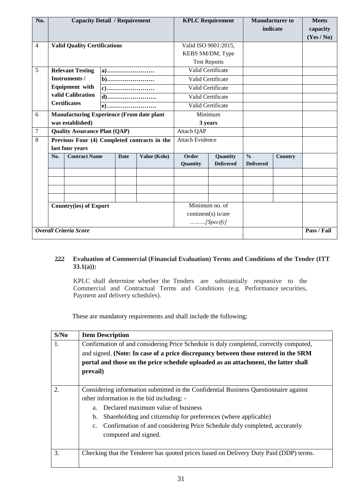| No.    | <b>Capacity Detail / Requirement</b>                       |                                     |                   |                                    |                                   | <b>KPLC Requirement</b> |  | <b>Manufacturer</b> to<br>indicate | <b>Meets</b><br>capacity<br>(Yes / No) |
|--------|------------------------------------------------------------|-------------------------------------|-------------------|------------------------------------|-----------------------------------|-------------------------|--|------------------------------------|----------------------------------------|
| 4      |                                                            | <b>Valid Quality Certifications</b> |                   |                                    |                                   | Valid ISO 9001:2015,    |  |                                    |                                        |
|        |                                                            |                                     |                   |                                    |                                   | KEBS SM/DM, Type        |  |                                    |                                        |
|        |                                                            |                                     |                   |                                    |                                   | <b>Test Reports</b>     |  |                                    |                                        |
| 5      | <b>Relevant Testing</b><br>a)                              |                                     |                   |                                    |                                   | Valid Certificate       |  |                                    |                                        |
|        |                                                            | Instruments /                       |                   |                                    |                                   | Valid Certificate       |  |                                    |                                        |
|        |                                                            | <b>Equipment</b> with               |                   |                                    |                                   | Valid Certificate       |  |                                    |                                        |
|        |                                                            | valid Calibration                   |                   |                                    |                                   | Valid Certificate       |  |                                    |                                        |
|        |                                                            | <b>Certificates</b>                 |                   |                                    | Valid Certificate                 |                         |  |                                    |                                        |
| 6      | <b>Manufacturing Experience (From date plant</b>           |                                     |                   | Minimum                            |                                   |                         |  |                                    |                                        |
|        |                                                            | was established)                    |                   |                                    | 3 years                           |                         |  |                                    |                                        |
| $\tau$ | <b>Quality Assurance Plan (QAP)</b>                        |                                     |                   |                                    | Attach QAP                        |                         |  |                                    |                                        |
| 8      | Previous Four (4) Completed contracts in the               |                                     |                   | <b>Attach Evidence</b>             |                                   |                         |  |                                    |                                        |
|        | last four years                                            |                                     |                   |                                    |                                   |                         |  |                                    |                                        |
|        | <b>Contract Name</b><br>Value (Kshs)<br><b>Date</b><br>No. |                                     | Order<br>Quantity | Quantity<br><b>Delivered</b>       | $\frac{0}{0}$<br><b>Delivered</b> | Country                 |  |                                    |                                        |
|        |                                                            |                                     |                   |                                    |                                   |                         |  |                                    |                                        |
|        |                                                            |                                     |                   |                                    |                                   |                         |  |                                    |                                        |
|        |                                                            |                                     |                   |                                    |                                   |                         |  |                                    |                                        |
|        | <b>Country(ies) of Export</b>                              |                                     |                   | $\overline{\text{Minimum}}$ no. of |                                   |                         |  |                                    |                                        |
|        |                                                            |                                     |                   |                                    |                                   | continent(s) is/are     |  |                                    |                                        |
|        |                                                            |                                     |                   |                                    |                                   | $$ [Specify]            |  |                                    |                                        |
|        | <b>Overall Criteria Score</b>                              |                                     |                   |                                    |                                   |                         |  |                                    | Pass / Fail                            |

# **2.2.2 Evaluation of Commercial (Financial Evaluation) Terms and Conditions of the Tender (ITT 33.1(a)):**

KPLC shall determine whether the Tenders are substantially responsive to the Commercial and Contractual Terms and Conditions (e.g. Performance securities, Payment and delivery schedules).

These are mandatory requirements and shall include the following;

| S/No | <b>Item Description</b>                                                                     |  |  |  |  |  |
|------|---------------------------------------------------------------------------------------------|--|--|--|--|--|
| 1.   | Confirmation of and considering Price Schedule is duly completed, correctly computed,       |  |  |  |  |  |
|      | and signed. (Note: In case of a price discrepancy between those entered in the SRM          |  |  |  |  |  |
|      | portal and those on the price schedule uploaded as an attachment, the latter shall          |  |  |  |  |  |
|      | prevail)                                                                                    |  |  |  |  |  |
|      |                                                                                             |  |  |  |  |  |
| 2.   | Considering information submitted in the Confidential Business Questionnaire against        |  |  |  |  |  |
|      | other information in the bid including: -                                                   |  |  |  |  |  |
|      | Declared maximum value of business<br>a.                                                    |  |  |  |  |  |
|      | Shareholding and citizenship for preferences (where applicable)<br>$\mathbf{b}$ .           |  |  |  |  |  |
|      | Confirmation of and considering Price Schedule duly completed, accurately<br>$\mathbf{c}$ . |  |  |  |  |  |
|      | computed and signed.                                                                        |  |  |  |  |  |
|      |                                                                                             |  |  |  |  |  |
| 3.   | Checking that the Tenderer has quoted prices based on Delivery Duty Paid (DDP) terms.       |  |  |  |  |  |
|      |                                                                                             |  |  |  |  |  |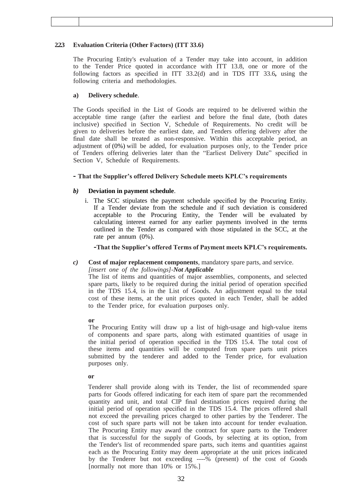## **2.2.3 Evaluation Criteria (Other Factors) (ITT 33.6)**

The Procuring Entity's evaluation of a Tender may take into account, in addition to the Tender Price quoted in accordance with ITT 13.8, one or more of the following factors as specified in ITT 33.2(d) and in TDS ITT 33.6**,** using the following criteria and methodologies.

## **a) Delivery schedule**.

The Goods specified in the List of Goods are required to be delivered within the acceptable time range (after the earliest and before the final date, (both dates inclusive) specified in Section V, Schedule of Requirements. No credit will be given to deliveries before the earliest date, and Tenders offering delivery after the final date shall be treated as non-responsive. Within this acceptable period, an adjustment of (0%) will be added, for evaluation purposes only, to the Tender price of Tenders offering deliveries later than the "Earliest Delivery Date" specified in Section V, Schedule of Requirements.

# **- That the Supplier's offered Delivery Schedule meets KPLC's requirements**

# *b)* **Deviation in payment schedule**.

i. The SCC stipulates the payment schedule specified by the Procuring Entity. If a Tender deviate from the schedule and if such deviation is considered acceptable to the Procuring Entity, the Tender will be evaluated by calculating interest earned for any earlier payments involved in the terms outlined in the Tender as compared with those stipulated in the SCC, at the rate per annum (0%).

**-That the Supplier's offered Terms of Payment meets KPLC's requirements.**

## *c)* **Cost of major replacement components**, mandatory spare parts, and service.

*[insert one of the followings]-Not Applicable*

The list of items and quantities of major assemblies, components, and selected spare parts, likely to be required during the initial period of operation specified in the TDS 15.4, is in the List of Goods. An adjustment equal to the total cost of these items, at the unit prices quoted in each Tender, shall be added to the Tender price, for evaluation purposes only.

## **or**

The Procuring Entity will draw up a list of high-usage and high-value items of components and spare parts, along with estimated quantities of usage in the initial period of operation specified in the TDS 15.4. The total cost of these items and quantities will be computed from spare parts unit prices submitted by the tenderer and added to the Tender price, for evaluation purposes only.

#### **or**

Tenderer shall provide along with its Tender, the list of recommended spare parts for Goods offered indicating for each item of spare part the recommended quantity and unit, and total CIP final destination prices required during the initial period of operation specified in the TDS 15.4. The prices offered shall not exceed the prevailing prices charged to other parties by the Tenderer. The cost of such spare parts will not be taken into account for tender evaluation. The Procuring Entity may award the contract for spare parts to the Tenderer that is successful for the supply of Goods, by selecting at its option, from the Tender's list of recommended spare parts, such items and quantities against each as the Procuring Entity may deem appropriate at the unit prices indicated by the Tenderer but not exceeding ----% (present) of the cost of Goods [normally not more than 10% or 15%.]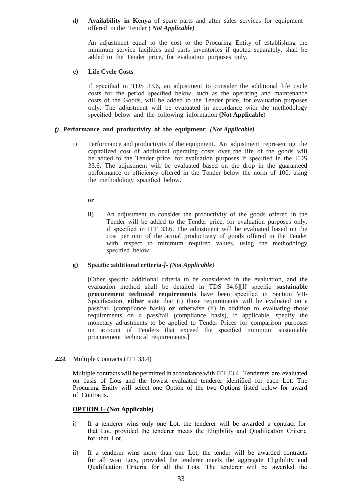## *d)* **Availability in Kenya** of spare parts and after sales services for equipment offered in the Tender *( Not Applicable)*

An adjustment equal to the cost to the Procuring Entity of establishing the minimum service facilities and parts inventories if quoted separately, shall be added to the Tender price, for evaluation purposes only*.*

## **e) Life Cycle Costs**

If specified in TDS 33.6, an adjustment to consider the additional life cycle costs for the period specified below, such as the operating and maintenance costs of the Goods, will be added to the Tender price, for evaluation purposes only. The adjustment will be evaluated in accordance with the methodology specified below and the following information **(Not Applicable**)

# *f)* **Performance and productivity of the equipment**: *(Not Applicable)*

i) Performance and productivity of the equipment. An adjustment representing the capitalized cost of additional operating costs over the life of the goods will be added to the Tender price, for evaluation purposes if specified in the TDS 33.6. The adjustment will be evaluated based on the drop in the guaranteed performance or efficiency offered in the Tender below the norm of 100, using the methodology specified below.

**or**

ii) An adjustment to consider the productivity of the goods offered in the Tender will be added to the Tender price, for evaluation purposes only, if specified in ITT 33.6. The adjustment will be evaluated based on the cost per unit of the actual productivity of goods offered in the Tender with respect to minimum required values, using the methodology specified below.

#### **g) Specific additional criteria-***]- (Not Applicable)*

[Other specific additional criteria to be considered in the evaluation, and the evaluation method shall be detailed in TDS 34.6][If specific **sustainable procurement technical requirements** have been specified in Section VII-Specification, **either** state that (i) those requirements will be evaluated on a pass/fail (compliance basis) **or** otherwise (ii) in addition to evaluating those requirements on a pass/fail (compliance basis), if applicable, specify the monetary adjustments to be applied to Tender Prices for comparison purposes on account of Tenders that exceed the specified minimum sustainable procurement technical requirements.]

*2.2.4.* Multiple Contracts (ITT 33.4)

Multiple contracts will be permitted in accordance with ITT 33.4. Tenderers are evaluated on basis of Lots and the lowest evaluated tenderer identified for each Lot. The Procuring Entity will select one Option of the two Options listed below for award of Contracts.

## **OPTION 1- (Not Applicable)**

- i) If a tenderer wins only one Lot, the tenderer will be awarded a contract for that Lot, provided the tenderer meets the Eligibility and Qualification Criteria for that Lot.
- ii) If a tenderer wins more than one Lot, the tender will be awarded contracts for all won Lots, provided the tenderer meets the aggregate Eligibility and Qualification Criteria for all the Lots. The tenderer will be awarded the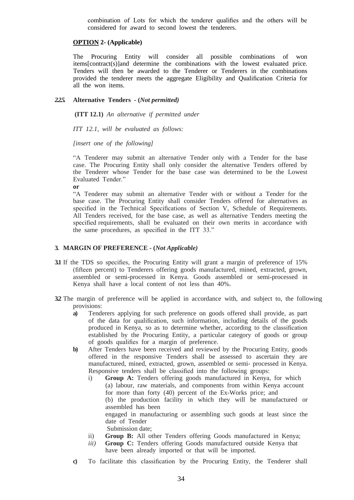combination of Lots for which the tenderer qualifies and the others will be considered for award to second lowest the tenderers.

#### **OPTION 2- (Applicable)**

The Procuring Entity will consider all possible combinations of won items[contract(s)]and determine the combinations with the lowest evaluated price. Tenders will then be awarded to the Tenderer or Tenderers in the combinations provided the tenderer meets the aggregate Eligibility and Qualification Criteria for all the won items.

#### *2.2.5.* **Alternative Tenders - (***Not permitted)*

**(ITT 12.1)** *An alternative if permitted under* 

*ITT 12.1, will be evaluated as follows:* 

*[insert one of the following]*

"A Tenderer may submit an alternative Tender only with a Tender for the base case. The Procuring Entity shall only consider the alternative Tenders offered by the Tenderer whose Tender for the base case was determined to be the Lowest Evaluated Tender."

**or**

"A Tenderer may submit an alternative Tender with or without a Tender for the base case. The Procuring Entity shall consider Tenders offered for alternatives as specified in the Technical Specifications of Section V, Schedule of Requirements. All Tenders received, for the base case, as well as alternative Tenders meeting the specified requirements, shall be evaluated on their own merits in accordance with the same procedures, as specified in the ITT 33."

#### **3. MARGIN OF PREFERENCE - (***Not Applicable)*

- **3.1** If the TDS so specifies, the Procuring Entity will grant a margin of preference of 15% (fifteen percent) to Tenderers offering goods manufactured, mined, extracted, grown, assembled or semi-processed in Kenya. Goods assembled or semi-processed in Kenya shall have a local content of not less than 40%.
- **3.2** The margin of preference will be applied in accordance with, and subject to, the following provisions:
	- **a)** Tenderers applying for such preference on goods offered shall provide, as part of the data for qualification, such information, including details of the goods produced in Kenya, so as to determine whether, according to the classification established by the Procuring Entity, a particular category of goods or group of goods qualifies for a margin of preference.
	- **b)** After Tenders have been received and reviewed by the Procuring Entity, goods offered in the responsive Tenders shall be assessed to ascertain they are manufactured, mined, extracted, grown, assembled or semi- processed in Kenya. Responsive tenders shall be classified into the following groups:
		- i) **Group A:** Tenders offering goods manufactured in Kenya, for which (a) labour, raw materials, and components from within Kenya account for more than forty (40) percent of the Ex-Works price; and (b) the production facility in which they will be manufactured or assembled has been engaged in manufacturing or assembling such goods at least since the date of Tender Submission date;
		- ii) **Group B:** All other Tenders offering Goods manufactured in Kenya;
		- *iii*) **Group C:** Tenders offering Goods manufactured outside Kenya that have been already imported or that will be imported*.*
	- **c)** To facilitate this classification by the Procuring Entity, the Tenderer shall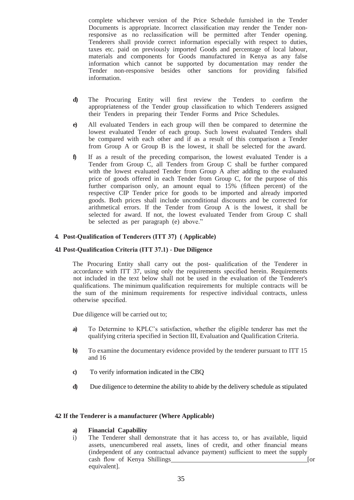complete whichever version of the Price Schedule furnished in the Tender Documents is appropriate. Incorrect classification may render the Tender nonresponsive as no reclassification will be permitted after Tender opening. Tenderers shall provide correct information especially with respect to duties, taxes etc. paid on previously imported Goods and percentage of local labour, materials and components for Goods manufactured in Kenya as any false information which cannot be supported by documentation may render the Tender non-responsive besides other sanctions for providing falsified information.

- **d)** The Procuring Entity will first review the Tenders to confirm the appropriateness of the Tender group classification to which Tenderers assigned their Tenders in preparing their Tender Forms and Price Schedules.
- **e)** All evaluated Tenders in each group will then be compared to determine the lowest evaluated Tender of each group. Such lowest evaluated Tenders shall be compared with each other and if as a result of this comparison a Tender from Group A or Group B is the lowest, it shall be selected for the award.
- **f)** If as a result of the preceding comparison, the lowest evaluated Tender is a Tender from Group C, all Tenders from Group C shall be further compared with the lowest evaluated Tender from Group A after adding to the evaluated price of goods offered in each Tender from Group C, for the purpose of this further comparison only, an amount equal to 15% (fifteen percent) of the respective CIP Tender price for goods to be imported and already imported goods. Both prices shall include unconditional discounts and be corrected for arithmetical errors. If the Tender from Group A is the lowest, it shall be selected for award. If not, the lowest evaluated Tender from Group C shall be selected as per paragraph (e) above."

# **4. Post-Qualification of Tenderers (ITT 37) ( Applicable)**

#### **4.1 Post-Qualification Criteria (ITT 37.1) - Due Diligence**

The Procuring Entity shall carry out the post- qualification of the Tenderer in accordance with ITT 37, using only the requirements specified herein. Requirements not included in the text below shall not be used in the evaluation of the Tenderer's qualifications. The minimum qualification requirements for multiple contracts will be the sum of the minimum requirements for respective individual contracts, unless otherwise specified.

Due diligence will be carried out to;

- **a)** To Determine to KPLC's satisfaction, whether the eligible tenderer has met the qualifying criteria specified in Section III, Evaluation and Qualification Criteria.
- **b)** To examine the documentary evidence provided by the tenderer pursuant to ITT 15 and 16
- **c)** To verify information indicated in the CBQ
- **d)** Due diligence to determine the ability to abide by the delivery schedule as stipulated

#### **4.2 If the Tenderer is a manufacturer (Where Applicable)**

#### **a) Financial Capability**

i) The Tenderer shall demonstrate that it has access to, or has available, liquid assets, unencumbered real assets, lines of credit, and other financial means (independent of any contractual advance payment) sufficient to meet the supply cash flow of Kenya Shillings [or cash flow of Kenya Shillings] equivalent].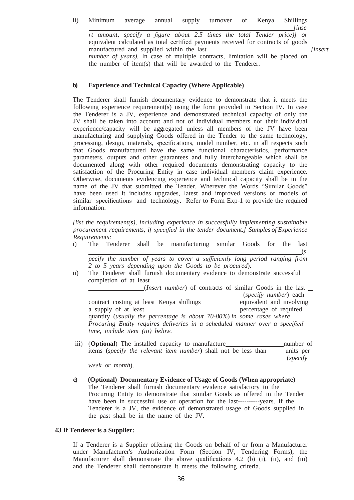#### ii) Minimum average annual supply turnover of Kenya Shillings

*[inse rt amount, specify a figure about 2.5 times the total Tender price)] or*  equivalent calculated as total certified payments received for contracts of goods manufactured and supplied within the last *number of years*). In case of multiple contracts, limitation will be placed on the number of item(s) that will be awarded to the Tenderer.

### **b) Experience and Technical Capacity (Where Applicable)**

The Tenderer shall furnish documentary evidence to demonstrate that it meets the following experience requirement(s) using the form provided in Section IV. In case the Tenderer is a JV, experience and demonstrated technical capacity of only the JV shall be taken into account and not of individual members nor their individual experience/capacity will be aggregated unless all members of the JV have been manufacturing and supplying Goods offered in the Tender to the same technology, processing, design, materials, specifications, model number, etc. in all respects such that Goods manufactured have the same functional characteristics, performance parameters, outputs and other guarantees and fully interchangeable which shall be documented along with other required documents demonstrating capacity to the satisfaction of the Procuring Entity in case individual members claim experience. Otherwise, documents evidencing experience and technical capacity shall be in the name of the JV that submitted the Tender. Wherever the Words "Similar Goods" have been used it includes upgrades, latest and improved versions or models of similar specifications and technology. Refer to Form Exp-1 to provide the required information.

*[list the requirement(s), including experience in successfully implementing sustainable procurement requirements, if specified in the tender document.] Samples of Experience Requirements:*

i) The Tenderer shall be manufacturing similar Goods for the last (*s*

*pecify the number of years to cover a sufficiently long period ranging from 2 to 5 years depending upon the Goods to be procured*).

ii) The Tenderer shall furnish documentary evidence to demonstrate successful<br>
completion of at least<br>
(*Insert number*) of contracts of similar Goods in the last<br>
(*specifi*) with an (*specifi*) and completion of at least

 (*specify number*) each contract costing at least Kenya shillings equivalent and involving a supply of at least percentage of required quantity (*usually the percentage is about 70-80%*) *in some cases where Procuring Entity requires deliveries in a scheduled manner over a specified time, include item (iii) below.*

iii) (**Optional**) The installed capacity to manufacture number of items (*specify the relevant item number*) shall not be less than units per (*specify* 

*week or month*).

**c) (Optional) Documentary Evidence of Usage of Goods (When appropriate**) The Tenderer shall furnish documentary evidence satisfactory to the Procuring Entity to demonstrate that similar Goods as offered in the Tender have been in successful use or operation for the last----------years. If the Tenderer is a JV, the evidence of demonstrated usage of Goods supplied in the past shall be in the name of the JV.

#### **4.3 If Tenderer is a Supplier:**

If a Tenderer is a Supplier offering the Goods on behalf of or from a Manufacturer under Manufacturer's Authorization Form (Section IV, Tendering Forms), the Manufacturer shall demonstrate the above qualifications 4.2 (b) (i), (ii), and (iii) and the Tenderer shall demonstrate it meets the following criteria.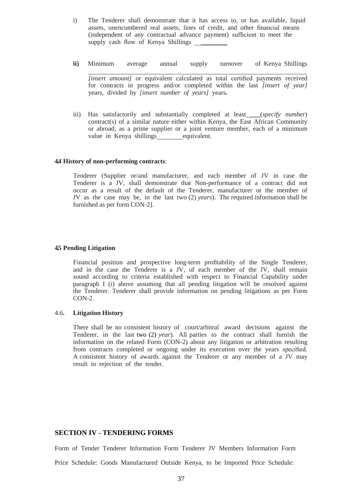- i) The Tenderer shall demonstrate that it has access to, or has available, liquid assets, unencumbered real assets, lines of credit, and other financial means (independent of any contractual advance payment) sufficient to meet the supply cash flow of Kenya Shillings (independent of any contractual advance payment) sufficient to meet the supply cash flow of Kenya Shillings
- **ii)** Minimum average annual supply turnover of Kenya Shillings *[insert amount]* or equivalent calculated as total certified payments received for contracts in progress and/or completed within the last *[insert of year]*  years, divided by *[insert number of years]* years**.**
- iii) Has satisfactorily and substantially completed at least \_\_\_(*specify number*) contract(s) of a similar nature either within Kenya, the East African Community or abroad, as a prime supplier or a joint venture member, each of a minimum value in Kenya shillings equivalent.

#### **4.4 History of non-performing contracts**:

Tenderer (Supplier or/and manufacturer, and each member of JV in case the Tenderer is a JV, shall demonstrate that Non-performance of a contract did not occur as a result of the default of the Tenderer, manufacturer or the member of JV as the case may be, in the last two (2) *years*). The required information shall be furnished as per form CON-2].

#### **4.5 Pending Litigation**

Financial position and prospective long-term profitability of the Single Tenderer, and in the case the Tenderer is a JV, of each member of the JV, shall remain sound according to criteria established with respect to Financial Capability under paragraph I (i) above assuming that all pending litigation will be resolved against the Tenderer. Tenderer shall provide information on pending litigations as per Form CON-2.

#### 4.6**. Litigation History**

There shall be no consistent history of court/arbitral award decisions against the Tenderer, in the last two (2) *year*)*.* All parties to the contract shall furnish the information on the related Form (CON-2) about any litigation or arbitration resulting from contracts completed or ongoing under its execution over the years specified. A consistent history of awards against the Tenderer or any member of a JV may result in rejection of the tender.

## **SECTION IV - TENDERING FORMS**

Form of Tender Tenderer Information Form Tenderer JV Members Information Form

Price Schedule: Goods Manufactured Outside Kenya, to be Imported Price Schedule: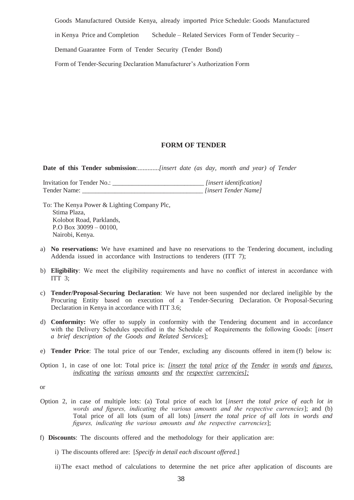Goods Manufactured Outside Kenya, already imported Price Schedule: Goods Manufactured

in Kenya Price and Completion Schedule – Related Services Form of Tender Security –

Demand Guarantee Form of Tender Security (Tender Bond)

Form of Tender-Securing Declaration Manufacturer's Authorization Form

## **FORM OF TENDER**

**Date of this Tender submission**:.............*[insert date (as day, month and year) of Tender* 

Invitation for Tender No.: \_\_\_\_\_\_\_\_\_\_\_\_\_\_\_\_\_\_\_\_\_\_\_\_\_\_\_\_\_\_\_\_\_*[insert identification]*<br>Tender Name: *[insert Tender Name]* Tender Name: \_\_\_\_\_\_\_\_\_\_\_\_\_\_\_\_\_\_\_\_\_\_\_\_\_\_\_\_\_\_\_\_\_\_\_\_\_ *[insert Tender Name]*

To: The Kenya Power & Lighting Company Plc, Stima Plaza, Kolobot Road, Parklands, P.O Box 30099 – 00100, Nairobi, Kenya.

- a) **No reservations:** We have examined and have no reservations to the Tendering document, including Addenda issued in accordance with Instructions to tenderers (ITT 7);
- b) **Eligibility**: We meet the eligibility requirements and have no conflict of interest in accordance with ITT 3;
- c) **Tender/Proposal-Securing Declaration**: We have not been suspended nor declared ineligible by the Procuring Entity based on execution of a Tender-Securing Declaration. Or Proposal-Securing Declaration in Kenya in accordance with ITT 3.6;
- d) **Conformity:** We offer to supply in conformity with the Tendering document and in accordance with the Delivery Schedules specified in the Schedule of Requirements the following Goods: [*insert a brief description of the Goods and Related Services*];
- e) **Tender Price**: The total price of our Tender, excluding any discounts offered in item (f) below is:
- Option 1, in case of one lot: Total price is: *[insert the total price of the Tender in words and figures, indicating the various amounts and the respective currencies];*

or

- Option 2, in case of multiple lots: (a) Total price of each lot [*insert the total price of each lot in words and figures, indicating the various amounts and the respective currencies*]; and (b) Total price of all lots (sum of all lots) [*insert the total price of all lots in words and figures, indicating the various amounts and the respective currencies*];
- f) **Discounts**: The discounts offered and the methodology for their application are:

i) The discounts offered are: [*Specify in detail each discount offered.*]

ii) The exact method of calculations to determine the net price after application of discounts are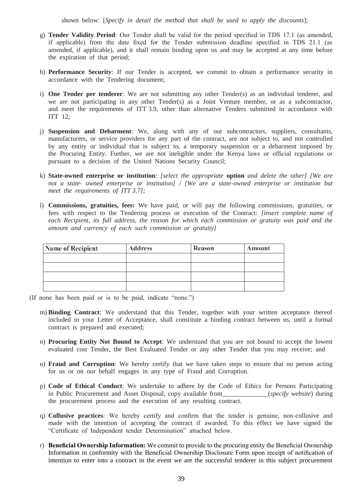shown below: [*Specify in detail the method that shall be used to apply the discounts*];

- g) **Tender Validity Period**: Our Tender shall be valid for the period specified in TDS 17.1 (as amended, if applicable) from the date fixed for the Tender submission deadline specified in TDS 21.1 (as amended, if applicable), and it shall remain binding upon us and may be accepted at any time before the expiration of that period;
- h) **Performance Security**: If our Tender is accepted, we commit to obtain a performance security in accordance with the Tendering document;
- i) **One Tender per tenderer**: We are not submitting any other Tender(s) as an individual tenderer, and we are not participating in any other Tender(s) as a Joint Venture member, or as a subcontractor, and meet the requirements of ITT 3.9, other than alternative Tenders submitted in accordance with ITT 12;
- j) **Suspension and Debarment**: We, along with any of our subcontractors, suppliers, consultants, manufacturers, or service providers for any part of the contract, are not subject to, and not controlled by any entity or individual that is subject to, a temporary suspension or a debarment imposed by the Procuring Entity. Further, we are not ineligible under the Kenya laws or official regulations or pursuant to a decision of the United Nations Security Council;
- k) **State-owned enterprise or institution**: *[select the appropriate* **option** *and delete the other] [We are not a state- owned enterprise or institution] / [We are a state-owned enterprise or institution but meet the requirements of ITT 3.7];*
- l) **Commissions, gratuities, fees:** We have paid, or will pay the following commissions, gratuities, or fees with respect to the Tendering process or execution of the Contract: *[insert complete name of*  each Recipient, its full address, the reason for which each commission or gratuity was paid and the *amount and currency of each such commission or gratuity]*

| Name of Recipient | <b>Address</b> | <b>Reason</b> | Amount |
|-------------------|----------------|---------------|--------|
|                   |                |               |        |
|                   |                |               |        |
|                   |                |               |        |
|                   |                |               |        |

- (If none has been paid or is to be paid, indicate "none.")
	- m) **Binding Contract**: We understand that this Tender, together with your written acceptance thereof included in your Letter of Acceptance, shall constitute a binding contract between us, until a formal contract is prepared and executed;
	- n) **Procuring Entity Not Bound to Accept**: We understand that you are not bound to accept the lowest evaluated cost Tender, the Best Evaluated Tender or any other Tender that you may receive; and
	- o) **Fraud and Corruption**: We hereby certify that we have taken steps to ensure that no person acting for us or on our behalf engages in any type of Fraud and Corruption.
	- p) **Code of Ethical Conduct**: We undertake to adhere by the Code of Ethics for Persons Participating in Public Procurement and Asset Disposal, copy available from\_\_\_\_\_\_\_\_\_\_\_\_\_\_(*specify website*) during the procurement process and the execution of any resulting contract.
	- q) **Collusive practices**: We hereby certify and confirm that the tender is genuine, non-collusive and made with the intention of accepting the contract if awarded. To this effect we have signed the "Certificate of Independent tender Determination" attached below.
	- r) **Beneficial Ownership Information:** We commit to provide to the procuring entity the Beneficial Ownership Information in conformity with the Beneficial Ownership Disclosure Form upon receipt of notification of intention to enter into a contract in the event we are the successful tenderer in this subject procurement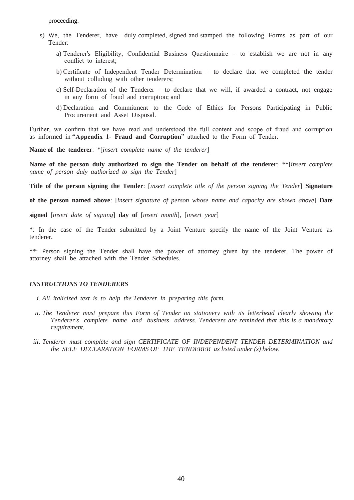proceeding.

- s) We, the Tenderer, have duly completed, signed and stamped the following Forms as part of our Tender:
	- a) Tenderer's Eligibility; Confidential Business Questionnaire to establish we are not in any conflict to interest;
	- b) Certificate of Independent Tender Determination to declare that we completed the tender without colluding with other tenderers;
	- c) Self-Declaration of the Tenderer to declare that we will, if awarded a contract, not engage in any form of fraud and corruption; and
	- d) Declaration and Commitment to the Code of Ethics for Persons Participating in Public Procurement and Asset Disposal.

Further, we confirm that we have read and understood the full content and scope of fraud and corruption as informed in **"Appendix 1- Fraud and Corruption**" attached to the Form of Tender.

**Name of the tenderer**: \*[*insert complete name of the tenderer*]

**Name of the person duly authorized to sign the Tender on behalf of the tenderer**: \*\*[*insert complete name of person duly authorized to sign the Tender*]

**Title of the person signing the Tender**: [*insert complete title of the person signing the Tender*] **Signature** 

**of the person named above**: [*insert signature of person whose name and capacity are shown above*] **Date** 

**signed** [*insert date of signing*] **day of** [*insert month*], [*insert year*]

**\***: In the case of the Tender submitted by a Joint Venture specify the name of the Joint Venture as tenderer.

\*\*: Person signing the Tender shall have the power of attorney given by the tenderer. The power of attorney shall be attached with the Tender Schedules.

### *INSTRUCTIONS TO TENDERERS*

- *i. All italicized text is to help the Tenderer in preparing this form.*
- *ii. The Tenderer must prepare this Form of Tender on stationery with its letterhead clearly showing the Tenderer's complete name and business address. Tenderers are reminded that this is a mandatory requirement.*
- *iii. Tenderer must complete and sign CERTIFICATE OF INDEPENDENT TENDER DETERMINATION and the SELF DECLARATION FORMS OF THE TENDERER as listed under (s) below.*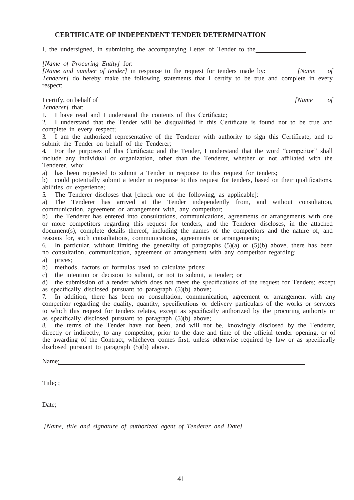## **CERTIFICATE OF INDEPENDENT TENDER DETERMINATION**

I, the undersigned, in submitting the accompanying Letter of Tender to the  $\overline{\phantom{a}}$ 

*[Name of Procuring Entity]* for: *[Name and number of tender]* in response to the request for tenders made by: *[Name of Tenderer]* do hereby make the following statements that I certify to be true and complete in every respect:

I certify, on behalf of *[Name of* 

*Tenderer]* that:

1. I have read and I understand the contents of this Certificate;

2. I understand that the Tender will be disqualified if this Certificate is found not to be true and complete in every respect;

3. I am the authorized representative of the Tenderer with authority to sign this Certificate, and to submit the Tender on behalf of the Tenderer;

4. For the purposes of this Certificate and the Tender, I understand that the word "competitor" shall include any individual or organization, other than the Tenderer, whether or not affiliated with the Tenderer, who:

a) has been requested to submit a Tender in response to this request for tenders;

b) could potentially submit a tender in response to this request for tenders, based on their qualifications, abilities or experience;

5. The Tenderer discloses that [check one of the following, as applicable]:

a) The Tenderer has arrived at the Tender independently from, and without consultation, communication, agreement or arrangement with, any competitor;

b) the Tenderer has entered into consultations, communications, agreements or arrangements with one or more competitors regarding this request for tenders, and the Tenderer discloses, in the attached document(s), complete details thereof, including the names of the competitors and the nature of, and reasons for, such consultations, communications, agreements or arrangements;

6. In particular, without limiting the generality of paragraphs  $(5)(a)$  or  $(5)(b)$  above, there has been no consultation, communication, agreement or arrangement with any competitor regarding:

a) prices;

b) methods, factors or formulas used to calculate prices;

c) the intention or decision to submit, or not to submit, a tender; or

d) the submission of a tender which does not meet the specifications of the request for Tenders; except as specifically disclosed pursuant to paragraph (5)(b) above;

7. In addition, there has been no consultation, communication, agreement or arrangement with any competitor regarding the quality, quantity, specifications or delivery particulars of the works or services to which this request for tenders relates, except as specifically authorized by the procuring authority or as specifically disclosed pursuant to paragraph (5)(b) above;

8. the terms of the Tender have not been, and will not be, knowingly disclosed by the Tenderer, directly or indirectly, to any competitor, prior to the date and time of the official tender opening, or of the awarding of the Contract, whichever comes first, unless otherwise required by law or as specifically disclosed pursuant to paragraph (5)(b) above.

Name: when the contract of the contract of the contract of the contract of the contract of the contract of the contract of the contract of the contract of the contract of the contract of the contract of the contract of the

Title; ; in the set of the set of the set of the set of the set of the set of the set of the set of the set of the set of the set of the set of the set of the set of the set of the set of the set of the set of the set of t

Date;

*[Name, title and signature of authorized agent of Tenderer and Date]*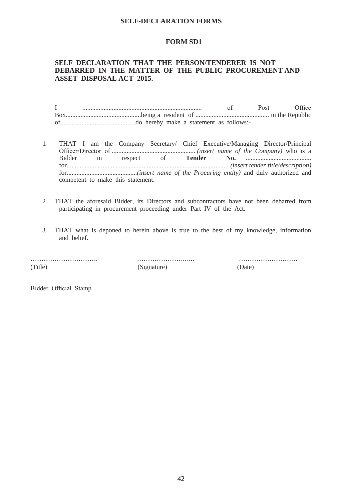## **SELF-DECLARATION FORMS**

### **FORM SD1**

## **SELF DECLARATION THAT THE PERSON/TENDERER IS NOT DEBARRED IN THE MATTER OF THE PUBLIC PROCUREMENT AND ASSET DISPOSAL ACT 2015.**

I ......................................................................... of Post Office Box..............................................being a resident of ............................................. in the Republic of..............................................do hereby make a statement as follows:-

- 1. THAT I am the Company Secretary/ Chief Executive/Managing Director/Principal Officer/Director of ................................................... *(insert name of the Company)* who is a Bidder in respect of **Tender No.** ........................................ for................................................................................................... *(insert tender title/description)*  for...........................................*(insert name of the Procuring entity)* and duly authorized and competent to make this statement.
- 2. THAT the aforesaid Bidder, its Directors and subcontractors have not been debarred from participating in procurement proceeding under Part IV of the Act.
- 3. THAT what is deponed to herein above is true to the best of my knowledge, information and belief.

(Title)

(Signature) (Date)

…………………………. …………………..…. ………………………

Bidder Official Stamp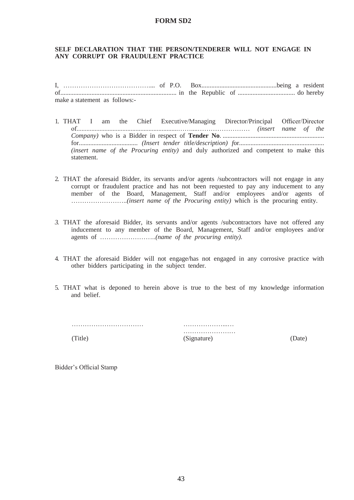## **FORM SD2**

## **SELF DECLARATION THAT THE PERSON/TENDERER WILL NOT ENGAGE IN ANY CORRUPT OR FRAUDULENT PRACTICE**

I, ………………………………….... of P.O. Box..............................................being a resident of....................................................................... in the Republic of ................................... do hereby make a statement as follows:-

- 1. THAT I am the Chief Executive/Managing Director/Principal Officer/Director of..............................................................……....…………………… *(insert name of the Company)* who is a Bidder in respect of **Tender No**. .............................................................. for.................................... *(Insert tender title/description) f*or.................................................... *(insert name of the Procuring entity)* and duly authorized and competent to make this statement.
- 2. THAT the aforesaid Bidder, its servants and/or agents /subcontractors will not engage in any corrupt or fraudulent practice and has not been requested to pay any inducement to any member of the Board, Management, Staff and/or employees and/or agents of ……………………..*(insert name of the Procuring entity)* which is the procuring entity.
- *3.* THAT the aforesaid Bidder, its servants and/or agents /subcontractors have not offered any inducement to any member of the Board, Management, Staff and/or employees and/or agents of ……………………..*(name of the procuring entity).*
- 4. THAT the aforesaid Bidder will not engage/has not engaged in any corrosive practice with other bidders participating in the subject tender.
- 5. THAT what is deponed to herein above is true to the best of my knowledge information and belief.

…………………………… ………………...… ……………………… (Title) (Signature) (Date)

Bidder's Official Stamp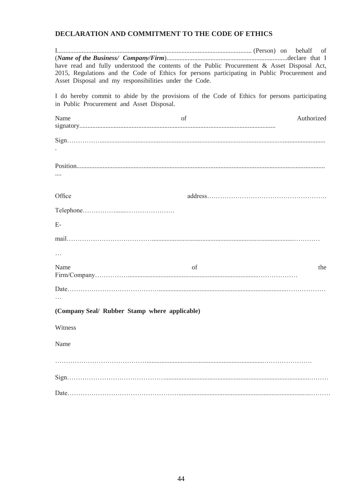# **DECLARATION AND COMMITMENT TO THE CODE OF ETHICS**

| Asset Disposal and my responsibilities under the Code. | have read and fully understood the contents of the Public Procurement & Asset Disposal Act,<br>2015, Regulations and the Code of Ethics for persons participating in Public Procurement and |            |
|--------------------------------------------------------|---------------------------------------------------------------------------------------------------------------------------------------------------------------------------------------------|------------|
| in Public Procurement and Asset Disposal.              | I do hereby commit to abide by the provisions of the Code of Ethics for persons participating                                                                                               |            |
| Name                                                   | of                                                                                                                                                                                          | Authorized |
|                                                        |                                                                                                                                                                                             |            |
|                                                        |                                                                                                                                                                                             |            |
| Office                                                 |                                                                                                                                                                                             |            |
|                                                        |                                                                                                                                                                                             |            |
| $E-$                                                   |                                                                                                                                                                                             |            |
|                                                        |                                                                                                                                                                                             |            |
|                                                        |                                                                                                                                                                                             |            |
| Name                                                   | of                                                                                                                                                                                          | the        |
|                                                        |                                                                                                                                                                                             |            |
| (Company Seal/ Rubber Stamp where applicable)          |                                                                                                                                                                                             |            |
| Witness                                                |                                                                                                                                                                                             |            |
| Name                                                   |                                                                                                                                                                                             |            |
|                                                        |                                                                                                                                                                                             |            |
|                                                        |                                                                                                                                                                                             |            |
|                                                        |                                                                                                                                                                                             |            |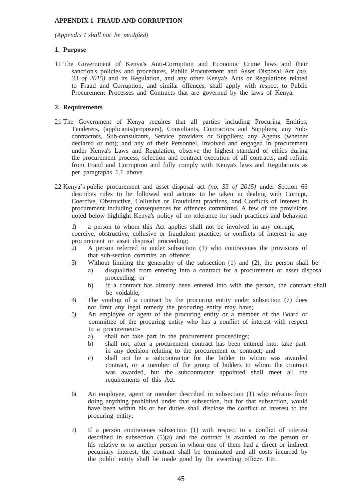## **APPENDIX 1- FRAUD AND CORRUPTION**

*(Appendix 1 shall not be modified)*

## **1. Purpose**

1.1 The Government of Kenya's Anti-Corruption and Economic Crime laws and their sanction's policies and procedures, Public Procurement and Asset Disposal Act *(no. 33 of 2015)* and its Regulation, and any other Kenya's Acts or Regulations related to Fraud and Corruption, and similar offences, shall apply with respect to Public Procurement Processes and Contracts that are governed by the laws of Kenya.

## **2. Requirements**

- 2.1 The Government of Kenya requires that all parties including Procuring Entities, Tenderers, (applicants/proposers), Consultants, Contractors and Suppliers; any Subcontractors, Sub-consultants, Service providers or Suppliers; any Agents (whether declared or not); and any of their Personnel, involved and engaged in procurement under Kenya's Laws and Regulation, observe the highest standard of ethics during the procurement process, selection and contract execution of all contracts, and refrain from Fraud and Corruption and fully comply with Kenya's laws and Regulations as per paragraphs 1.1 above.
- 2.2 Kenya's public procurement and asset disposal act *(no. 33 of 2015)* under Section 66 describes rules to be followed and actions to be taken in dealing with Corrupt, Coercive, Obstructive, Collusive or Fraudulent practices, and Conflicts of Interest in procurement including consequences for offences committed. A few of the provisions noted below highlight Kenya's policy of no tolerance for such practices and behavior:

1) a person to whom this Act applies shall not be involved in any corrupt, coercive, obstructive, collusive or fraudulent practice; or conflicts of interest in any procurement or asset disposal proceeding;

- 2) A person referred to under subsection (1) who contravenes the provisions of that sub-section commits an offence;
- 3) Without limiting the generality of the subsection (1) and (2), the person shall be
	- a) disqualified from entering into a contract for a procurement or asset disposal proceeding; or
	- b) if a contract has already been entered into with the person, the contract shall be voidable;
- 4) The voiding of a contract by the procuring entity under subsection (7) does not limit any legal remedy the procuring entity may have;
- 5) An employee or agent of the procuring entity or a member of the Board or committee of the procuring entity who has a conflict of interest with respect to a procurement:
	- a) shall not take part in the procurement proceedings;
	- b) shall not, after a procurement contract has been entered into, take part in any decision relating to the procurement or contract; and
	- c) shall not be a subcontractor for the bidder to whom was awarded contract, or a member of the group of bidders to whom the contract was awarded, but the subcontractor appointed shall meet all the requirements of this Act.
- 6) An employee, agent or member described in subsection (1) who refrains from doing anything prohibited under that subsection, but for that subsection, would have been within his or her duties shall disclose the conflict of interest to the procuring entity;
- 7) If a person contravenes subsection (1) with respect to a conflict of interest described in subsection  $(5)(a)$  and the contract is awarded to the person or his relative or to another person in whom one of them had a direct or indirect pecuniary interest, the contract shall be terminated and all costs incurred by the public entity shall be made good by the awarding officer. Etc.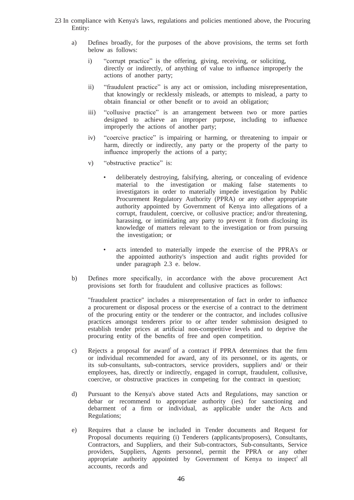- 2.3 In compliance with Kenya's laws, regulations and policies mentioned above, the Procuring Entity:
	- a) Defines broadly, for the purposes of the above provisions, the terms set forth below as follows:
		- i) "corrupt practice" is the offering, giving, receiving, or soliciting, directly or indirectly, of anything of value to influence improperly the actions of another party;
		- ii) "fraudulent practice" is any act or omission, including misrepresentation, that knowingly or recklessly misleads, or attempts to mislead, a party to obtain financial or other benefit or to avoid an obligation;
		- iii) "collusive practice" is an arrangement between two or more parties designed to achieve an improper purpose, including to influence improperly the actions of another party;
		- iv) "coercive practice" is impairing or harming, or threatening to impair or harm, directly or indirectly, any party or the property of the party to influence improperly the actions of a party;
		- v) "obstructive practice" is:
			- deliberately destroying, falsifying, altering, or concealing of evidence material to the investigation or making false statements to investigators in order to materially impede investigation by Public Procurement Regulatory Authority (PPRA) or any other appropriate authority appointed by Government of Kenya into allegations of a corrupt, fraudulent, coercive, or collusive practice; and/or threatening, harassing, or intimidating any party to prevent it from disclosing its knowledge of matters relevant to the investigation or from pursuing the investigation; or
			- acts intended to materially impede the exercise of the PPRA's or the appointed authority's inspection and audit rights provided for under paragraph 2.3 e. below.
	- b) Defines more specifically, in accordance with the above procurement Act provisions set forth for fraudulent and collusive practices as follows:

"fraudulent practice" includes a misrepresentation of fact in order to influence a procurement or disposal process or the exercise of a contract to the detriment of the procuring entity or the tenderer or the contractor, and includes collusive practices amongst tenderers prior to or after tender submission designed to establish tender prices at artificial non-competitive levels and to deprive the procuring entity of the benefits of free and open competition.

- c) Rejects a proposal for award of a contract if PPRA determines that the firm or individual recommended for award, any of its personnel, or its agents, or its sub-consultants, sub-contractors, service providers, suppliers and/ or their employees, has, directly or indirectly, engaged in corrupt, fraudulent, collusive, coercive, or obstructive practices in competing for the contract in question;
- d) Pursuant to the Kenya's above stated Acts and Regulations, may sanction or debar or recommend to appropriate authority (ies) for sanctioning and debarment of a firm or individual, as applicable under the Acts and Regulations;
- e) Requires that a clause be included in Tender documents and Request for Proposal documents requiring (i) Tenderers (applicants/proposers), Consultants, Contractors, and Suppliers, and their Sub-contractors, Sub-consultants, Service providers, Suppliers, Agents personnel, permit the PPRA or any other appropriate authority appointed by Government of Kenya to inspect<sup>2</sup> all accounts, records and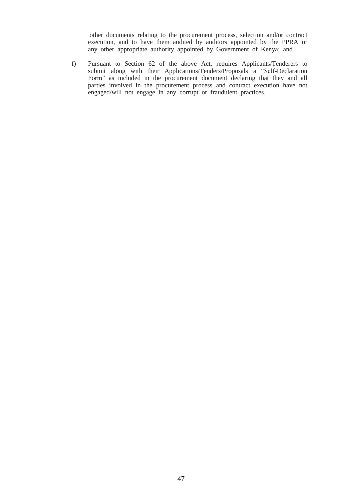other documents relating to the procurement process, selection and/or contract execution, and to have them audited by auditors appointed by the PPRA or any other appropriate authority appointed by Government of Kenya; and

f) Pursuant to Section 62 of the above Act, requires Applicants/Tenderers to submit along with their Applications/Tenders/Proposals a "Self-Declaration" Form" as included in the procurement document declaring that they and all parties involved in the procurement process and contract execution have not engaged/will not engage in any corrupt or fraudulent practices.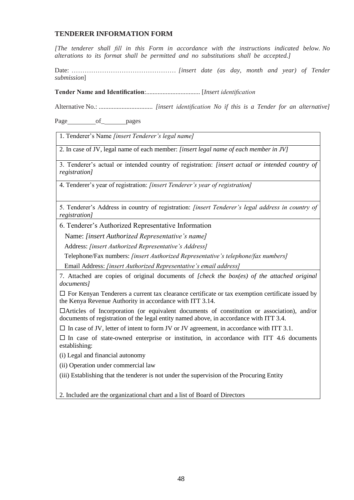## **TENDERER INFORMATION FORM**

*[The tenderer shall fill in this Form in accordance with the instructions indicated below. No alterations to its format shall be permitted and no substitutions shall be accepted.]*

Date: ………………………………………… *[insert date (as day, month and year) of Tender submission*]

**Tender Name and Identification**:................................. [*Insert identification*

Alternative No.: ................................. *[insert identification No if this is a Tender for an alternative]* 

Page of pages

1. Tenderer's Name *[insert Tenderer's legal name]*

2. In case of JV, legal name of each member: *[insert legal name of each member in JV]*

3. Tenderer's actual or intended country of registration: *[insert actual or intended country of registration]*

4. Tenderer's year of registration: *[insert Tenderer's year of registration]*

5. Tenderer's Address in country of registration: *[insert Tenderer's legal address in country of registration]*

6. Tenderer's Authorized Representative Information

Name: *[insert Authorized Representative's name]*

Address: *[insert Authorized Representative's Address]*

Telephone/Fax numbers: *[insert Authorized Representative's telephone/fax numbers]*

Email Address: *[insert Authorized Representative's email address]*

7. Attached are copies of original documents of *[check the box(es) of the attached original documents]*

 $\Box$  For Kenyan Tenderers a current tax clearance certificate or tax exemption certificate issued by the Kenya Revenue Authority in accordance with ITT 3.14.

Articles of Incorporation (or equivalent documents of constitution or association), and/or documents of registration of the legal entity named above, in accordance with ITT 3.4.

 $\Box$  In case of JV, letter of intent to form JV or JV agreement, in accordance with ITT 3.1.

 $\Box$  In case of state-owned enterprise or institution, in accordance with ITT 4.6 documents establishing:

(i) Legal and financial autonomy

(ii) Operation under commercial law

(iii) Establishing that the tenderer is not under the supervision of the Procuring Entity

2. Included are the organizational chart and a list of Board of Directors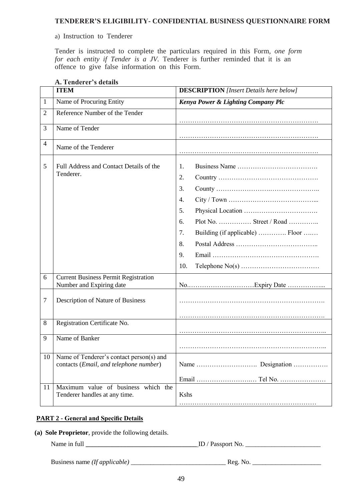## **TENDERER'S ELIGIBILITY- CONFIDENTIAL BUSINESS QUESTIONNAIRE FORM**

## a) Instruction to Tenderer

Tender is instructed to complete the particulars required in this Form, *one form for each entity if Tender is a JV.* Tenderer is further reminded that it is an offence to give false information on this Form.

|    | A. Tenderer s details                                                              |                                                                                                                         |
|----|------------------------------------------------------------------------------------|-------------------------------------------------------------------------------------------------------------------------|
|    | <b>ITEM</b>                                                                        | <b>DESCRIPTION</b> [Insert Details here below]                                                                          |
| 1  | Name of Procuring Entity                                                           | Kenya Power & Lighting Company Plc                                                                                      |
| 2  | Reference Number of the Tender                                                     |                                                                                                                         |
| 3  | Name of Tender                                                                     |                                                                                                                         |
| 4  | Name of the Tenderer                                                               |                                                                                                                         |
| 5  | Full Address and Contact Details of the<br>Tenderer.                               | 1.<br>2.<br>3.<br>4.<br>5.<br>Plot No.  Street / Road<br>6.<br>7.<br>Building (if applicable)  Floor<br>8.<br>9.<br>10. |
| 6  | <b>Current Business Permit Registration</b><br>Number and Expiring date            |                                                                                                                         |
| 7  | Description of Nature of Business                                                  |                                                                                                                         |
| 8  | Registration Certificate No.                                                       |                                                                                                                         |
| 9  | Name of Banker                                                                     |                                                                                                                         |
| 10 | Name of Tenderer's contact person(s) and<br>contacts (Email, and telephone number) |                                                                                                                         |
|    |                                                                                    |                                                                                                                         |
| 11 | Maximum value of business which the<br>Tenderer handles at any time.               | Kshs                                                                                                                    |
|    |                                                                                    |                                                                                                                         |

# **A. Tenderer's details**

## **PART 2 - General and Specific Details**

**(a) Sole Proprietor**, provide the following details.

Name in full \_\_\_\_\_\_\_\_\_\_\_\_\_\_\_\_\_\_\_\_\_\_\_\_\_\_\_\_\_\_\_\_\_\_ ID / Passport No. \_\_\_\_\_\_\_\_\_\_\_\_\_\_\_\_\_\_\_\_\_\_\_

Business name *(If applicable)* \_\_\_\_\_\_\_\_\_\_\_\_\_\_\_\_\_\_\_\_\_\_\_\_\_\_\_\_\_ Reg. No. \_\_\_\_\_\_\_\_\_\_\_\_\_\_\_\_\_\_\_\_\_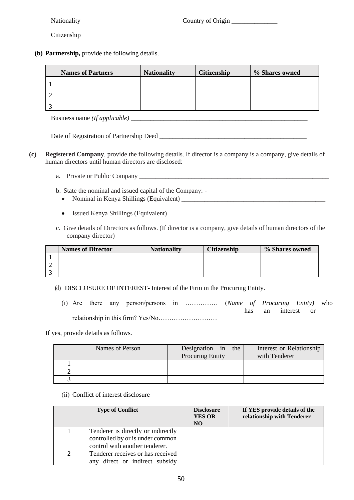| Nationality | Country of Origin |
|-------------|-------------------|
|             |                   |

Citizenship

**(b) Partnership,** provide the following details.

|           | <b>Names of Partners</b> | <b>Nationality</b> | <b>Citizenship</b> | % Shares owned |
|-----------|--------------------------|--------------------|--------------------|----------------|
|           |                          |                    |                    |                |
|           |                          |                    |                    |                |
| $\bigcap$ |                          |                    |                    |                |

Business name *(If applicable)* \_\_\_\_\_\_\_\_\_\_\_\_\_\_\_\_\_\_\_\_\_\_\_\_\_\_\_\_\_\_\_\_\_\_\_\_\_\_\_\_\_\_\_\_\_\_\_\_\_\_\_\_\_\_

Date of Registration of Partnership Deed \_\_\_\_\_\_\_\_\_\_\_\_\_\_\_\_\_\_\_\_\_\_\_\_\_\_\_\_\_\_\_\_\_\_\_\_\_\_\_\_\_\_\_\_\_

- **(c) Registered Company**, provide the following details. If director is a company is a company, give details of human directors until human directors are disclosed:
	- a. Private or Public Company \_\_\_\_\_\_\_\_\_\_\_\_\_\_\_\_\_\_\_\_\_\_\_\_\_\_\_\_\_\_\_\_\_\_\_\_\_\_\_\_\_\_\_\_\_\_\_\_\_\_\_\_\_\_\_\_\_\_

b. State the nominal and issued capital of the Company: -

- Nominal in Kenya Shillings (Equivalent) \_\_\_\_\_\_\_\_\_\_\_\_\_\_\_\_\_\_\_\_\_\_\_\_\_\_\_\_\_\_\_\_\_\_\_\_\_\_\_\_\_\_\_\_
- Issued Kenya Shillings (Equivalent) \_\_\_\_\_\_\_\_\_\_\_\_\_\_\_\_\_\_\_\_\_\_\_\_\_\_\_\_\_\_\_\_\_\_\_\_\_\_\_\_\_\_\_\_\_\_\_\_
- c. Give details of Directors as follows. (If director is a company, give details of human directors of the company director)

| <b>Names of Director</b> | <b>Nationality</b> | <b>Citizenship</b> | % Shares owned |
|--------------------------|--------------------|--------------------|----------------|
|                          |                    |                    |                |
|                          |                    |                    |                |
|                          |                    |                    |                |

- (d) DISCLOSURE OF INTEREST- Interest of the Firm in the Procuring Entity.
	- (i) Are there any person/persons in …………… (*Name of Procuring Entity)* who has an interest or relationship in this firm? Yes/No………………………

If yes, provide details as follows.

| Names of Person | Designation in the<br><b>Procuring Entity</b> | Interest or Relationship<br>with Tenderer |
|-----------------|-----------------------------------------------|-------------------------------------------|
|                 |                                               |                                           |
|                 |                                               |                                           |
|                 |                                               |                                           |

(ii) Conflict of interest disclosure

| <b>Type of Conflict</b>            | <b>Disclosure</b><br><b>YES OR</b><br>NO. | If YES provide details of the<br>relationship with Tenderer |
|------------------------------------|-------------------------------------------|-------------------------------------------------------------|
| Tenderer is directly or indirectly |                                           |                                                             |
| controlled by or is under common   |                                           |                                                             |
| control with another tenderer.     |                                           |                                                             |
| Tenderer receives or has received  |                                           |                                                             |
| direct or indirect subsidy<br>any  |                                           |                                                             |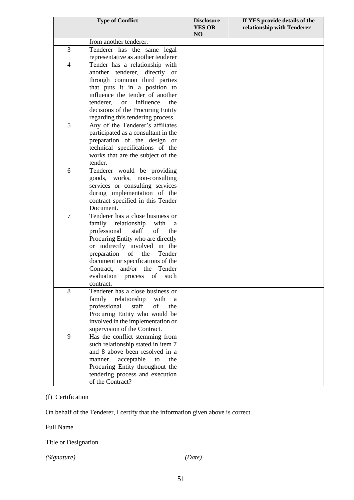|                | <b>Type of Conflict</b>                       | <b>Disclosure</b><br><b>YES OR</b><br>NO | If YES provide details of the<br>relationship with Tenderer |
|----------------|-----------------------------------------------|------------------------------------------|-------------------------------------------------------------|
|                | from another tenderer.                        |                                          |                                                             |
| 3              | Tenderer has the same legal                   |                                          |                                                             |
|                | representative as another tenderer            |                                          |                                                             |
| $\overline{4}$ | Tender has a relationship with                |                                          |                                                             |
|                | another tenderer, directly or                 |                                          |                                                             |
|                | through common third parties                  |                                          |                                                             |
|                | that puts it in a position to                 |                                          |                                                             |
|                | influence the tender of another               |                                          |                                                             |
|                | tenderer,<br>influence<br>the<br><b>or</b>    |                                          |                                                             |
|                | decisions of the Procuring Entity             |                                          |                                                             |
|                | regarding this tendering process.             |                                          |                                                             |
| 5              | Any of the Tenderer's affiliates              |                                          |                                                             |
|                | participated as a consultant in the           |                                          |                                                             |
|                | preparation of the design or                  |                                          |                                                             |
|                | technical specifications of the               |                                          |                                                             |
|                | works that are the subject of the             |                                          |                                                             |
|                | tender.                                       |                                          |                                                             |
| 6              | Tenderer would be providing                   |                                          |                                                             |
|                | goods, works, non-consulting                  |                                          |                                                             |
|                | services or consulting services               |                                          |                                                             |
|                | during implementation of the                  |                                          |                                                             |
|                | contract specified in this Tender             |                                          |                                                             |
|                | Document.                                     |                                          |                                                             |
| $\tau$         | Tenderer has a close business or              |                                          |                                                             |
|                | family<br>relationship<br>with<br>a           |                                          |                                                             |
|                | professional<br>staff<br>of<br>the            |                                          |                                                             |
|                | Procuring Entity who are directly             |                                          |                                                             |
|                | or indirectly involved in the                 |                                          |                                                             |
|                | preparation<br>of the<br>Tender               |                                          |                                                             |
|                | document or specifications of the             |                                          |                                                             |
|                | and/or the Tender<br>Contract,                |                                          |                                                             |
|                | evaluation process of<br>such                 |                                          |                                                             |
| 8              | contract.<br>Tenderer has a close business or |                                          |                                                             |
|                | family<br>relationship<br>with<br>a           |                                          |                                                             |
|                | professional<br>of<br>staff<br>the            |                                          |                                                             |
|                | Procuring Entity who would be                 |                                          |                                                             |
|                | involved in the implementation or             |                                          |                                                             |
|                | supervision of the Contract.                  |                                          |                                                             |
| 9              | Has the conflict stemming from                |                                          |                                                             |
|                | such relationship stated in item 7            |                                          |                                                             |
|                | and 8 above been resolved in a                |                                          |                                                             |
|                | acceptable<br>the<br>manner<br>to             |                                          |                                                             |
|                | Procuring Entity throughout the               |                                          |                                                             |
|                | tendering process and execution               |                                          |                                                             |
|                | of the Contract?                              |                                          |                                                             |

## (f) Certification

On behalf of the Tenderer, I certify that the information given above is correct.

Full Name\_\_\_\_\_\_\_\_\_\_\_\_\_\_\_\_\_\_\_\_\_\_\_\_\_\_\_\_\_\_\_\_\_\_\_\_\_\_\_\_\_\_\_\_\_\_\_\_

Title or Designation\_\_\_\_\_\_\_\_\_\_\_\_\_\_\_\_\_\_\_\_\_\_\_\_\_\_\_\_\_\_\_\_\_\_\_\_\_\_\_\_

*(Signature) (Date)*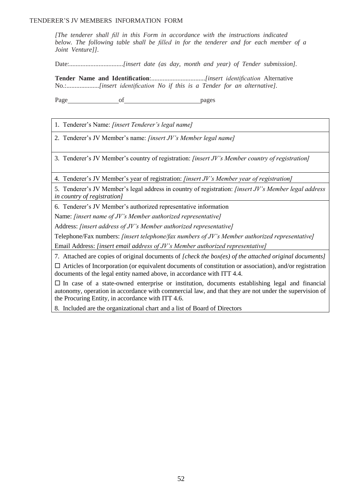*[The tenderer shall fill in this Form in accordance with the instructions indicated below. The following table shall be filled in for the tenderer and for each member of a Joint Venture]].*

Date:.................................*[insert date (as day, month and year) of Tender submission].*

**Tender Name and Identification**:.................................*[insert identification* Alternative No.:....................*[insert identification No if this is a Tender for an alternative].*

Page of pages

1. Tenderer's Name: *[insert Tenderer's legal name]*

2. Tenderer's JV Member's name: *[insert JV's Member legal name]*

3. Tenderer's JV Member's country of registration: *[insert JV's Member country of registration]*

4. Tenderer's JV Member's year of registration: *[insert JV's Member year of registration]*

5. Tenderer's JV Member's legal address in country of registration: *[insert JV's Member legal address in country of registration]*

6. Tenderer's JV Member's authorized representative information

Name: *[insert name of JV's Member authorized representative]*

Address: *[insert address of JV's Member authorized representative]*

Telephone/Fax numbers: *[insert telephone/fax numbers of JV's Member authorized representative]*

Email Address: *[insert email address of JV's Member authorized representative]*

7. Attached are copies of original documents of *[check the box(es) of the attached original documents]*

 $\Box$  Articles of Incorporation (or equivalent documents of constitution or association), and/or registration documents of the legal entity named above, in accordance with ITT 4.4.

 $\Box$  In case of a state-owned enterprise or institution, documents establishing legal and financial autonomy, operation in accordance with commercial law, and that they are not under the supervision of the Procuring Entity, in accordance with ITT 4.6.

8. Included are the organizational chart and a list of Board of Directors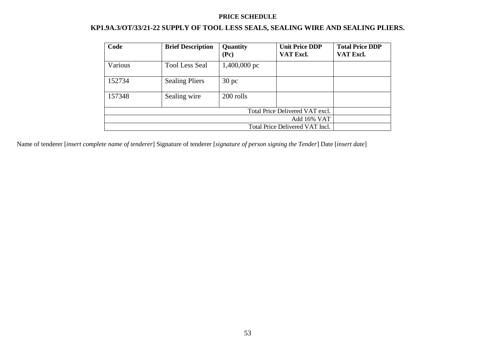## **PRICE SCHEDULE**

# **KP1.9A.3/OT/33/21-22 SUPPLY OF TOOL LESS SEALS, SEALING WIRE AND SEALING PLIERS.**

| Code    | <b>Brief Description</b> | Quantity<br>(Pc) | <b>Unit Price DDP</b><br>VAT Excl. | <b>Total Price DDP</b><br>VAT Excl. |
|---------|--------------------------|------------------|------------------------------------|-------------------------------------|
| Various | <b>Tool Less Seal</b>    | $1,400,000$ pc   |                                    |                                     |
| 152734  | <b>Sealing Pliers</b>    | 30 <sub>pc</sub> |                                    |                                     |
| 157348  | Sealing wire             | 200 rolls        |                                    |                                     |
|         |                          |                  | Total Price Delivered VAT excl.    |                                     |
|         |                          |                  | Add 16% VAT                        |                                     |
|         |                          |                  | Total Price Delivered VAT Incl.    |                                     |

Name of tenderer [*insert complete name of tenderer*] Signature of tenderer [*signature of person signing the Tender*] Date [*insert date*]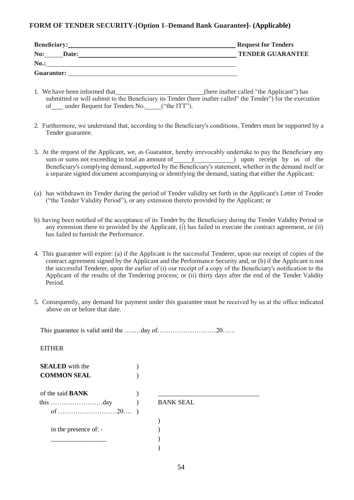## **FORM OF TENDER SECURITY-[Option 1–Demand Bank Guarantee]- (Applicable)**

| Beneficiary:      | <b>Request for Tenders</b> |
|-------------------|----------------------------|
| No:<br>Date:      | <b>TENDER GUARANTEE</b>    |
| <b>No.:</b>       |                            |
| <b>Guarantor:</b> |                            |

- 1. We have been informed that (here inafter called "the Applicant") has submitted or will submit to the Beneficiary its Tender (here inafter called" the Tender") for the execution of under Request for Tenders No. ("the ITT").
- 2. Furthermore, we understand that, according to the Beneficiary's conditions, Tenders must be supported by a Tender guarantee.
- 3. At the request of the Applicant, we, as Guarantor, hereby irrevocably undertake to pay the Beneficiary any sum or sums not exceeding in total an amount of  $\qquad \qquad$  ( $\qquad \qquad$  upon receipt by us of the Beneficiary's complying demand, supported by the Beneficiary's statement, whether in the demand itself or a separate signed document accompanying or identifying the demand, stating that either the Applicant:
- (a) has withdrawn its Tender during the period of Tender validity set forth in the Applicant's Letter of Tender ("the Tender Validity Period"), or any extension thereto provided by the Applicant; or
- b) having been notified of the acceptance of its Tender by the Beneficiary during the Tender Validity Period or any extension there to provided by the Applicant, (i) has failed to execute the contract agreement, or (ii) has failed to furnish the Performance.
- 4. This guarantee will expire: (a) if the Applicant is the successful Tenderer, upon our receipt of copies of the contract agreement signed by the Applicant and the Performance Security and, or (b) if the Applicant is not the successful Tenderer, upon the earlier of (i) our receipt of a copy of the Beneficiary's notification to the Applicant of the results of the Tendering process; or (ii) thirty days after the end of the Tender Validity Period.
- 5. Consequently, any demand for payment under this guarantee must be received by us at the office indicated above on or before that date.

This guarantee is valid until the …..…day of………………………20……

**EITHER** 

| <b>SEALED</b> with the  |                  |
|-------------------------|------------------|
| <b>COMMON SEAL</b>      |                  |
| of the said <b>BANK</b> |                  |
|                         | <b>BANK SEAL</b> |
|                         |                  |
|                         |                  |
| in the presence of: -   |                  |
|                         |                  |
|                         |                  |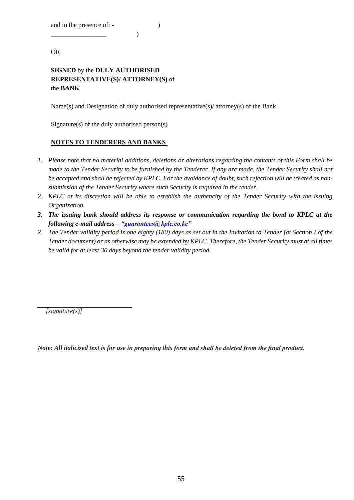and in the presence of: -

\_\_\_\_\_\_\_\_\_\_\_\_\_\_\_\_\_\_\_\_\_

 $\overline{\phantom{a}}$  )

OR

## **SIGNED** by the **DULY AUTHORISED REPRESENTATIVE(S)/ ATTORNEY(S)** of the **BANK**

Name(s) and Designation of duly authorised representative(s)/ attorney(s) of the Bank

\_\_\_\_\_\_\_\_\_\_\_\_\_\_\_\_\_\_\_\_\_\_\_\_\_\_\_\_\_\_\_\_\_\_\_ Signature(s) of the duly authorised person(s)

## **NOTES TO TENDERERS AND BANKS**

- *1. Please note that no material additions, deletions or alterations regarding the contents of this Form shall be made to the Tender Security to be furnished by the Tenderer. If any are made, the Tender Security shall not be accepted and shall be rejected by KPLC. For the avoidance of doubt, such rejection will be treated as nonsubmission of the Tender Security where such Security is required in the tender.*
- *2. KPLC at its discretion will be able to establish the authencity of the Tender Security with the issuing Organization.*
- *3. The issuing bank should address its response or communication regarding the bond to KPLC at the following e-mail address – "guarantees@ kplc.co.ke"*
- *2. The Tender validity period is one eighty (180) days as set out in the Invitation to Tender (at Section I of the Tender document) or as otherwise may be extended by KPLC. Therefore, the Tender Security must at all times be valid for at least 30 days beyond the tender validity period.*

*[signature(s)]*

*Note: All italicized text is for use in preparing this form and shall be deleted from the final product.*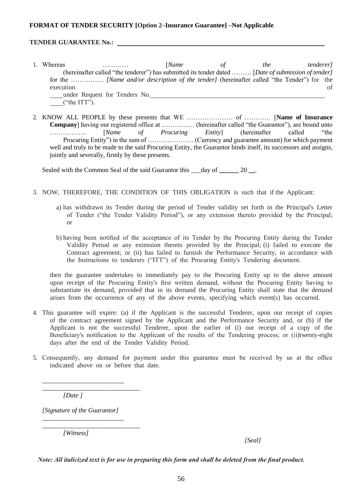## **FORMAT OF TENDER SECURITY [Option 2–Insurance Guarantee] –Not Applicable**

## **TENDER GUARANTEE No.:**

- 1. Whereas ………… [*Name of the tenderer]* (hereinafter called "the tenderer") has submitted its tender dated ……… [*Date of submission of tender]* for the …………… *[Name and/or description of the tender]* (hereinafter called "the Tender") for the execution of under Request for Tenders No. ("the ITT").
- 2. KNOW ALL PEOPLE by these presents that WE ………………… of ………… [**Name of Insurance Company**] having our registered office at …………… (hereinafter called "the Guarantor"), are bound unto …………….. [*Name of Procuring Entity*] (hereinafter called "the Procuring Entity") in the sum of ………………… (Currency and guarantee amount) for which payment well and truly to be made to the said Procuring Entity, the Guarantor binds itself, its successors and assigns, jointly and severally, firmly by these presents.

Sealed with the Common Seal of the said Guarantor this \_\_\_day of \_\_\_\_\_ 20 \_\_.

- 3. NOW, THEREFORE, THE CONDITION OF THIS OBLIGATION is such that if the Applicant:
	- a) has withdrawn its Tender during the period of Tender validity set forth in the Principal's Letter of Tender ("the Tender Validity Period"), or any extension thereto provided by the Principal; or
	- b) having been notified of the acceptance of its Tender by the Procuring Entity during the Tender Validity Period or any extension thereto provided by the Principal; (i) failed to execute the Contract agreement; or (ii) has failed to furnish the Performance Security, in accordance with the Instructions to tenderers ("ITT") of the Procuring Entity's Tendering document.

then the guarantee undertakes to immediately pay to the Procuring Entity up to the above amount upon receipt of the Procuring Entity's first written demand, without the Procuring Entity having to substantiate its demand, provided that in its demand the Procuring Entity shall state that the demand arises from the occurrence of any of the above events, specifying which event(s) has occurred.

- 4. This guarantee will expire: (a) if the Applicant is the successful Tenderer, upon our receipt of copies of the contract agreement signed by the Applicant and the Performance Security and, or (b) if the Applicant is not the successful Tenderer, upon the earlier of (i) our receipt of a copy of the Beneficiary's notification to the Applicant of the results of the Tendering process; or (ii)twenty-eight days after the end of the Tender Validity Period.
- 5. Consequently, any demand for payment under this guarantee must be received by us at the office indicated above on or before that date.

*[Date ]*

*[Signature of the Guarantor] \_\_\_\_\_\_\_\_\_\_\_\_\_\_\_\_\_\_\_\_\_\_\_\_\_*

*\_\_\_\_\_\_\_\_\_\_\_\_\_\_\_\_\_\_\_\_\_\_\_\_\_\_\_\_\_\_*

\_\_\_\_\_\_\_\_\_\_\_\_\_\_\_\_\_\_\_\_\_\_\_\_\_ \_\_\_\_\_\_\_\_\_\_\_\_\_\_\_\_\_\_\_\_\_\_\_\_\_\_\_\_\_\_

*[Witness]*

 *[Seal]*

*Note: All italicized text is for use in preparing this form and shall be deleted from the final product.*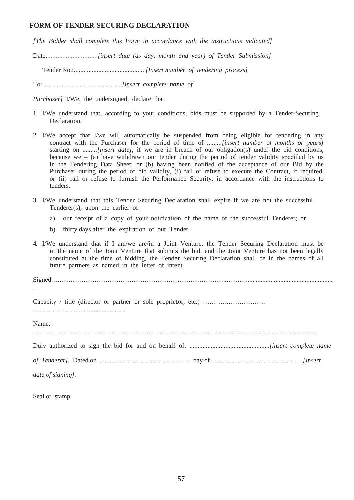## **FORM OF TENDER-SECURING DECLARATION**

*[The Bidder shall complete this Form in accordance with the instructions indicated]*

Date:..............................*[insert date (as day, month and year) of Tender Submission]*

Tender No.:........................................... *[Insert number of tendering process]*

To:.................................................*[insert complete name of* 

*Purchaser]* I/We, the undersigned, declare that:

- 1. I/We understand that, according to your conditions, bids must be supported by a Tender-Securing Declaration.
- 2. I/We accept that I/we will automatically be suspended from being eligible for tendering in any contract with the Purchaser for the period of time of *.........[insert number of months or years]*  starting on *.........[insert date]*, if we are in breach of our obligation(s) under the bid conditions, because we  $-$  (a) have withdrawn our tender during the period of tender validity specified by us in the Tendering Data Sheet; or (b) having been notified of the acceptance of our Bid by the Purchaser during the period of bid validity, (i) fail or refuse to execute the Contract, if required, or (ii) fail or refuse to furnish the Performance Security, in accordance with the instructions to tenders.
- 3. I/We understand that this Tender Securing Declaration shall expire if we are not the successful Tenderer(s), upon the earlier of:
	- a) our receipt of a copy of your notification of the name of the successful Tenderer; or
	- b) thirty days after the expiration of our Tender.
- 4. I/We understand that if I am/we are/in a Joint Venture, the Tender Securing Declaration must be in the name of the Joint Venture that submits the bid, and the Joint Venture has not been legally constituted at the time of bidding, the Tender Securing Declaration shall be in the names of all future partners as named in the letter of intent.

Signed:……………………………………………………………………..……….....................................................

Capacity / title (director or partner or sole proprietor, etc.) ………………………………………… …....................................................

Name:

.

…………………………………………………………………………………..................................................

Duly authorized to sign the bid for and on behalf of: .................................................*[insert complete name* 

*of Tenderer].* Dated on ....................................................... day of....................................................... *[Insert* 

*date of signing].*

Seal or stamp.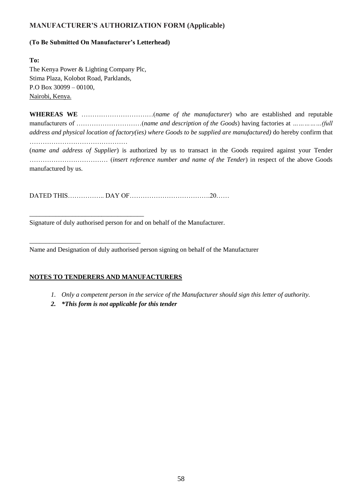## **MANUFACTURER'S AUTHORIZATION FORM (Applicable)**

## **(To Be Submitted On Manufacturer's Letterhead)**

**To:** The Kenya Power & Lighting Company Plc, Stima Plaza, Kolobot Road, Parklands, P.O Box 30099 – 00100, Nairobi, Kenya.

\_\_\_\_\_\_\_\_\_\_\_\_\_\_\_\_\_\_\_\_\_\_\_\_\_\_\_\_\_\_\_\_\_\_\_

\_\_\_\_\_\_\_\_\_\_\_\_\_\_\_\_\_\_\_\_\_\_\_\_\_\_\_\_\_\_\_\_\_\_

manufactured by us.

**WHEREAS WE** ……………………………(*name of the manufacturer*) who are established and reputable manufacturers of …………………………(*name and description of the Goods*) having factories at *……………(full address and physical location of factory(ies) where Goods to be supplied are manufactured)* do hereby confirm that

……………………………………… (*name and address of Supplier*) is authorized by us to transact in the Goods required against your Tender ……………………………… (*insert reference number and name of the Tender*) in respect of the above Goods

DATED THIS…………….. DAY OF……………………………….20……

Signature of duly authorised person for and on behalf of the Manufacturer.

Name and Designation of duly authorised person signing on behalf of the Manufacturer

## **NOTES TO TENDERERS AND MANUFACTURERS**

- *1. Only a competent person in the service of the Manufacturer should sign this letter of authority.*
- *2. \*This form is not applicable for this tender*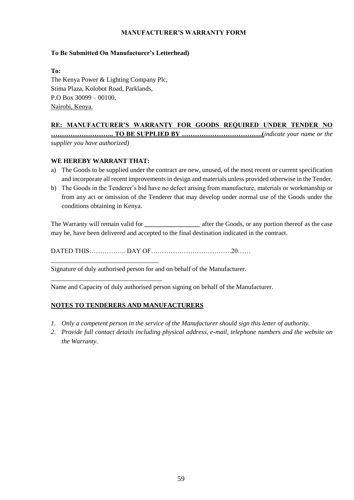## **MANUFACTURER'S WARRANTY FORM**

## **To Be Submitted On Manufacturer's Letterhead)**

**To:**

The Kenya Power & Lighting Company Plc, Stima Plaza, Kolobot Road, Parklands, P.O Box 30099 – 00100, Nairobi, Kenya.

## **RE: MANUFACTURER'S WARRANTY FOR GOODS REQUIRED UNDER TENDER NO**

**……………………….. TO BE SUPPLIED BY ……………………………….(***indicate your name or the supplier you have authorized)*

## **WE HEREBY WARRANT THAT:**

\_\_\_\_\_\_\_\_\_\_\_\_\_\_\_\_\_\_\_\_\_\_\_\_\_\_\_\_\_\_\_\_\_

\_\_\_\_\_\_\_\_\_\_\_\_\_\_\_\_\_\_\_\_\_\_\_\_\_\_\_\_\_\_\_\_\_\_

- a) The Goods to be supplied under the contract are new, unused, of the most recent or current specification and incorporate all recent improvements in design and materials unless provided otherwise in the Tender.
- b) The Goods in the Tenderer's bid have no defect arising from manufacture, materials or workmanship or from any act or omission of the Tenderer that may develop under normal use of the Goods under the conditions obtaining in Kenya.

The Warranty will remain valid for *\_\_\_\_\_\_\_\_\_\_\_\_\_\_\_* after the Goods, or any portion thereof as the case may be, have been delivered and accepted to the final destination indicated in the contract.

DATED THIS…………….. DAY OF……………………………….20……

Signature of duly authorised person for and on behalf of the Manufacturer.

Name and Capacity of duly authorised person signing on behalf of the Manufacturer.

## **NOTES TO TENDERERS AND MANUFACTURERS**

- *1. Only a competent person in the service of the Manufacturer should sign this letter of authority.*
- *2. Provide full contact details including physical address, e-mail, telephone numbers and the website on the Warranty.*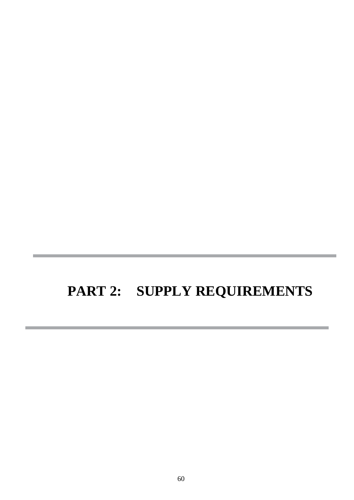# **PART 2: SUPPLY REQUIREMENTS**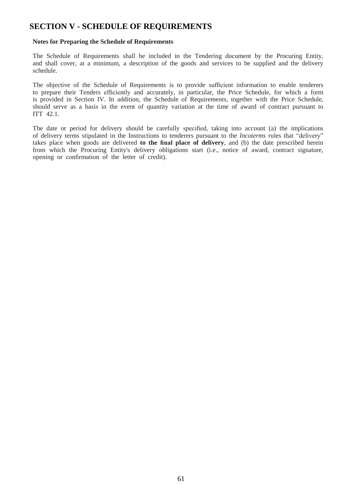# **SECTION V - SCHEDULE OF REQUIREMENTS**

## **Notes for Preparing the Schedule of Requirements**

The Schedule of Requirements shall be included in the Tendering document by the Procuring Entity, and shall cover, at a minimum, a description of the goods and services to be supplied and the delivery schedule.

The objective of the Schedule of Requirements is to provide sufficient information to enable tenderers to prepare their Tenders efficiently and accurately, in particular, the Price Schedule, for which a form is provided in Section IV. In addition, the Schedule of Requirements, together with the Price Schedule, should serve as a basis in the event of quantity variation at the time of award of contract pursuant to ITT 42.1.

The date or period for delivery should be carefully specified, taking into account (a) the implications of delivery terms stipulated in the Instructions to tenderers pursuant to the *Incoterms* rules that "delivery" takes place when goods are delivered **to the final place of delivery**, and (b) the date prescribed herein from which the Procuring Entity's delivery obligations start (i.e., notice of award, contract signature, opening or confirmation of the letter of credit).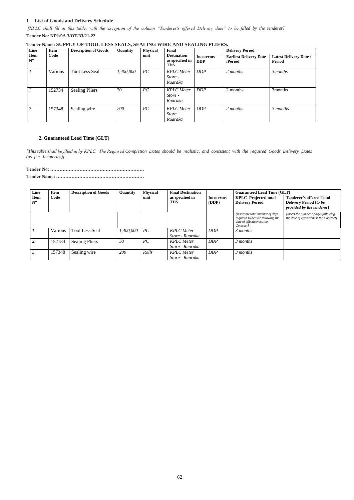62

## **1. List of Goods and Delivery Schedule**

*[KPLC shall fill in this table, with the exception of the column "Tenderer's offered Delivery date" to be filled by the tenderer]*

**Tender No: KP1/9A.3/OT/33/21-22**

## **Tender Name: SUPPLY OF TOOL LESS SEALS, SEALING WIRE AND SEALING PLIERS.**

| Line                       | <b>Item</b> | <b>Description of Goods</b> | <b>Quantity</b> | <b>Physical</b> | Final                                               |                                | <b>Delivery Period</b>                   |                                                |
|----------------------------|-------------|-----------------------------|-----------------|-----------------|-----------------------------------------------------|--------------------------------|------------------------------------------|------------------------------------------------|
| <b>Item</b><br>$N^{\circ}$ | Code        |                             |                 | unit            | <b>Destination</b><br>as specified in<br><b>TDS</b> | <b>Incoterms</b><br><b>DDP</b> | <b>Earliest Delivery Date</b><br>/Period | <b>Latest Delivery Date /</b><br><b>Period</b> |
|                            | Various     | <b>Tool Less Seal</b>       | 1,400,000       | PC              | <b>KPLC</b> Meter<br>Store -<br>Ruaraka             | <b>DDP</b>                     | 2 months                                 | 3 <i>months</i>                                |
| 2                          | 152734      | <b>Sealing Pliers</b>       | 30              | PC              | <b>KPLC</b> Meter<br>Store -<br>Ruaraka             | <b>DDP</b>                     | 2 months                                 | 3months                                        |
| 3                          | 157348      | Sealing wire                | 200             | PC              | <b>KPLC</b> Meter<br><i>Store</i><br>Ruaraka        | <b>DDP</b>                     | 2 months                                 | 3 months                                       |

## **2. Guaranteed Lead Time (GLT)**

*[This table shall be filled in by KPLC. The Required Completion Dates should be realistic, and consistent with the required Goods Delivery Dates (as per Incoterms)].*

| Line                       | Item<br>Code | <b>Description of Goods</b> | Quantity  | <b>Physical</b><br>unit | <b>Final Destination</b><br>as specified in<br><b>TDS</b> |                           | <b>Guaranteed Lead Time (GLT)</b>                                                                                             |                                                                                               |  |
|----------------------------|--------------|-----------------------------|-----------|-------------------------|-----------------------------------------------------------|---------------------------|-------------------------------------------------------------------------------------------------------------------------------|-----------------------------------------------------------------------------------------------|--|
| <b>Item</b><br>$N^{\circ}$ |              |                             |           |                         |                                                           | <b>Incoterms</b><br>(DDP) | <b>KPLC</b> Projected total<br><b>Delivery Period</b>                                                                         | <b>Tenderer's offered Total</b><br><b>Delivery Period</b> [to be<br>provided by the tenderer] |  |
|                            |              |                             |           |                         |                                                           |                           | <i>linsert the total number of days</i><br>required to deliver following the<br>date of effectiveness the<br><i>Contract1</i> | <i>linsert the number of days following</i><br>the date of effectiveness the Contract]        |  |
|                            | Various      | <b>Tool Less Seal</b>       | 1,400,000 | PC                      | <b>KPLC</b> Meter<br>Store - Ruaraka                      | <b>DDP</b>                | 3 months                                                                                                                      |                                                                                               |  |
| 2.                         | 152734       | <b>Sealing Pliers</b>       | 30        | PC                      | <b>KPLC</b> Meter<br>Store - Ruaraka                      | <b>DDP</b>                | 3 months                                                                                                                      |                                                                                               |  |
| 3.                         | 157348       | Sealing wire                | 200       | Rolls                   | <b>KPLC</b> Meter<br>Store - Ruaraka                      | <b>DDP</b>                | 3 months                                                                                                                      |                                                                                               |  |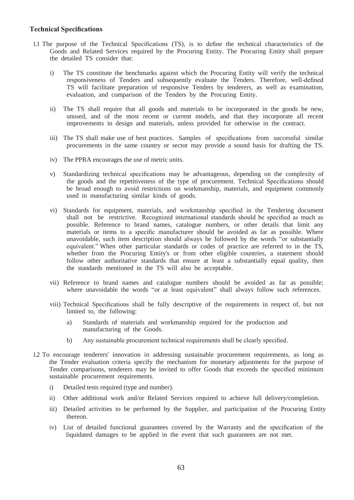## **Technical Specifications**

- 1.1 The purpose of the Technical Specifications (TS), is to define the technical characteristics of the Goods and Related Services required by the Procuring Entity. The Procuring Entity shall prepare the detailed TS consider that:
	- i) The TS constitute the benchmarks against which the Procuring Entity will verify the technical responsiveness of Tenders and subsequently evaluate the Tenders. Therefore, well-defined TS will facilitate preparation of responsive Tenders by tenderers, as well as examination, evaluation, and comparison of the Tenders by the Procuring Entity.
	- ii) The TS shall require that all goods and materials to be incorporated in the goods be new, unused, and of the most recent or current models, and that they incorporate all recent improvements in design and materials, unless provided for otherwise in the contract.
	- iii) The TS shall make use of best practices. Samples of specifications from successful similar procurements in the same country or sector may provide a sound basis for drafting the TS.
	- iv) The PPRA encourages the use of metric units.
	- v) Standardizing technical specifications may be advantageous, depending on the complexity of the goods and the repetitiveness of the type of procurement. Technical Specifications should be broad enough to avoid restrictions on workmanship, materials, and equipment commonly used in manufacturing similar kinds of goods.
	- vi) Standards for equipment, materials, and workmanship specified in the Tendering document shall not be restrictive. Recognized international standards should be specified as much as possible. Reference to brand names, catalogue numbers, or other details that limit any materials or items to a specific manufacturer should be avoided as far as possible. Where unavoidable, such item description should always be followed by the words "or substantially equivalent." When other particular standards or codes of practice are referred to in the TS, whether from the Procuring Entity's or from other eligible countries, a statement should follow other authoritative standards that ensure at least a substantially equal quality, then the standards mentioned in the TS will also be acceptable.
	- vii) Reference to brand names and catalogue numbers should be avoided as far as possible; where unavoidable the words "or at least equivalent" shall always follow such references.
	- viii) Technical Specifications shall be fully descriptive of the requirements in respect of, but not limited to, the following:
		- a) Standards of materials and workmanship required for the production and manufacturing of the Goods.
		- b) Any sustainable procurement technical requirements shall be clearly specified.
- 1.2 To encourage tenderers' innovation in addressing sustainable procurement requirements, as long as the Tender evaluation criteria specify the mechanism for monetary adjustments for the purpose of Tender comparisons, tenderers may be invited to offer Goods that exceeds the specified minimum sustainable procurement requirements.
	- i) Detailed tests required (type and number).
	- ii) Other additional work and/or Related Services required to achieve full delivery/completion.
	- iii) Detailed activities to be performed by the Supplier, and participation of the Procuring Entity thereon.
	- iv) List of detailed functional guarantees covered by the Warranty and the specification of the liquidated damages to be applied in the event that such guarantees are not met.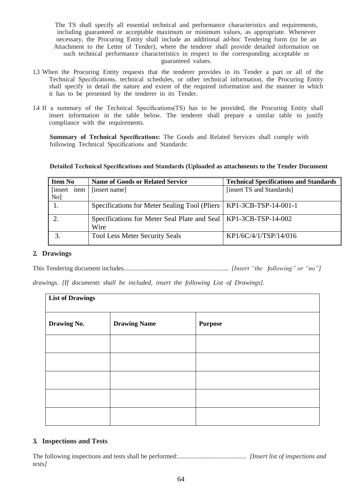The TS shall specify all essential technical and performance characteristics and requirements, including guaranteed or acceptable maximum or minimum values, as appropriate. Whenever necessary, the Procuring Entity shall include an additional ad-hoc Tendering form (to be an Attachment to the Letter of Tender), where the tenderer shall provide detailed information on such technical performance characteristics in respect to the corresponding acceptable or guaranteed values.

- 1.3 When the Procuring Entity requests that the tenderer provides in its Tender a part or all of the Technical Specifications, technical schedules, or other technical information, the Procuring Entity shall specify in detail the nature and extent of the required information and the manner in which it has to be presented by the tenderer in its Tender.
- 1.4 If a summary of the Technical Specifications(TS) has to be provided, the Procuring Entity shall insert information in the table below. The tenderer shall prepare a similar table to justify compliance with the requirements.

**Summary of Technical Specifications:** The Goods and Related Services shall comply with following Technical Specifications and Standards:

| <b>Item No</b> | <b>Name of Goods or Related Service</b>                                   | <b>Technical Specifications and Standards</b> |  |  |
|----------------|---------------------------------------------------------------------------|-----------------------------------------------|--|--|
| [insert item]  | [insert name]                                                             | [insert TS and Standards]                     |  |  |
| No]            |                                                                           |                                               |  |  |
|                | Specifications for Meter Sealing Tool (Pliers   KP1-3CB-TSP-14-001-1)     |                                               |  |  |
|                | Specifications for Meter Seal Plate and Seal   KP1-3CB-TSP-14-002<br>Wire |                                               |  |  |
|                | <b>Tool Less Meter Security Seals</b>                                     | KP1/6C/4/1/TSP/14/016                         |  |  |

## **Detailed Technical Specifications and Standards (Uploaded as attachments to the Tender Document**

## **2. Drawings**

This Tendering document includes................................................................ *[Insert "the following" or "no"]* 

*drawings*. *[If documents shall be included, insert the following List of Drawings].*

| <b>List of Drawings</b> |                     |                |  |  |  |  |
|-------------------------|---------------------|----------------|--|--|--|--|
| Drawing No.             | <b>Drawing Name</b> | <b>Purpose</b> |  |  |  |  |
|                         |                     |                |  |  |  |  |
|                         |                     |                |  |  |  |  |
|                         |                     |                |  |  |  |  |
|                         |                     |                |  |  |  |  |
|                         |                     |                |  |  |  |  |

## **3. Inspections and Tests**

The following inspections and tests shall be performed:.......................................... *[Insert list of inspections and tests]*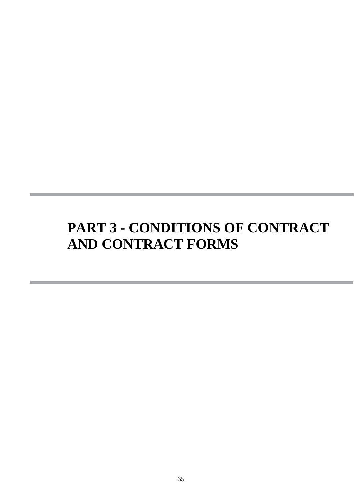# **PART 3 - CONDITIONS OF CONTRACT AND CONTRACT FORMS**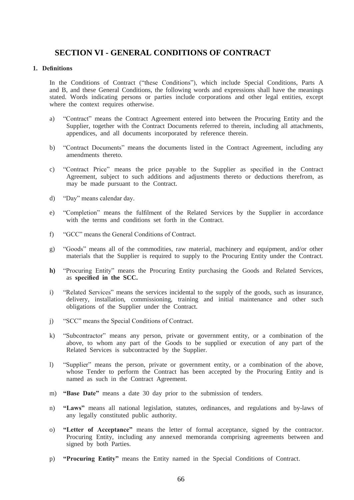# **SECTION VI - GENERAL CONDITIONS OF CONTRACT**

## **1. Definitions**

In the Conditions of Contract ("these Conditions"), which include Special Conditions, Parts A and B, and these General Conditions, the following words and expressions shall have the meanings stated. Words indicating persons or parties include corporations and other legal entities, except where the context requires otherwise.

- a) "Contract" means the Contract Agreement entered into between the Procuring Entity and the Supplier, together with the Contract Documents referred to therein, including all attachments, appendices, and all documents incorporated by reference therein.
- b) "Contract Documents" means the documents listed in the Contract Agreement, including any amendments thereto.
- c) "Contract Price" means the price payable to the Supplier as specified in the Contract Agreement, subject to such additions and adjustments thereto or deductions therefrom, as may be made pursuant to the Contract.
- d) "Day" means calendar day.
- e) "Completion" means the fulfilment of the Related Services by the Supplier in accordance with the terms and conditions set forth in the Contract.
- f) "GCC" means the General Conditions of Contract.
- g) "Goods" means all of the commodities, raw material, machinery and equipment, and/or other materials that the Supplier is required to supply to the Procuring Entity under the Contract.
- **h)** "Procuring Entity" means the Procuring Entity purchasing the Goods and Related Services, as **specified in the SCC.**
- i) "Related Services" means the services incidental to the supply of the goods, such as insurance, delivery, installation, commissioning, training and initial maintenance and other such obligations of the Supplier under the Contract.
- j) "SCC" means the Special Conditions of Contract.
- k) "Subcontractor" means any person, private or government entity, or a combination of the above, to whom any part of the Goods to be supplied or execution of any part of the Related Services is subcontracted by the Supplier.
- l) "Supplier" means the person, private or government entity, or a combination of the above, whose Tender to perform the Contract has been accepted by the Procuring Entity and is named as such in the Contract Agreement.
- m) **"Base Date"** means a date 30 day prior to the submission of tenders.
- n) **"Laws"** means all national legislation, statutes, ordinances, and regulations and by-laws of any legally constituted public authority.
- o) **"Letter of Acceptance"** means the letter of formal acceptance, signed by the contractor. Procuring Entity, including any annexed memoranda comprising agreements between and signed by both Parties.
- p) **"Procuring Entity"** means the Entity named in the Special Conditions of Contract.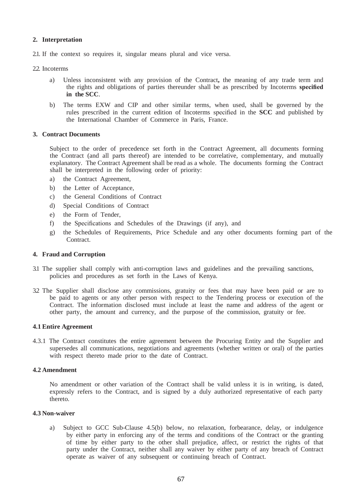## **2. Interpretation**

2.1. If the context so requires it, singular means plural and vice versa.

2.2. Incoterms

- a) Unless inconsistent with any provision of the Contract**,** the meaning of any trade term and the rights and obligations of parties thereunder shall be as prescribed by Incoterms **specified in the SCC**.
- b) The terms EXW and CIP and other similar terms, when used, shall be governed by the rules prescribed in the current edition of Incoterms specified in the **SCC** and published by the International Chamber of Commerce in Paris, France.

#### **3. Contract Documents**

Subject to the order of precedence set forth in the Contract Agreement, all documents forming the Contract (and all parts thereof) are intended to be correlative, complementary, and mutually explanatory. The Contract Agreement shall be read as a whole. The documents forming the Contract shall be interpreted in the following order of priority:

- a) the Contract Agreement,
- b) the Letter of Acceptance,
- c) the General Conditions of Contract
- d) Special Conditions of Contract
- e) the Form of Tender,
- f) the Specifications and Schedules of the Drawings (if any), and
- g) the Schedules of Requirements, Price Schedule and any other documents forming part of the Contract.

## **4. Fraud and Corruption**

- 3.1 The supplier shall comply with anti-corruption laws and guidelines and the prevailing sanctions, policies and procedures as set forth in the Laws of Kenya.
- 3.2 The Supplier shall disclose any commissions, gratuity or fees that may have been paid or are to be paid to agents or any other person with respect to the Tendering process or execution of the Contract. The information disclosed must include at least the name and address of the agent or other party, the amount and currency, and the purpose of the commission, gratuity or fee.

#### **4.1 Entire Agreement**

4.3.1 The Contract constitutes the entire agreement between the Procuring Entity and the Supplier and supersedes all communications, negotiations and agreements (whether written or oral) of the parties with respect thereto made prior to the date of Contract.

## **4.2 Amendment**

No amendment or other variation of the Contract shall be valid unless it is in writing, is dated, expressly refers to the Contract, and is signed by a duly authorized representative of each party thereto.

## **4.3 Non-waiver**

a) Subject to GCC Sub-Clause 4.5(b) below, no relaxation, forbearance, delay, or indulgence by either party in enforcing any of the terms and conditions of the Contract or the granting of time by either party to the other shall prejudice, affect, or restrict the rights of that party under the Contract, neither shall any waiver by either party of any breach of Contract operate as waiver of any subsequent or continuing breach of Contract.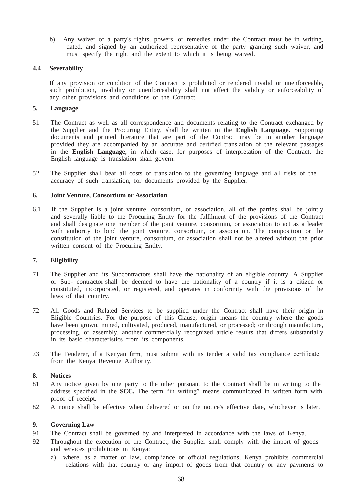b) Any waiver of a party's rights, powers, or remedies under the Contract must be in writing, dated, and signed by an authorized representative of the party granting such waiver, and must specify the right and the extent to which it is being waived.

## **4.4 Severability**

If any provision or condition of the Contract is prohibited or rendered invalid or unenforceable, such prohibition, invalidity or unenforceability shall not affect the validity or enforceability of any other provisions and conditions of the Contract.

## **5. Language**

- 5.1 The Contract as well as all correspondence and documents relating to the Contract exchanged by the Supplier and the Procuring Entity, shall be written in the **English Language.** Supporting documents and printed literature that are part of the Contract may be in another language provided they are accompanied by an accurate and certified translation of the relevant passages in the **English Language,** in which case, for purposes of interpretation of the Contract, the English language is translation shall govern.
- 5.2 The Supplier shall bear all costs of translation to the governing language and all risks of the accuracy of such translation, for documents provided by the Supplier.

## **6. Joint Venture, Consortium or Association**

6.1 If the Supplier is a joint venture, consortium, or association, all of the parties shall be jointly and severally liable to the Procuring Entity for the fulfilment of the provisions of the Contract and shall designate one member of the joint venture, consortium, or association to act as a leader with authority to bind the joint venture, consortium, or association. The composition or the constitution of the joint venture, consortium, or association shall not be altered without the prior written consent of the Procuring Entity.

#### **7. Eligibility**

- 7.1 The Supplier and its Subcontractors shall have the nationality of an eligible country. A Supplier or Sub- contractor shall be deemed to have the nationality of a country if it is a citizen or constituted, incorporated, or registered, and operates in conformity with the provisions of the laws of that country.
- 7.2 All Goods and Related Services to be supplied under the Contract shall have their origin in Eligible Countries. For the purpose of this Clause, origin means the country where the goods have been grown, mined, cultivated, produced, manufactured, or processed; or through manufacture, processing, or assembly, another commercially recognized article results that differs substantially in its basic characteristics from its components.
- 7.3 The Tenderer, if a Kenyan firm, must submit with its tender a valid tax compliance certificate from the Kenya Revenue Authority.

## **8. Notices**

- 8.1 Any notice given by one party to the other pursuant to the Contract shall be in writing to the address specified in the **SCC.** The term "in writing" means communicated in written form with proof of receipt.
- 8.2 A notice shall be effective when delivered or on the notice's effective date, whichever is later.

## **9. Governing Law**

- 9.1 The Contract shall be governed by and interpreted in accordance with the laws of Kenya.
- 9.2 Throughout the execution of the Contract, the Supplier shall comply with the import of goods and services prohibitions in Kenya:
	- a) where, as a matter of law, compliance or official regulations, Kenya prohibits commercial relations with that country or any import of goods from that country or any payments to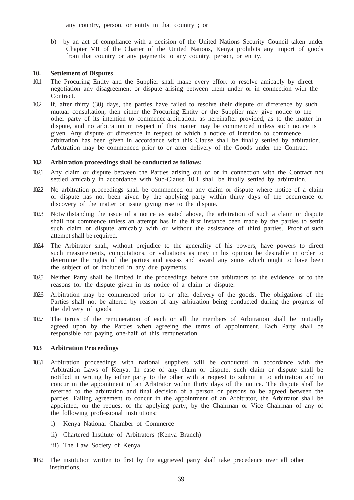any country, person, or entity in that country ; or

b) by an act of compliance with a decision of the United Nations Security Council taken under Chapter VII of the Charter of the United Nations, Kenya prohibits any import of goods from that country or any payments to any country, person, or entity.

#### **10. Settlement of Disputes**

- 10.1 The Procuring Entity and the Supplier shall make every effort to resolve amicably by direct negotiation any disagreement or dispute arising between them under or in connection with the **Contract**
- 10.2 If, after thirty (30) days, the parties have failed to resolve their dispute or difference by such mutual consultation, then either the Procuring Entity or the Supplier may give notice to the other party of its intention to commence arbitration, as hereinafter provided, as to the matter in dispute, and no arbitration in respect of this matter may be commenced unless such notice is given. Any dispute or difference in respect of which a notice of intention to commence arbitration has been given in accordance with this Clause shall be finally settled by arbitration. Arbitration may be commenced prior to or after delivery of the Goods under the Contract.

#### **10.2 Arbitration proceedings shall be conducted as follows:**

- 10.2.1 Any claim or dispute between the Parties arising out of or in connection with the Contract not settled amicably in accordance with Sub-Clause 10.1 shall be finally settled by arbitration.
- 10.2.2 No arbitration proceedings shall be commenced on any claim or dispute where notice of a claim or dispute has not been given by the applying party within thirty days of the occurrence or discovery of the matter or issue giving rise to the dispute.
- 10.2.3 Notwithstanding the issue of a notice as stated above, the arbitration of such a claim or dispute shall not commence unless an attempt has in the first instance been made by the parties to settle such claim or dispute amicably with or without the assistance of third parties. Proof of such attempt shall be required.
- 10.2.4 The Arbitrator shall, without prejudice to the generality of his powers, have powers to direct such measurements, computations, or valuations as may in his opinion be desirable in order to determine the rights of the parties and assess and award any sums which ought to have been the subject of or included in any due payments.
- 10.2.5 Neither Party shall be limited in the proceedings before the arbitrators to the evidence, or to the reasons for the dispute given in its notice of a claim or dispute.
- 10.2.6 Arbitration may be commenced prior to or after delivery of the goods. The obligations of the Parties shall not be altered by reason of any arbitration being conducted during the progress of the delivery of goods.
- 1027 The terms of the remuneration of each or all the members of Arbitration shall be mutually agreed upon by the Parties when agreeing the terms of appointment. Each Party shall be responsible for paying one-half of this remuneration.

#### **10.3 Arbitration Proceedings**

- 10.3.1 Arbitration proceedings with national suppliers will be conducted in accordance with the Arbitration Laws of Kenya. In case of any claim or dispute, such claim or dispute shall be notified in writing by either party to the other with a request to submit it to arbitration and to concur in the appointment of an Arbitrator within thirty days of the notice. The dispute shall be referred to the arbitration and final decision of a person or persons to be agreed between the parties. Failing agreement to concur in the appointment of an Arbitrator, the Arbitrator shall be appointed, on the request of the applying party, by the Chairman or Vice Chairman of any of the following professional institutions;
	- i) Kenya National Chamber of Commerce
	- ii) Chartered Institute of Arbitrators (Kenya Branch)
	- iii) The Law Society of Kenya
- 10.3.2 The institution written to first by the aggrieved party shall take precedence over all other institutions.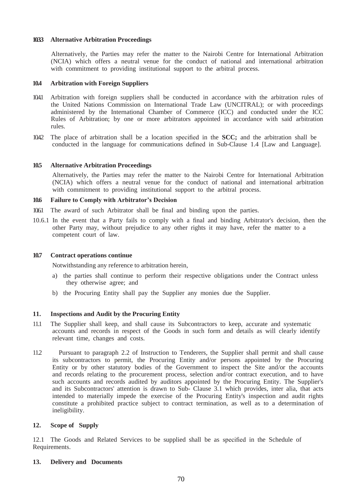## **10.3.3 Alternative Arbitration Proceedings**

Alternatively, the Parties may refer the matter to the Nairobi Centre for International Arbitration (NCIA) which offers a neutral venue for the conduct of national and international arbitration with commitment to providing institutional support to the arbitral process.

#### **10.4 Arbitration with Foreign Suppliers**

- 10.4.1 Arbitration with foreign suppliers shall be conducted in accordance with the arbitration rules of the United Nations Commission on International Trade Law (UNCITRAL); or with proceedings administered by the International Chamber of Commerce (ICC) and conducted under the ICC Rules of Arbitration; by one or more arbitrators appointed in accordance with said arbitration rules.
- 10.4.2 The place of arbitration shall be a location specified in the **SCC;** and the arbitration shall be conducted in the language for communications defined in Sub-Clause 1.4 [Law and Language].

#### **10.5 Alternative Arbitration Proceedings**

Alternatively, the Parties may refer the matter to the Nairobi Centre for International Arbitration (NCIA) which offers a neutral venue for the conduct of national and international arbitration with commitment to providing institutional support to the arbitral process.

#### **10.6 Failure to Comply with Arbitrator's Decision**

10.6.1 The award of such Arbitrator shall be final and binding upon the parties.

10.6.1 In the event that a Party fails to comply with a final and binding Arbitrator's decision, then the other Party may, without prejudice to any other rights it may have, refer the matter to a competent court of law.

#### **10.7 Contract operations continue**

Notwithstanding any reference to arbitration herein,

- a) the parties shall continue to perform their respective obligations under the Contract unless they otherwise agree; and
- b) the Procuring Entity shall pay the Supplier any monies due the Supplier.

#### **11. Inspections and Audit by the Procuring Entity**

- 11.1 The Supplier shall keep, and shall cause its Subcontractors to keep, accurate and systematic accounts and records in respect of the Goods in such form and details as will clearly identify relevant time, changes and costs.
- 11.2 Pursuant to paragraph 2.2 of Instruction to Tenderers, the Supplier shall permit and shall cause its subcontractors to permit, the Procuring Entity and/or persons appointed by the Procuring Entity or by other statutory bodies of the Government to inspect the Site and/or the accounts and records relating to the procurement process, selection and/or contract execution, and to have such accounts and records audited by auditors appointed by the Procuring Entity. The Supplier's and its Subcontractors' attention is drawn to Sub- Clause 3.1 which provides, inter alia, that acts intended to materially impede the exercise of the Procuring Entity's inspection and audit rights constitute a prohibited practice subject to contract termination, as well as to a determination of ineligibility.

#### **12. Scope of Supply**

12.1 The Goods and Related Services to be supplied shall be as specified in the Schedule of Requirements.

#### **13. Delivery and Documents**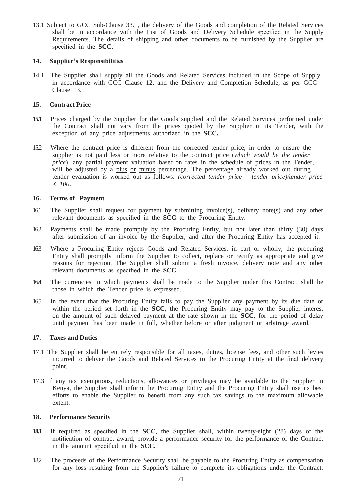13.1 Subject to GCC Sub-Clause 33.1, the delivery of the Goods and completion of the Related Services shall be in accordance with the List of Goods and Delivery Schedule specified in the Supply Requirements. The details of shipping and other documents to be furnished by the Supplier are specified in the **SCC.**

## **14. Supplier's Responsibilities**

14.1 The Supplier shall supply all the Goods and Related Services included in the Scope of Supply in accordance with GCC Clause 12, and the Delivery and Completion Schedule, as per GCC Clause 13.

## **15. Contract Price**

- **15.1** Prices charged by the Supplier for the Goods supplied and the Related Services performed under the Contract shall not vary from the prices quoted by the Supplier in its Tender, with the exception of any price adjustments authorized in the **SCC.**
- 15.2 Where the contract price is different from the corrected tender price, in order to ensure the supplier is not paid less or more relative to the contract price (*which would be the tender price*), any partial payment valuation based on rates in the schedule of prices in the Tender, will be adjusted by a plus or minus percentage. The percentage already worked out during tender evaluation is worked out as follows: *(corrected tender price – tender price)/tender price X 100*.

#### **16. Terms of Payment**

- 16.1 The Supplier shall request for payment by submitting invoice(s), delivery note(s) and any other relevant documents as specified in the **SCC** to the Procuring Entity.
- 16.2 Payments shall be made promptly by the Procuring Entity, but not later than thirty (30) days after submission of an invoice by the Supplier, and after the Procuring Entity has accepted it.
- 16.3 Where a Procuring Entity rejects Goods and Related Services, in part or wholly, the procuring Entity shall promptly inform the Supplier to collect, replace or rectify as appropriate and give reasons for rejection. The Supplier shall submit a fresh invoice, delivery note and any other relevant documents as specified in the **SCC**.
- 16.4 The currencies in which payments shall be made to the Supplier under this Contract shall be those in which the Tender price is expressed.
- 16.5 In the event that the Procuring Entity fails to pay the Supplier any payment by its due date or within the period set forth in the **SCC,** the Procuring Entity may pay to the Supplier interest on the amount of such delayed payment at the rate shown in the **SCC,** for the period of delay until payment has been made in full, whether before or after judgment or arbitrage award.

## **17. Taxes and Duties**

- 17.1 The Supplier shall be entirely responsible for all taxes, duties, license fees, and other such levies incurred to deliver the Goods and Related Services to the Procuring Entity at the final delivery point.
- 17.3 If any tax exemptions, reductions, allowances or privileges may be available to the Supplier in Kenya, the Supplier shall inform the Procuring Entity and the Procuring Entity shall use its best efforts to enable the Supplier to benefit from any such tax savings to the maximum allowable extent.

#### **18. Performance Security**

- **18.1** If required as specified in the **SCC**, the Supplier shall, within twenty-eight (28) days of the notification of contract award, provide a performance security for the performance of the Contract in the amount specified in the **SCC.**
- 18.2 The proceeds of the Performance Security shall be payable to the Procuring Entity as compensation for any loss resulting from the Supplier's failure to complete its obligations under the Contract.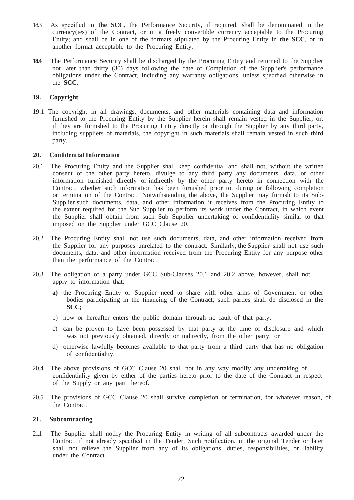- 18.3 As specified in **the SCC**, the Performance Security, if required, shall be denominated in the currency(ies) of the Contract, or in a freely convertible currency acceptable to the Procuring Entity; and shall be in one of the formats stipulated by the Procuring Entity in **the SCC**, or in another format acceptable to the Procuring Entity.
- **18.4** The Performance Security shall be discharged by the Procuring Entity and returned to the Supplier not later than thirty (30) days following the date of Completion of the Supplier's performance obligations under the Contract, including any warranty obligations, unless specified otherwise in the **SCC.**

## **19. Copyright**

19.1 The copyright in all drawings, documents, and other materials containing data and information furnished to the Procuring Entity by the Supplier herein shall remain vested in the Supplier, or, if they are furnished to the Procuring Entity directly or through the Supplier by any third party, including suppliers of materials, the copyright in such materials shall remain vested in such third party.

#### **20. Confidential Information**

- 20.1 The Procuring Entity and the Supplier shall keep confidential and shall not, without the written consent of the other party hereto, divulge to any third party any documents, data, or other information furnished directly or indirectly by the other party hereto in connection with the Contract, whether such information has been furnished prior to, during or following completion or termination of the Contract. Notwithstanding the above, the Supplier may furnish to its Sub-Supplier such documents, data, and other information it receives from the Procuring Entity to the extent required for the Sub Supplier to perform its work under the Contract, in which event the Supplier shall obtain from such Sub Supplier undertaking of confidentiality similar to that imposed on the Supplier under GCC Clause 20.
- 20.2 The Procuring Entity shall not use such documents, data, and other information received from the Supplier for any purposes unrelated to the contract. Similarly, the Supplier shall not use such documents, data, and other information received from the Procuring Entity for any purpose other than the performance of the Contract.
- 20.3 The obligation of a party under GCC Sub-Clauses 20.1 and 20.2 above, however, shall not apply to information that:
	- **a)** the Procuring Entity or Supplier need to share with other arms of Government or other bodies participating in the financing of the Contract; such parties shall de disclosed in **the SCC;**
	- b) now or hereafter enters the public domain through no fault of that party;
	- c) can be proven to have been possessed by that party at the time of disclosure and which was not previously obtained, directly or indirectly, from the other party; or
	- d) otherwise lawfully becomes available to that party from a third party that has no obligation of confidentiality.
- 20.4 The above provisions of GCC Clause 20 shall not in any way modify any undertaking of confidentiality given by either of the parties hereto prior to the date of the Contract in respect of the Supply or any part thereof.
- 20.5 The provisions of GCC Clause 20 shall survive completion or termination, for whatever reason, of the Contract.

### **21. Subcontracting**

21.1 The Supplier shall notify the Procuring Entity in writing of all subcontracts awarded under the Contract if not already specified in the Tender. Such notification, in the original Tender or later shall not relieve the Supplier from any of its obligations, duties, responsibilities, or liability under the Contract.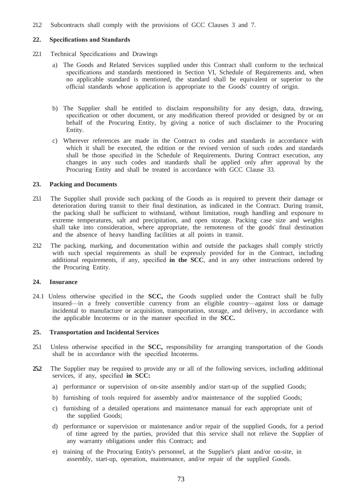21.2 Subcontracts shall comply with the provisions of GCC Clauses 3 and 7.

#### **22. Specifications and Standards**

- 22.1 Technical Specifications and Drawings
	- a) The Goods and Related Services supplied under this Contract shall conform to the technical specifications and standards mentioned in Section VI, Schedule of Requirements and, when no applicable standard is mentioned, the standard shall be equivalent or superior to the official standards whose application is appropriate to the Goods' country of origin.
	- b) The Supplier shall be entitled to disclaim responsibility for any design, data, drawing, specification or other document, or any modification thereof provided or designed by or on behalf of the Procuring Entity, by giving a notice of such disclaimer to the Procuring Entity.
	- c) Wherever references are made in the Contract to codes and standards in accordance with which it shall be executed, the edition or the revised version of such codes and standards shall be those specified in the Schedule of Requirements. During Contract execution, any changes in any such codes and standards shall be applied only after approval by the Procuring Entity and shall be treated in accordance with GCC Clause 33.

#### **23. Packing and Documents**

- 23.1 The Supplier shall provide such packing of the Goods as is required to prevent their damage or deterioration during transit to their final destination, as indicated in the Contract. During transit, the packing shall be sufficient to withstand, without limitation, rough handling and exposure to extreme temperatures, salt and precipitation, and open storage. Packing case size and weights shall take into consideration, where appropriate, the remoteness of the goods' final destination and the absence of heavy handling facilities at all points in transit.
- 23.2 The packing, marking, and documentation within and outside the packages shall comply strictly with such special requirements as shall be expressly provided for in the Contract, including additional requirements, if any, specified **in the SCC**, and in any other instructions ordered by the Procuring Entity.

#### **24. Insurance**

24.1 Unless otherwise specified in the **SCC,** the Goods supplied under the Contract shall be fully insured—in a freely convertible currency from an eligible country—against loss or damage incidental to manufacture or acquisition, transportation, storage, and delivery, in accordance with the applicable Incoterms or in the manner specified in the **SCC.**

#### **25. Transportation and Incidental Services**

- 25.1 Unless otherwise specified in the **SCC,** responsibility for arranging transportation of the Goods shall be in accordance with the specified Incoterms.
- **25.2** The Supplier may be required to provide any or all of the following services, including additional services, if any, specified **in SCC:**
	- a) performance or supervision of on-site assembly and/or start-up of the supplied Goods;
	- b) furnishing of tools required for assembly and/or maintenance of the supplied Goods;
	- c) furnishing of a detailed operations and maintenance manual for each appropriate unit of the supplied Goods;
	- d) performance or supervision or maintenance and/or repair of the supplied Goods, for a period of time agreed by the parties, provided that this service shall not relieve the Supplier of any warranty obligations under this Contract; and
	- e) training of the Procuring Entity's personnel, at the Supplier's plant and/or on-site, in assembly, start-up, operation, maintenance, and/or repair of the supplied Goods.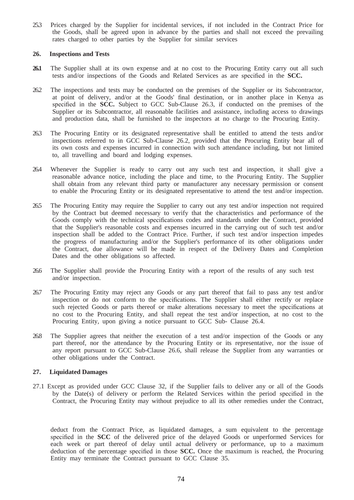25.3 Prices charged by the Supplier for incidental services, if not included in the Contract Price for the Goods, shall be agreed upon in advance by the parties and shall not exceed the prevailing rates charged to other parties by the Supplier for similar services

#### **26. Inspections and Tests**

- 26.1 The Supplier shall at its own expense and at no cost to the Procuring Entity carry out all such tests and/or inspections of the Goods and Related Services as are specified in the **SCC.**
- 26.2 The inspections and tests may be conducted on the premises of the Supplier or its Subcontractor, at point of delivery, and/or at the Goods' final destination, or in another place in Kenya as specified in the **SCC.** Subject to GCC Sub-Clause 26.3, if conducted on the premises of the Supplier or its Subcontractor, all reasonable facilities and assistance, including access to drawings and production data, shall be furnished to the inspectors at no charge to the Procuring Entity.
- 26.3 The Procuring Entity or its designated representative shall be entitled to attend the tests and/or inspections referred to in GCC Sub-Clause 26.2, provided that the Procuring Entity bear all of its own costs and expenses incurred in connection with such attendance including, but not limited to, all travelling and board and lodging expenses.
- 26.4 Whenever the Supplier is ready to carry out any such test and inspection, it shall give a reasonable advance notice, including the place and time, to the Procuring Entity. The Supplier shall obtain from any relevant third party or manufacturer any necessary permission or consent to enable the Procuring Entity or its designated representative to attend the test and/or inspection.
- 26.5 The Procuring Entity may require the Supplier to carry out any test and/or inspection not required by the Contract but deemed necessary to verify that the characteristics and performance of the Goods comply with the technical specifications codes and standards under the Contract, provided that the Supplier's reasonable costs and expenses incurred in the carrying out of such test and/or inspection shall be added to the Contract Price. Further, if such test and/or inspection impedes the progress of manufacturing and/or the Supplier's performance of its other obligations under the Contract, due allowance will be made in respect of the Delivery Dates and Completion Dates and the other obligations so affected.
- 26.6 The Supplier shall provide the Procuring Entity with a report of the results of any such test and/or inspection.
- 26.7 The Procuring Entity may reject any Goods or any part thereof that fail to pass any test and/or inspection or do not conform to the specifications. The Supplier shall either rectify or replace such rejected Goods or parts thereof or make alterations necessary to meet the specifications at no cost to the Procuring Entity, and shall repeat the test and/or inspection, at no cost to the Procuring Entity, upon giving a notice pursuant to GCC Sub- Clause 26.4.
- 26.8 The Supplier agrees that neither the execution of a test and/or inspection of the Goods or any part thereof, nor the attendance by the Procuring Entity or its representative, nor the issue of any report pursuant to GCC Sub-Clause 26.6, shall release the Supplier from any warranties or other obligations under the Contract.

#### **27. Liquidated Damages**

27.1 Except as provided under GCC Clause 32, if the Supplier fails to deliver any or all of the Goods by the Date(s) of delivery or perform the Related Services within the period specified in the Contract, the Procuring Entity may without prejudice to all its other remedies under the Contract,

deduct from the Contract Price, as liquidated damages, a sum equivalent to the percentage specified in the **SCC** of the delivered price of the delayed Goods or unperformed Services for each week or part thereof of delay until actual delivery or performance, up to a maximum deduction of the percentage specified in those **SCC.** Once the maximum is reached, the Procuring Entity may terminate the Contract pursuant to GCC Clause 35.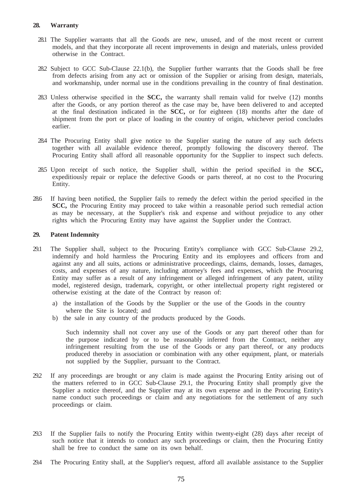- 28.1 The Supplier warrants that all the Goods are new, unused, and of the most recent or current models, and that they incorporate all recent improvements in design and materials, unless provided otherwise in the Contract.
- 28.2 Subject to GCC Sub-Clause 22.1(b), the Supplier further warrants that the Goods shall be free from defects arising from any act or omission of the Supplier or arising from design, materials, and workmanship, under normal use in the conditions prevailing in the country of final destination.
- 28.3 Unless otherwise specified in the **SCC,** the warranty shall remain valid for twelve (12) months after the Goods, or any portion thereof as the case may be, have been delivered to and accepted at the final destination indicated in the **SCC,** or for eighteen (18) months after the date of shipment from the port or place of loading in the country of origin, whichever period concludes earlier.
- 28.4 The Procuring Entity shall give notice to the Supplier stating the nature of any such defects together with all available evidence thereof, promptly following the discovery thereof. The Procuring Entity shall afford all reasonable opportunity for the Supplier to inspect such defects.
- 28.5 Upon receipt of such notice, the Supplier shall, within the period specified in the **SCC,**  expeditiously repair or replace the defective Goods or parts thereof, at no cost to the Procuring Entity.
- 28.6 If having been notified, the Supplier fails to remedy the defect within the period specified in the **SCC,** the Procuring Entity may proceed to take within a reasonable period such remedial action as may be necessary, at the Supplier's risk and expense and without prejudice to any other rights which the Procuring Entity may have against the Supplier under the Contract.

## **29. Patent Indemnity**

- 29.1 The Supplier shall, subject to the Procuring Entity's compliance with GCC Sub-Clause 29.2, indemnify and hold harmless the Procuring Entity and its employees and officers from and against any and all suits, actions or administrative proceedings, claims, demands, losses, damages, costs, and expenses of any nature, including attorney's fees and expenses, which the Procuring Entity may suffer as a result of any infringement or alleged infringement of any patent, utility model, registered design, trademark, copyright, or other intellectual property right registered or otherwise existing at the date of the Contract by reason of:
	- a) the installation of the Goods by the Supplier or the use of the Goods in the country where the Site is located; and
	- b) the sale in any country of the products produced by the Goods.

Such indemnity shall not cover any use of the Goods or any part thereof other than for the purpose indicated by or to be reasonably inferred from the Contract, neither any infringement resulting from the use of the Goods or any part thereof, or any products produced thereby in association or combination with any other equipment, plant, or materials not supplied by the Supplier, pursuant to the Contract.

- 29.2 If any proceedings are brought or any claim is made against the Procuring Entity arising out of the matters referred to in GCC Sub-Clause 29.1, the Procuring Entity shall promptly give the Supplier a notice thereof, and the Supplier may at its own expense and in the Procuring Entity's name conduct such proceedings or claim and any negotiations for the settlement of any such proceedings or claim.
- 29.3 If the Supplier fails to notify the Procuring Entity within twenty-eight (28) days after receipt of such notice that it intends to conduct any such proceedings or claim, then the Procuring Entity shall be free to conduct the same on its own behalf.
- 29.4 The Procuring Entity shall, at the Supplier's request, afford all available assistance to the Supplier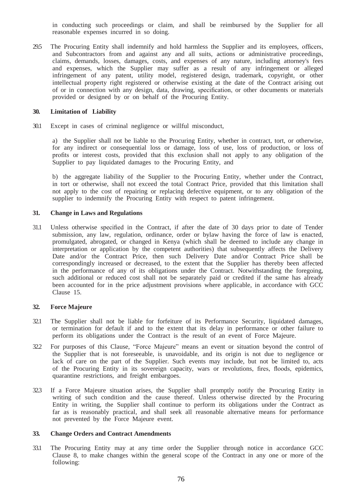in conducting such proceedings or claim, and shall be reimbursed by the Supplier for all reasonable expenses incurred in so doing.

29.5 The Procuring Entity shall indemnify and hold harmless the Supplier and its employees, officers, and Subcontractors from and against any and all suits, actions or administrative proceedings, claims, demands, losses, damages, costs, and expenses of any nature, including attorney's fees and expenses, which the Supplier may suffer as a result of any infringement or alleged infringement of any patent, utility model, registered design, trademark, copyright, or other intellectual property right registered or otherwise existing at the date of the Contract arising out of or in connection with any design, data, drawing, specification, or other documents or materials provided or designed by or on behalf of the Procuring Entity.

#### **30. Limitation of Liability**

30.1 Except in cases of criminal negligence or willful misconduct,

a) the Supplier shall not be liable to the Procuring Entity, whether in contract, tort, or otherwise, for any indirect or consequential loss or damage, loss of use, loss of production, or loss of profits or interest costs, provided that this exclusion shall not apply to any obligation of the Supplier to pay liquidated damages to the Procuring Entity, and

b) the aggregate liability of the Supplier to the Procuring Entity, whether under the Contract, in tort or otherwise, shall not exceed the total Contract Price, provided that this limitation shall not apply to the cost of repairing or replacing defective equipment, or to any obligation of the supplier to indemnify the Procuring Entity with respect to patent infringement.

#### **31. Change in Laws and Regulations**

31.1 Unless otherwise specified in the Contract, if after the date of 30 days prior to date of Tender submission, any law, regulation, ordinance, order or bylaw having the force of law is enacted, promulgated, abrogated, or changed in Kenya (which shall be deemed to include any change in interpretation or application by the competent authorities) that subsequently affects the Delivery Date and/or the Contract Price, then such Delivery Date and/or Contract Price shall be correspondingly increased or decreased, to the extent that the Supplier has thereby been affected in the performance of any of its obligations under the Contract. Notwithstanding the foregoing, such additional or reduced cost shall not be separately paid or credited if the same has already been accounted for in the price adjustment provisions where applicable, in accordance with GCC Clause 15.

#### **32. Force Majeure**

- 32.1 The Supplier shall not be liable for forfeiture of its Performance Security, liquidated damages, or termination for default if and to the extent that its delay in performance or other failure to perform its obligations under the Contract is the result of an event of Force Majeure.
- 32.2 For purposes of this Clause, "Force Majeure" means an event or situation beyond the control of the Supplier that is not foreseeable, is unavoidable, and its origin is not due to negligence or lack of care on the part of the Supplier. Such events may include, but not be limited to, acts of the Procuring Entity in its sovereign capacity, wars or revolutions, fires, floods, epidemics, quarantine restrictions, and freight embargoes.
- 32.3 If a Force Majeure situation arises, the Supplier shall promptly notify the Procuring Entity in writing of such condition and the cause thereof. Unless otherwise directed by the Procuring Entity in writing, the Supplier shall continue to perform its obligations under the Contract as far as is reasonably practical, and shall seek all reasonable alternative means for performance not prevented by the Force Majeure event.

#### **33. Change Orders and Contract Amendments**

33.1 The Procuring Entity may at any time order the Supplier through notice in accordance GCC Clause 8, to make changes within the general scope of the Contract in any one or more of the following: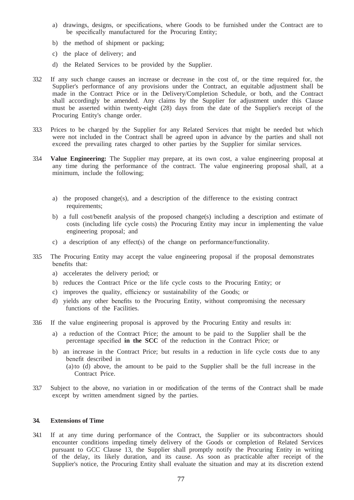- a) drawings, designs, or specifications, where Goods to be furnished under the Contract are to be specifically manufactured for the Procuring Entity;
- b) the method of shipment or packing;
- c) the place of delivery; and
- d) the Related Services to be provided by the Supplier.
- 33.2 If any such change causes an increase or decrease in the cost of, or the time required for, the Supplier's performance of any provisions under the Contract, an equitable adjustment shall be made in the Contract Price or in the Delivery/Completion Schedule, or both, and the Contract shall accordingly be amended. Any claims by the Supplier for adjustment under this Clause must be asserted within twenty-eight (28) days from the date of the Supplier's receipt of the Procuring Entity's change order.
- 33.3 Prices to be charged by the Supplier for any Related Services that might be needed but which were not included in the Contract shall be agreed upon in advance by the parties and shall not exceed the prevailing rates charged to other parties by the Supplier for similar services.
- 33.4 **Value Engineering:** The Supplier may prepare, at its own cost, a value engineering proposal at any time during the performance of the contract. The value engineering proposal shall, at a minimum, include the following;
	- a) the proposed change(s), and a description of the difference to the existing contract requirements;
	- b) a full cost/benefit analysis of the proposed change(s) including a description and estimate of costs (including life cycle costs) the Procuring Entity may incur in implementing the value engineering proposal; and
	- c) a description of any effect(s) of the change on performance/functionality.
- 33.5 The Procuring Entity may accept the value engineering proposal if the proposal demonstrates benefits that:
	- a) accelerates the delivery period; or
	- b) reduces the Contract Price or the life cycle costs to the Procuring Entity; or
	- c) improves the quality, efficiency or sustainability of the Goods; or
	- d) yields any other benefits to the Procuring Entity, without compromising the necessary functions of the Facilities.
- 33.6 If the value engineering proposal is approved by the Procuring Entity and results in:
	- a) a reduction of the Contract Price; the amount to be paid to the Supplier shall be the percentage specified **in the SCC** of the reduction in the Contract Price; or
	- b) an increase in the Contract Price; but results in a reduction in life cycle costs due to any benefit described in
		- (a)to (d) above, the amount to be paid to the Supplier shall be the full increase in the Contract Price.
- 33.7 Subject to the above, no variation in or modification of the terms of the Contract shall be made except by written amendment signed by the parties.

#### **34. Extensions of Time**

34.1 If at any time during performance of the Contract, the Supplier or its subcontractors should encounter conditions impeding timely delivery of the Goods or completion of Related Services pursuant to GCC Clause 13, the Supplier shall promptly notify the Procuring Entity in writing of the delay, its likely duration, and its cause. As soon as practicable after receipt of the Supplier's notice, the Procuring Entity shall evaluate the situation and may at its discretion extend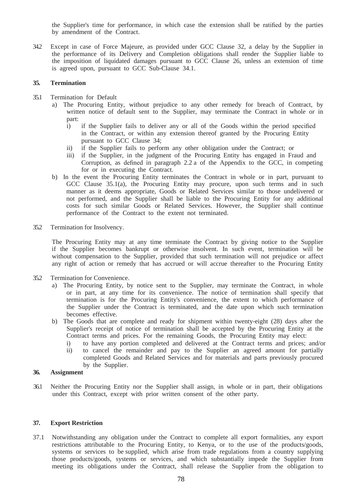the Supplier's time for performance, in which case the extension shall be ratified by the parties by amendment of the Contract.

34.2 Except in case of Force Majeure, as provided under GCC Clause 32, a delay by the Supplier in the performance of its Delivery and Completion obligations shall render the Supplier liable to the imposition of liquidated damages pursuant to GCC Clause 26, unless an extension of time is agreed upon, pursuant to GCC Sub-Clause 34.1.

#### **35. Termination**

- 35.1 Termination for Default
	- a) The Procuring Entity, without prejudice to any other remedy for breach of Contract, by written notice of default sent to the Supplier, may terminate the Contract in whole or in part:
		- i) if the Supplier fails to deliver any or all of the Goods within the period specified in the Contract, or within any extension thereof granted by the Procuring Entity pursuant to GCC Clause 34;
		- ii) if the Supplier fails to perform any other obligation under the Contract; or
		- iii) if the Supplier, in the judgment of the Procuring Entity has engaged in Fraud and Corruption, as defined in paragraph 2.2 a of the Appendix to the GCC, in competing for or in executing the Contract.
	- b) In the event the Procuring Entity terminates the Contract in whole or in part, pursuant to GCC Clause 35.1(a), the Procuring Entity may procure, upon such terms and in such manner as it deems appropriate, Goods or Related Services similar to those undelivered or not performed, and the Supplier shall be liable to the Procuring Entity for any additional costs for such similar Goods or Related Services. However, the Supplier shall continue performance of the Contract to the extent not terminated.
- 35.2 Termination for Insolvency.

The Procuring Entity may at any time terminate the Contract by giving notice to the Supplier if the Supplier becomes bankrupt or otherwise insolvent. In such event, termination will be without compensation to the Supplier, provided that such termination will not prejudice or affect any right of action or remedy that has accrued or will accrue thereafter to the Procuring Entity

- 35.2 Termination for Convenience.
	- a) The Procuring Entity, by notice sent to the Supplier, may terminate the Contract, in whole or in part, at any time for its convenience. The notice of termination shall specify that termination is for the Procuring Entity's convenience, the extent to which performance of the Supplier under the Contract is terminated, and the date upon which such termination becomes effective.
	- b) The Goods that are complete and ready for shipment within twenty-eight (28) days after the Supplier's receipt of notice of termination shall be accepted by the Procuring Entity at the Contract terms and prices. For the remaining Goods, the Procuring Entity may elect:
		- i) to have any portion completed and delivered at the Contract terms and prices; and/or
		- ii) to cancel the remainder and pay to the Supplier an agreed amount for partially completed Goods and Related Services and for materials and parts previously procured by the Supplier.

#### **36. Assignment**

36.1 Neither the Procuring Entity nor the Supplier shall assign, in whole or in part, their obligations under this Contract, except with prior written consent of the other party.

#### **37. Export Restriction**

37.1 Notwithstanding any obligation under the Contract to complete all export formalities, any export restrictions attributable to the Procuring Entity, to Kenya, or to the use of the products/goods, systems or services to be supplied, which arise from trade regulations from a country supplying those products/goods, systems or services, and which substantially impede the Supplier from meeting its obligations under the Contract, shall release the Supplier from the obligation to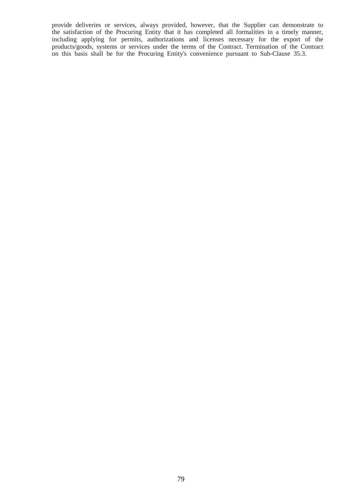provide deliveries or services, always provided, however, that the Supplier can demonstrate to the satisfaction of the Procuring Entity that it has completed all formalities in a timely manner, including applying for permits, authorizations and licenses necessary for the export of the products/goods, systems or services under the terms of the Contract. Termination of the Contract on this basis shall be for the Procuring Entity's convenience pursuant to Sub-Clause 35.3.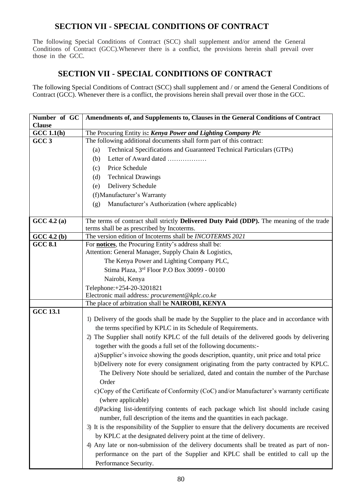# **SECTION VII - SPECIAL CONDITIONS OF CONTRACT**

The following Special Conditions of Contract (SCC) shall supplement and/or amend the General Conditions of Contract (GCC).Whenever there is a conflict, the provisions herein shall prevail over those in the GCC*.*

# **SECTION VII - SPECIAL CONDITIONS OF CONTRACT**

The following Special Conditions of Contract (SCC) shall supplement and / or amend the General Conditions of Contract (GCC). Whenever there is a conflict, the provisions herein shall prevail over those in the GCC*.* 

| Number of GC<br><b>Clause</b> | Amendments of, and Supplements to, Clauses in the General Conditions of Contract               |  |  |  |  |
|-------------------------------|------------------------------------------------------------------------------------------------|--|--|--|--|
| GCC 1.1(h)                    | The Procuring Entity is: Kenya Power and Lighting Company Plc                                  |  |  |  |  |
| GCC <sub>3</sub>              | The following additional documents shall form part of this contract:                           |  |  |  |  |
|                               | Technical Specifications and Guaranteed Technical Particulars (GTPs)<br>(a)                    |  |  |  |  |
|                               | Letter of Award dated<br>(b)                                                                   |  |  |  |  |
|                               | Price Schedule<br>(c)                                                                          |  |  |  |  |
|                               | <b>Technical Drawings</b><br>(d)                                                               |  |  |  |  |
|                               | Delivery Schedule<br>(e)                                                                       |  |  |  |  |
|                               | (f) Manufacturer's Warranty                                                                    |  |  |  |  |
|                               | Manufacturer's Authorization (where applicable)<br>(g)                                         |  |  |  |  |
|                               |                                                                                                |  |  |  |  |
| GCC 4.2(a)                    | The terms of contract shall strictly Delivered Duty Paid (DDP). The meaning of the trade       |  |  |  |  |
|                               | terms shall be as prescribed by Incoterms.                                                     |  |  |  |  |
| GCC 4.2(b)                    | The version edition of Incoterms shall be INCOTERMS 2021                                       |  |  |  |  |
| <b>GCC 8.1</b>                | For <b>notices</b> , the Procuring Entity's address shall be:                                  |  |  |  |  |
|                               | Attention: General Manager, Supply Chain & Logistics,                                          |  |  |  |  |
|                               | The Kenya Power and Lighting Company PLC,                                                      |  |  |  |  |
|                               | Stima Plaza, 3rd Floor P.O Box 30099 - 00100                                                   |  |  |  |  |
|                               | Nairobi, Kenya                                                                                 |  |  |  |  |
|                               | Telephone: +254-20-3201821                                                                     |  |  |  |  |
|                               | Electronic mail address: procurement@kplc.co.ke                                                |  |  |  |  |
| <b>GCC 13.1</b>               | The place of arbitration shall be NAIROBI, KENYA                                               |  |  |  |  |
|                               | 1) Delivery of the goods shall be made by the Supplier to the place and in accordance with     |  |  |  |  |
|                               | the terms specified by KPLC in its Schedule of Requirements.                                   |  |  |  |  |
|                               | 2) The Supplier shall notify KPLC of the full details of the delivered goods by delivering     |  |  |  |  |
|                               | together with the goods a full set of the following documents:-                                |  |  |  |  |
|                               | a) Supplier's invoice showing the goods description, quantity, unit price and total price      |  |  |  |  |
|                               | b)Delivery note for every consignment originating from the party contracted by KPLC.           |  |  |  |  |
|                               | The Delivery Note should be serialized, dated and contain the number of the Purchase           |  |  |  |  |
|                               | Order                                                                                          |  |  |  |  |
|                               |                                                                                                |  |  |  |  |
|                               | c) Copy of the Certificate of Conformity (CoC) and/or Manufacturer's warranty certificate      |  |  |  |  |
|                               | (where applicable)                                                                             |  |  |  |  |
|                               | d)Packing list-identifying contents of each package which list should include casing           |  |  |  |  |
|                               | number, full description of the items and the quantities in each package.                      |  |  |  |  |
|                               | 3) It is the responsibility of the Supplier to ensure that the delivery documents are received |  |  |  |  |
|                               | by KPLC at the designated delivery point at the time of delivery.                              |  |  |  |  |
|                               | 4) Any late or non-submission of the delivery documents shall be treated as part of non-       |  |  |  |  |
|                               | performance on the part of the Supplier and KPLC shall be entitled to call up the              |  |  |  |  |
|                               | Performance Security.                                                                          |  |  |  |  |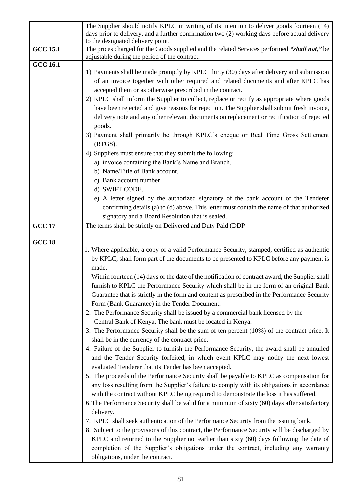|                 | The Supplier should notify KPLC in writing of its intention to deliver goods fourteen (14)<br>days prior to delivery, and a further confirmation two (2) working days before actual delivery<br>to the designated delivery point.                                                                                                                                                                                                                                                                                                                                                                                                                                                                                                                                                                                                                                                                                                                                                                                                                                                                                                                                                                                                                                                                                                                                                                                                                                                                                                                                                                                                                                                            |
|-----------------|----------------------------------------------------------------------------------------------------------------------------------------------------------------------------------------------------------------------------------------------------------------------------------------------------------------------------------------------------------------------------------------------------------------------------------------------------------------------------------------------------------------------------------------------------------------------------------------------------------------------------------------------------------------------------------------------------------------------------------------------------------------------------------------------------------------------------------------------------------------------------------------------------------------------------------------------------------------------------------------------------------------------------------------------------------------------------------------------------------------------------------------------------------------------------------------------------------------------------------------------------------------------------------------------------------------------------------------------------------------------------------------------------------------------------------------------------------------------------------------------------------------------------------------------------------------------------------------------------------------------------------------------------------------------------------------------|
| <b>GCC 15.1</b> | The prices charged for the Goods supplied and the related Services performed "shall not," be<br>adjustable during the period of the contract.                                                                                                                                                                                                                                                                                                                                                                                                                                                                                                                                                                                                                                                                                                                                                                                                                                                                                                                                                                                                                                                                                                                                                                                                                                                                                                                                                                                                                                                                                                                                                |
| <b>GCC 16.1</b> | 1) Payments shall be made promptly by KPLC thirty (30) days after delivery and submission<br>of an invoice together with other required and related documents and after KPLC has<br>accepted them or as otherwise prescribed in the contract.<br>2) KPLC shall inform the Supplier to collect, replace or rectify as appropriate where goods<br>have been rejected and give reasons for rejection. The Supplier shall submit fresh invoice,<br>delivery note and any other relevant documents on replacement or rectification of rejected<br>goods.<br>3) Payment shall primarily be through KPLC's cheque or Real Time Gross Settlement<br>$(RTGS)$ .                                                                                                                                                                                                                                                                                                                                                                                                                                                                                                                                                                                                                                                                                                                                                                                                                                                                                                                                                                                                                                       |
|                 | 4) Suppliers must ensure that they submit the following:<br>a) invoice containing the Bank's Name and Branch,<br>b) Name/Title of Bank account,<br>c) Bank account number<br>d) SWIFT CODE.<br>e) A letter signed by the authorized signatory of the bank account of the Tenderer<br>confirming details (a) to (d) above. This letter must contain the name of that authorized<br>signatory and a Board Resolution that is sealed.                                                                                                                                                                                                                                                                                                                                                                                                                                                                                                                                                                                                                                                                                                                                                                                                                                                                                                                                                                                                                                                                                                                                                                                                                                                           |
| <b>GCC 17</b>   | The terms shall be strictly on Delivered and Duty Paid (DDP                                                                                                                                                                                                                                                                                                                                                                                                                                                                                                                                                                                                                                                                                                                                                                                                                                                                                                                                                                                                                                                                                                                                                                                                                                                                                                                                                                                                                                                                                                                                                                                                                                  |
| <b>GCC 18</b>   | 1. Where applicable, a copy of a valid Performance Security, stamped, certified as authentic<br>by KPLC, shall form part of the documents to be presented to KPLC before any payment is<br>made.<br>Within fourteen (14) days of the date of the notification of contract award, the Supplier shall<br>furnish to KPLC the Performance Security which shall be in the form of an original Bank<br>Guarantee that is strictly in the form and content as prescribed in the Performance Security<br>Form (Bank Guarantee) in the Tender Document.<br>2. The Performance Security shall be issued by a commercial bank licensed by the<br>Central Bank of Kenya. The bank must be located in Kenya.<br>3. The Performance Security shall be the sum of ten percent (10%) of the contract price. It<br>shall be in the currency of the contract price.<br>4. Failure of the Supplier to furnish the Performance Security, the award shall be annulled<br>and the Tender Security forfeited, in which event KPLC may notify the next lowest<br>evaluated Tenderer that its Tender has been accepted.<br>5. The proceeds of the Performance Security shall be payable to KPLC as compensation for<br>any loss resulting from the Supplier's failure to comply with its obligations in accordance<br>with the contract without KPLC being required to demonstrate the loss it has suffered.<br>6. The Performance Security shall be valid for a minimum of sixty (60) days after satisfactory<br>delivery.<br>7. KPLC shall seek authentication of the Performance Security from the issuing bank.<br>8. Subject to the provisions of this contract, the Performance Security will be discharged by |
|                 | KPLC and returned to the Supplier not earlier than sixty (60) days following the date of<br>completion of the Supplier's obligations under the contract, including any warranty<br>obligations, under the contract.                                                                                                                                                                                                                                                                                                                                                                                                                                                                                                                                                                                                                                                                                                                                                                                                                                                                                                                                                                                                                                                                                                                                                                                                                                                                                                                                                                                                                                                                          |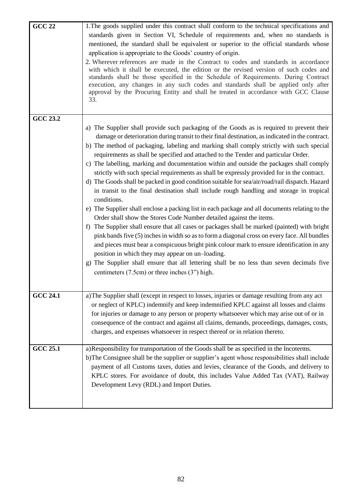| $GCC$ 22        | 1. The goods supplied under this contract shall conform to the technical specifications and<br>standards given in Section VI, Schedule of requirements and, when no standards is<br>mentioned, the standard shall be equivalent or superior to the official standards whose<br>application is appropriate to the Goods' country of origin.<br>2. Wherever references are made in the Contract to codes and standards in accordance<br>with which it shall be executed, the edition or the revised version of such codes and<br>standards shall be those specified in the Schedule of Requirements. During Contract<br>execution, any changes in any such codes and standards shall be applied only after<br>approval by the Procuring Entity and shall be treated in accordance with GCC Clause                                                                                                                                                                                                                                                                                                                                                                                                                                                                                                                                                                                                                                                                      |
|-----------------|----------------------------------------------------------------------------------------------------------------------------------------------------------------------------------------------------------------------------------------------------------------------------------------------------------------------------------------------------------------------------------------------------------------------------------------------------------------------------------------------------------------------------------------------------------------------------------------------------------------------------------------------------------------------------------------------------------------------------------------------------------------------------------------------------------------------------------------------------------------------------------------------------------------------------------------------------------------------------------------------------------------------------------------------------------------------------------------------------------------------------------------------------------------------------------------------------------------------------------------------------------------------------------------------------------------------------------------------------------------------------------------------------------------------------------------------------------------------|
|                 | 33.                                                                                                                                                                                                                                                                                                                                                                                                                                                                                                                                                                                                                                                                                                                                                                                                                                                                                                                                                                                                                                                                                                                                                                                                                                                                                                                                                                                                                                                                  |
| <b>GCC 23.2</b> | a) The Supplier shall provide such packaging of the Goods as is required to prevent their<br>damage or deterioration during transit to their final destination, as indicated in the contract.<br>b) The method of packaging, labeling and marking shall comply strictly with such special<br>requirements as shall be specified and attached to the Tender and particular Order.<br>c) The labelling, marking and documentation within and outside the packages shall comply<br>strictly with such special requirements as shall be expressly provided for in the contract.<br>d) The Goods shall be packed in good condition suitable for sea/air/road/rail dispatch. Hazard<br>in transit to the final destination shall include rough handling and storage in tropical<br>conditions.<br>e) The Supplier shall enclose a packing list in each package and all documents relating to the<br>Order shall show the Stores Code Number detailed against the items.<br>f) The Supplier shall ensure that all cases or packages shall be marked (painted) with bright<br>pink bands five (5) inches in width so as to form a diagonal cross on every face. All bundles<br>and pieces must bear a conspicuous bright pink colour mark to ensure identification in any<br>position in which they may appear on un-loading.<br>g) The Supplier shall ensure that all lettering shall be no less than seven decimals five<br>centimeters (7.5cm) or three inches (3") high. |
| <b>GCC 24.1</b> | a) The Supplier shall (except in respect to losses, injuries or damage resulting from any act<br>or neglect of KPLC) indemnify and keep indemnified KPLC against all losses and claims<br>for injuries or damage to any person or property whatsoever which may arise out of or in<br>consequence of the contract and against all claims, demands, proceedings, damages, costs,<br>charges, and expenses whatsoever in respect thereof or in relation thereto.                                                                                                                                                                                                                                                                                                                                                                                                                                                                                                                                                                                                                                                                                                                                                                                                                                                                                                                                                                                                       |
| <b>GCC 25.1</b> | a) Responsibility for transportation of the Goods shall be as specified in the Incoterms.<br>b)The Consignee shall be the supplier or supplier's agent whose responsibilities shall include<br>payment of all Customs taxes, duties and levies, clearance of the Goods, and delivery to<br>KPLC stores. For avoidance of doubt, this includes Value Added Tax (VAT), Railway<br>Development Levy (RDL) and Import Duties.                                                                                                                                                                                                                                                                                                                                                                                                                                                                                                                                                                                                                                                                                                                                                                                                                                                                                                                                                                                                                                            |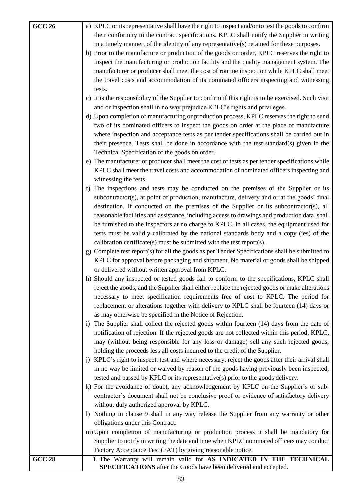| <b>GCC 26</b> | a) KPLC or its representative shall have the right to inspect and/or to test the goods to confirm                                       |
|---------------|-----------------------------------------------------------------------------------------------------------------------------------------|
|               | their conformity to the contract specifications. KPLC shall notify the Supplier in writing                                              |
|               | in a timely manner, of the identity of any representative(s) retained for these purposes.                                               |
|               | b) Prior to the manufacture or production of the goods on order, KPLC reserves the right to                                             |
|               | inspect the manufacturing or production facility and the quality management system. The                                                 |
|               | manufacturer or producer shall meet the cost of routine inspection while KPLC shall meet                                                |
|               | the travel costs and accommodation of its nominated officers inspecting and witnessing                                                  |
|               | tests.                                                                                                                                  |
|               | c) It is the responsibility of the Supplier to confirm if this right is to be exercised. Such visit                                     |
|               | and or inspection shall in no way prejudice KPLC's rights and privileges.                                                               |
|               | d) Upon completion of manufacturing or production process, KPLC reserves the right to send                                              |
|               |                                                                                                                                         |
|               | two of its nominated officers to inspect the goods on order at the place of manufacture                                                 |
|               | where inspection and acceptance tests as per tender specifications shall be carried out in                                              |
|               | their presence. Tests shall be done in accordance with the test standard(s) given in the                                                |
|               | Technical Specification of the goods on order.                                                                                          |
|               | e) The manufacturer or producer shall meet the cost of tests as per tender specifications while                                         |
|               | KPLC shall meet the travel costs and accommodation of nominated officers inspecting and                                                 |
|               | witnessing the tests.                                                                                                                   |
|               | The inspections and tests may be conducted on the premises of the Supplier or its<br>f                                                  |
|               | subcontractor(s), at point of production, manufacture, delivery and or at the goods' final                                              |
|               | destination. If conducted on the premises of the Supplier or its subcontractor(s), all                                                  |
|               | reasonable facilities and assistance, including access to drawings and production data, shall                                           |
|               | be furnished to the inspectors at no charge to KPLC. In all cases, the equipment used for                                               |
|               | tests must be validly calibrated by the national standards body and a copy (ies) of the                                                 |
|               | calibration certificate(s) must be submitted with the test report(s).                                                                   |
|               | g) Complete test report(s) for all the goods as per Tender Specifications shall be submitted to                                         |
|               | KPLC for approval before packaging and shipment. No material or goods shall be shipped                                                  |
|               | or delivered without written approval from KPLC.                                                                                        |
|               | h) Should any inspected or tested goods fail to conform to the specifications, KPLC shall                                               |
|               | reject the goods, and the Supplier shall either replace the rejected goods or make alterations                                          |
|               | necessary to meet specification requirements free of cost to KPLC. The period for                                                       |
|               | replacement or alterations together with delivery to KPLC shall be fourteen (14) days or                                                |
|               | as may otherwise be specified in the Notice of Rejection.                                                                               |
|               | i) The Supplier shall collect the rejected goods within fourteen (14) days from the date of                                             |
|               | notification of rejection. If the rejected goods are not collected within this period, KPLC,                                            |
|               | may (without being responsible for any loss or damage) sell any such rejected goods,                                                    |
|               | holding the proceeds less all costs incurred to the credit of the Supplier.                                                             |
|               | j) KPLC's right to inspect, test and where necessary, reject the goods after their arrival shall                                        |
|               | in no way be limited or waived by reason of the goods having previously been inspected,                                                 |
|               | tested and passed by KPLC or its representative(s) prior to the goods delivery.                                                         |
|               | k) For the avoidance of doubt, any acknowledgement by KPLC on the Supplier's or sub-                                                    |
|               | contractor's document shall not be conclusive proof or evidence of satisfactory delivery                                                |
|               | without duly authorized approval by KPLC.                                                                                               |
|               | 1) Nothing in clause 9 shall in any way release the Supplier from any warranty or other                                                 |
|               |                                                                                                                                         |
|               | obligations under this Contract.                                                                                                        |
|               | m) Upon completion of manufacturing or production process it shall be mandatory for                                                     |
|               | Supplier to notify in writing the date and time when KPLC nominated officers may conduct                                                |
|               | Factory Acceptance Test (FAT) by giving reasonable notice.                                                                              |
| <b>GCC 28</b> | 1. The Warranty will remain valid for AS INDICATED IN THE TECHNICAL<br>SPECIFICATIONS after the Goods have been delivered and accepted. |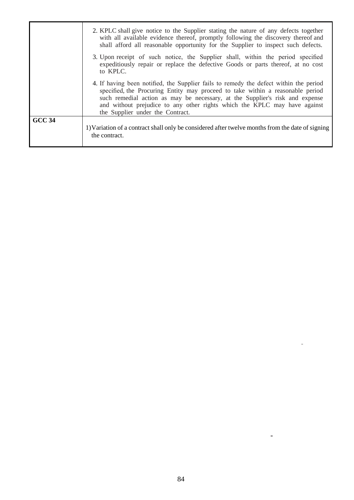|               | 2. KPLC shall give notice to the Supplier stating the nature of any defects together<br>with all available evidence thereof, promptly following the discovery thereof and<br>shall afford all reasonable opportunity for the Supplier to inspect such defects.                                                                                                           |
|---------------|--------------------------------------------------------------------------------------------------------------------------------------------------------------------------------------------------------------------------------------------------------------------------------------------------------------------------------------------------------------------------|
|               | 3. Upon receipt of such notice, the Supplier shall, within the period specified<br>expeditiously repair or replace the defective Goods or parts thereof, at no cost<br>to KPLC.                                                                                                                                                                                          |
|               | 4. If having been notified, the Supplier fails to remedy the defect within the period<br>specified, the Procuring Entity may proceed to take within a reasonable period<br>such remedial action as may be necessary, at the Supplier's risk and expense<br>and without prejudice to any other rights which the KPLC may have against<br>the Supplier under the Contract. |
| <b>GCC 34</b> | 1) Variation of a contract shall only be considered after twelve months from the date of signing<br>the contract.                                                                                                                                                                                                                                                        |

 $\blacksquare$ 

 $\mathbb{Z}^2$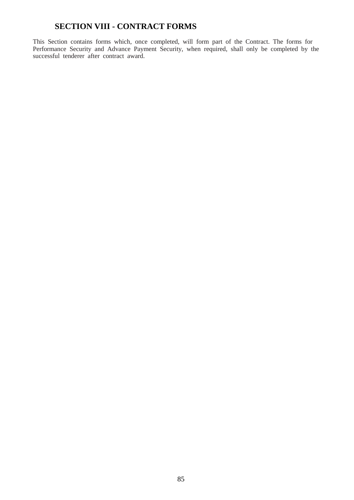# **SECTION VIII - CONTRACT FORMS**

This Section contains forms which, once completed, will form part of the Contract. The forms for Performance Security and Advance Payment Security, when required, shall only be completed by the successful tenderer after contract award.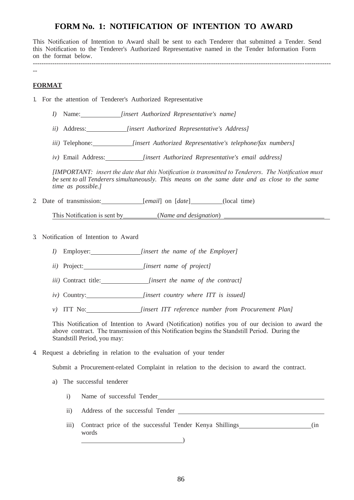# **FORM No. 1: NOTIFICATION OF INTENTION TO AWARD**

This Notification of Intention to Award shall be sent to each Tenderer that submitted a Tender. Send this Notification to the Tenderer's Authorized Representative named in the Tender Information Form on the format below.

----------------------------------------------------------------------------------------------------------------------------------------- --

## **FORMAT**

1. For the attention of Tenderer's Authorized Representative

- *I)* Name: *[insert Authorized Representative's name]*
- *ii)* Address: *[insert Authorized Representative's Address]*
- *iii)* Telephone: *[insert Authorized Representative's telephone/fax numbers]*
- *iv)* Email Address: *[insert Authorized Representative's email address]*

*[IMPORTANT: insert the date that this Notification is transmitted to Tenderers. The Notification must be sent to all Tenderers simultaneously. This means on the same date and as close to the same time as possible.]*

2 Date of transmission: *[email]* on [*date*] (local time)

This Notification is sent by (*Name and designation*)

- 3. Notification of Intention to Award
	- *I)* Employer: *[insert the name of the Employer]*
	- *ii)* Project: *[insert name of project]*
	- *iii)* Contract title: *[insert the name of the contract]*
	- *iv)* Country: *[insert country where ITT is issued]*
	- *v)* ITT No: *[insert ITT reference number from Procurement Plan]*

This Notification of Intention to Award (Notification) notifies you of our decision to award the above contract. The transmission of this Notification begins the Standstill Period. During the Standstill Period, you may:

4. Request a debriefing in relation to the evaluation of your tender

Submit a Procurement-related Complaint in relation to the decision to award the contract.

- a) The successful tenderer
	- i) Name of successful Tender
	- ii) Address of the successful Tender
	- iii) Contract price of the successful Tender Kenya Shillings (in words (in  $\overline{\phantom{a}}$ words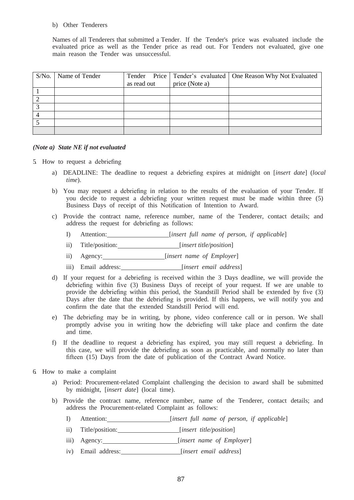#### b) Other Tenderers

Names of all Tenderers that submitted a Tender. If the Tender's price was evaluated include the evaluated price as well as the Tender price as read out. For Tenders not evaluated, give one main reason the Tender was unsuccessful.

| S/No. | Name of Tender |             |                | Tender Price   Tender's evaluated   One Reason Why Not Evaluated |
|-------|----------------|-------------|----------------|------------------------------------------------------------------|
|       |                | as read out | price (Note a) |                                                                  |
|       |                |             |                |                                                                  |
|       |                |             |                |                                                                  |
|       |                |             |                |                                                                  |
|       |                |             |                |                                                                  |
|       |                |             |                |                                                                  |
|       |                |             |                |                                                                  |

#### *(Note a) State NE if not evaluated*

- 5. How to request a debriefing
	- a) DEADLINE: The deadline to request a debriefing expires at midnight on [*insert date*] (*local time*).
	- b) You may request a debriefing in relation to the results of the evaluation of your Tender. If you decide to request a debriefing your written request must be made within three (5) Business Days of receipt of this Notification of Intention to Award.
	- c) Provide the contract name, reference number, name of the Tenderer, contact details; and address the request for debriefing as follows:
		- I) Attention: [*insert full name of person, if applicable*]
		- ii) Title/position: [*insert title/position*]
		- ii) Agency: [*insert name of Employer*]
		- iii) Email address: [*insert email address*]
	- d) If your request for a debriefing is received within the 3 Days deadline, we will provide the debriefing within five (3) Business Days of receipt of your request. If we are unable to provide the debriefing within this period, the Standstill Period shall be extended by five (3) Days after the date that the debriefing is provided. If this happens, we will notify you and confirm the date that the extended Standstill Period will end.
	- e) The debriefing may be in writing, by phone, video conference call or in person. We shall promptly advise you in writing how the debriefing will take place and confirm the date and time.
	- f) If the deadline to request a debriefing has expired, you may still request a debriefing. In this case, we will provide the debriefing as soon as practicable, and normally no later than fifteen (15) Days from the date of publication of the Contract Award Notice.
- 6. How to make a complaint
	- a) Period: Procurement-related Complaint challenging the decision to award shall be submitted by midnight, [*insert date*] (local time).
	- b) Provide the contract name, reference number, name of the Tenderer, contact details; and address the Procurement-related Complaint as follows:
		- I) Attention: [*insert full name of person, if applicable*]
		- ii) Title/position: [*insert title/position*]
		- iii) Agency: [*insert name of Employer*]
		- iv) Email address: *[insert email address]*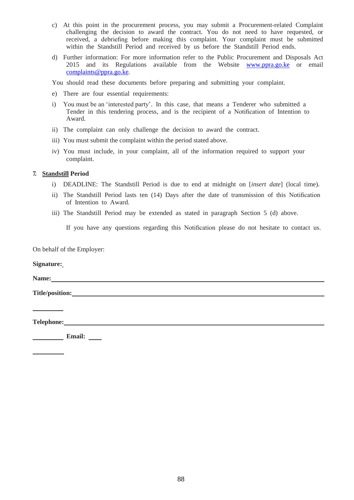- c) At this point in the procurement process, you may submit a Procurement-related Complaint challenging the decision to award the contract. You do not need to have requested, or received, a debriefing before making this complaint. Your complaint must be submitted within the Standstill Period and received by us before the Standstill Period ends.
- d) Further information: For more information refer to the Public Procurement and Disposals Act 2015 and its Regulations available from the Website [www.ppra.go.ke o](http://www.ppra.go.ke/)r emai[l](mailto:complaints@ppra.go.ke)  [complaints@ppra.go.ke.](mailto:complaints@ppra.go.ke)

You should read these documents before preparing and submitting your complaint.

- e) There are four essential requirements:
- i) You must be an 'interested party'. In this case, that means a Tenderer who submitted a Tender in this tendering process, and is the recipient of a Notification of Intention to Award.
- ii) The complaint can only challenge the decision to award the contract.
- iii) You must submit the complaint within the period stated above.
- iv) You must include, in your complaint, all of the information required to support your complaint.

#### **7. Standstill Period**

- i) DEADLINE: The Standstill Period is due to end at midnight on [*insert date*] (local time).
- ii) The Standstill Period lasts ten (14) Days after the date of transmission of this Notification of Intention to Award.
- iii) The Standstill Period may be extended as stated in paragraph Section 5 (d) above.

If you have any questions regarding this Notification please do not hesitate to contact us.

On behalf of the Employer:

#### **Signature:**

**Name:** 

**Title/position:**

**Telephone:**

**Email:** \_\_\_\_\_\_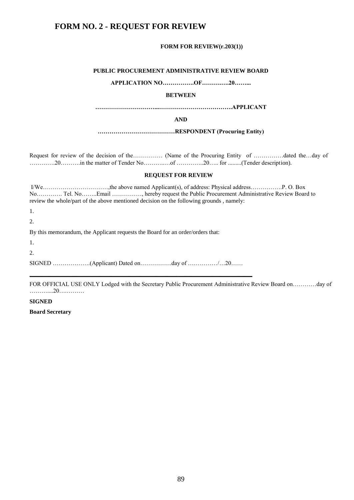# **FORM NO. 2 - REQUEST FOR REVIEW**

#### **FORM FOR REVIEW(r.203(1))**

#### **PUBLIC PROCUREMENT ADMINISTRATIVE REVIEW BOARD**

**APPLICATION NO…………….OF……….….20……...**

#### **BETWEEN**

**…………………………...……………………………….APPLICANT** 

**AND**

**…………………………………RESPONDENT (Procuring Entity)**

Request for review of the decision of the…………… (Name of the Procuring Entity of ……………dated the…day of ………….20……….in the matter of Tender No………..…of …………..20….. for .........(Tender description).

#### **REQUEST FOR REVIEW**

| No Tel. NoEmail , hereby request the Public Procurement Administrative Review Board to<br>review the whole/part of the above mentioned decision on the following grounds, namely: |
|-----------------------------------------------------------------------------------------------------------------------------------------------------------------------------------|
| 1.                                                                                                                                                                                |
| $\overline{2}$ .                                                                                                                                                                  |
| By this memorandum, the Applicant requests the Board for an order/orders that:                                                                                                    |
| 1.                                                                                                                                                                                |
| $\overline{2}$ .                                                                                                                                                                  |
|                                                                                                                                                                                   |

FOR OFFICIAL USE ONLY Lodged with the Secretary Public Procurement Administrative Review Board on…………day of ………....20….………

#### **SIGNED**

**Board Secretary**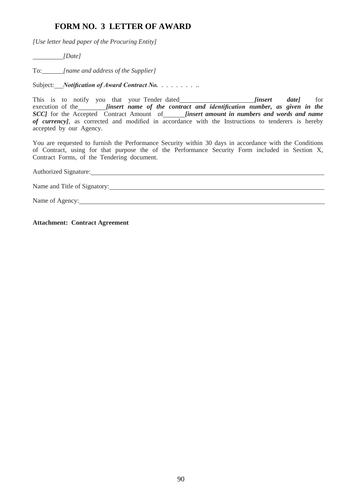# **FORM NO. 3 LETTER OF AWARD**

*[Use letter head paper of the Procuring Entity]*

 *[Date]*

To: *[name and address of the Supplier]*

Subject: *Notification of Award Contract No.* . . . . . . . . .

This is to notify you that your Tender dated *[insert date]* for execution of the *<i>finsert name of the contract and identification number, as given in the SCC]* for the Accepted Contract Amount of *[insert amount in numbers and words and name of currency]*, as corrected and modified in accordance with the Instructions to tenderers is hereby accepted by our Agency.

You are requested to furnish the Performance Security within 30 days in accordance with the Conditions of Contract, using for that purpose the of the Performance Security Form included in Section X,

Contract Forms, of the Tendering document. Authorized Signature: Authorized Signature: Name and Title of Signatory:<br>Name of Agency:

**Attachment: Contract Agreement**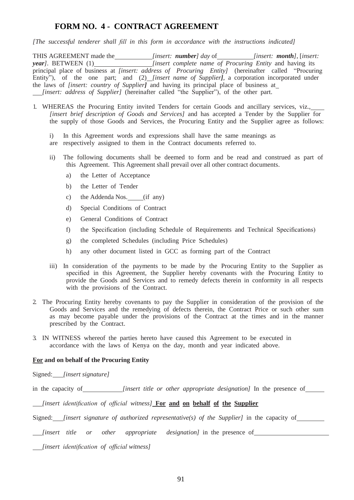## **FORM NO. 4 - CONTRACT AGREEMENT**

*[The successful tenderer shall fill in this form in accordance with the instructions indicated]*

THIS AGREEMENT made the *[insert: number] day* of *[insert: month]*, [insert: *year]*. BETWEEN (1)\_\_\_\_\_\_\_\_\_\_\_\_\_\_\_\_\_\_\_\_\_\_\_\_\_[insert complete name of Procuring Entity and having its principal place of business at *[insert: address of Procuring Entity]* (hereinafter called "Procuring Entity"), of the one part; and (2) *[insert name of Supplier]*, a corporation incorporated under the laws of *[insert: country of Supplier]* and having its principal place of business at *[insert: address of Supplier]* (hereinafter called "the Supplier"), of the other part.

- 1. WHEREAS the Procuring Entity invited Tenders for certain Goods and ancillary services, viz., *[insert brief description of Goods and Services]* and has accepted a Tender by the Supplier for the supply of those Goods and Services, the Procuring Entity and the Supplier agree as follows:
	- i) In this Agreement words and expressions shall have the same meanings as are respectively assigned to them in the Contract documents referred to.
	- ii) The following documents shall be deemed to form and be read and construed as part of this Agreement. This Agreement shall prevail over all other contract documents.
		- a) the Letter of Acceptance
		- b) the Letter of Tender
		- c) the Addenda Nos. (if any)
		- d) Special Conditions of Contract
		- e) General Conditions of Contract
		- f) the Specification (including Schedule of Requirements and Technical Specifications)
		- g) the completed Schedules (including Price Schedules)
		- h) any other document listed in GCC as forming part of the Contract
	- iii) In consideration of the payments to be made by the Procuring Entity to the Supplier as specified in this Agreement, the Supplier hereby covenants with the Procuring Entity to provide the Goods and Services and to remedy defects therein in conformity in all respects with the provisions of the Contract.
- 2. The Procuring Entity hereby covenants to pay the Supplier in consideration of the provision of the Goods and Services and the remedying of defects therein, the Contract Price or such other sum as may become payable under the provisions of the Contract at the times and in the manner prescribed by the Contract.
- 3. IN WITNESS whereof the parties hereto have caused this Agreement to be executed in accordance with the laws of Kenya on the day, month and year indicated above.

#### **For and on behalf of the Procuring Entity**

Signed: *[insert signature]*

in the capacity of *[insert title or other appropriate designation]* In the presence of

*[insert identification of official witness]* **For and on behalf of the Supplier**

Signed: *[insert signature of authorized representative(s) of the Supplier]* in the capacity of

*[insert title or other appropriate designation]* in the presence of

*[insert identification of official witness]*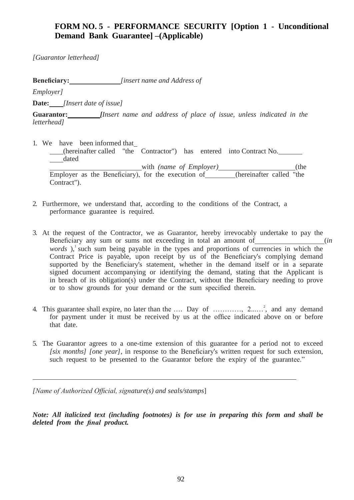# **FORM NO. 5 - PERFORMANCE SECURITY [Option 1 - Unconditional Demand Bank Guarantee] –(Applicable)**

*[Guarantor letterhead]*

**Beneficiary:** *[insert name and Address of* 

*Employer]* 

**Date:** *[Insert date of issue]*

**Guarantor:** *[Insert name and address of place of issue, unless indicated in the letterhead]*

- 1. We have been informed that (hereinafter called "the Contractor") has entered into Contract No. dated (hereinafter called "the Contractor") has entered into Contract No.<br>
dated with (name of Employer) (the Employer as the Beneficiary), for the execution of (hereinafter called "the Contract").
- 2. Furthermore, we understand that, according to the conditions of the Contract, a performance guarantee is required.
- 3. At the request of the Contractor, we as Guarantor, hereby irrevocably undertake to pay the Beneficiary any sum or sums not exceeding in total an amount of (*in (in* ) *words*),<sup>1</sup> such sum being payable in the types and proportions of currencies in which the Contract Price is payable, upon receipt by us of the Beneficiary's complying demand supported by the Beneficiary's statement, whether in the demand itself or in a separate signed document accompanying or identifying the demand, stating that the Applicant is in breach of its obligation(s) under the Contract, without the Beneficiary needing to prove or to show grounds for your demand or the sum specified therein.
- 4. This guarantee shall expire, no later than the .... Day of ............,  $2$ ......<sup>2</sup>, and any demand for payment under it must be received by us at the office indicated above on or before that date.
- 5. The Guarantor agrees to a one-time extension of this guarantee for a period not to exceed *[six months] [one year],* in response to the Beneficiary's written request for such extension, such request to be presented to the Guarantor before the expiry of the guarantee."

*[Name of Authorized Official, signature(s) and seals/stamps*]

*Note: All italicized text (including footnotes) is for use in preparing this form and shall be deleted from the final product.*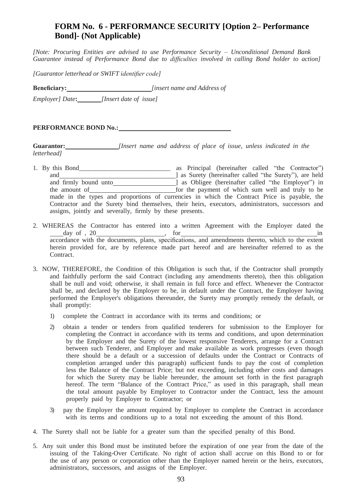# **FORM No. 6 - PERFORMANCE SECURITY [Option 2– Performance Bond]- (Not Applicable)**

*[Note: Procuring Entities are advised to use Performance Security – Unconditional Demand Bank Guarantee instead of Performance Bond due to difficulties involved in calling Bond holder to action]*

*[Guarantor letterhead or SWIFT identifier code]*

**Beneficiary:** *[insert name and Address of* 

*Employer] Date***:** *[Insert date of issue]*

**PERFORMANCE BOND No.:** 

**Guarantor:** *[Insert name and address of place of issue, unless indicated in the letterhead]*

- 1. By this Bond\_\_\_\_\_\_\_\_\_\_\_\_\_\_\_\_\_\_\_\_\_\_\_\_\_\_\_\_ as Principal (hereinafter called "the Contractor") and ] as Surety (hereinafter called "the Surety"), are held and firmly bound unto and increase as Obligee (hereinafter called "the Employer") in the amount of **form** for the payment of which sum well and truly to be made in the types and proportions of currencies in which the Contract Price is payable, the Contractor and the Surety bind themselves, their heirs, executors, administrators, successors and assigns, jointly and severally, firmly by these presents.
- 2. WHEREAS the Contractor has entered into a written Agreement with the Employer dated the  $day \text{ of } 20$  in accordance with the documents, plans, specifications, and amendments thereto, which to the extent herein provided for, are by reference made part hereof and are hereinafter referred to as the Contract.
- 3. NOW, THEREFORE, the Condition of this Obligation is such that, if the Contractor shall promptly and faithfully perform the said Contract (including any amendments thereto), then this obligation shall be null and void; otherwise, it shall remain in full force and effect. Whenever the Contractor shall be, and declared by the Employer to be, in default under the Contract, the Employer having performed the Employer's obligations thereunder, the Surety may promptly remedy the default, or shall promptly:
	- 1) complete the Contract in accordance with its terms and conditions; or
	- 2) obtain a tender or tenders from qualified tenderers for submission to the Employer for completing the Contract in accordance with its terms and conditions, and upon determination by the Employer and the Surety of the lowest responsive Tenderers, arrange for a Contract between such Tenderer, and Employer and make available as work progresses (even though there should be a default or a succession of defaults under the Contract or Contracts of completion arranged under this paragraph) sufficient funds to pay the cost of completion less the Balance of the Contract Price; but not exceeding, including other costs and damages for which the Surety may be liable hereunder, the amount set forth in the first paragraph hereof. The term "Balance of the Contract Price," as used in this paragraph, shall mean the total amount payable by Employer to Contractor under the Contract, less the amount properly paid by Employer to Contractor; or
	- 3) pay the Employer the amount required by Employer to complete the Contract in accordance with its terms and conditions up to a total not exceeding the amount of this Bond.
- 4. The Surety shall not be liable for a greater sum than the specified penalty of this Bond.
- 5. Any suit under this Bond must be instituted before the expiration of one year from the date of the issuing of the Taking-Over Certificate. No right of action shall accrue on this Bond to or for the use of any person or corporation other than the Employer named herein or the heirs, executors, administrators, successors, and assigns of the Employer.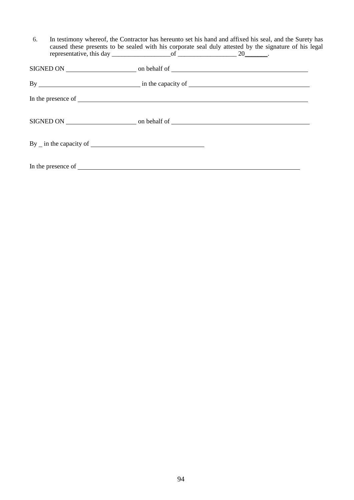| 6. |                    | In testimony whereof, the Contractor has hereunto set his hand and affixed his seal, and the Surety has<br>caused these presents to be sealed with his corporate seal duly attested by the signature of his legal |  |
|----|--------------------|-------------------------------------------------------------------------------------------------------------------------------------------------------------------------------------------------------------------|--|
|    |                    |                                                                                                                                                                                                                   |  |
|    |                    |                                                                                                                                                                                                                   |  |
|    | In the presence of |                                                                                                                                                                                                                   |  |
|    |                    |                                                                                                                                                                                                                   |  |
|    |                    |                                                                                                                                                                                                                   |  |
|    |                    |                                                                                                                                                                                                                   |  |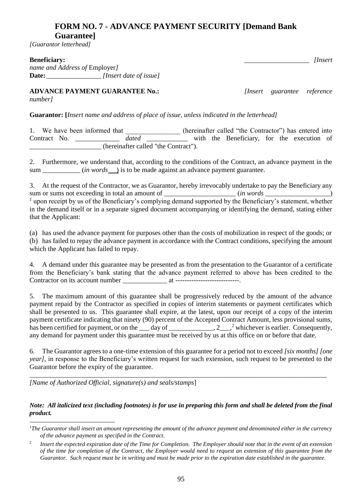# **FORM NO. 7 - ADVANCE PAYMENT SECURITY [Demand Bank Guarantee]**

*[Guarantor letterhead]* 

## **Beneficiary:** *linsert*

*name and Address of* Employer*]* **Date:** \_\_\_\_\_\_\_\_\_\_\_\_\_\_\_\_ *[Insert date of issue]*

**ADVANCE PAYMENT GUARANTEE No.:** *[Insert guarantee reference number]*

**Guarantor: [***Insert name and address of place of issue, unless indicated in the letterhead]*

1. We have been informed that \_\_\_\_\_\_\_\_\_\_\_\_\_\_ (hereinafter called "the Contractor") has entered into Contract No. \_\_\_\_\_\_\_\_\_\_\_\_\_ *dated* \_\_\_\_\_\_\_\_\_\_\_\_ with the Beneficiary, for the execution of \_\_\_\_\_\_\_\_\_\_\_\_\_\_\_\_\_\_\_\_\_ (hereinafter called "the Contract").

2. Furthermore, we understand that, according to the conditions of the Contract, an advance payment in the sum \_\_\_\_\_\_\_\_\_ (*in words* ) is to be made against an advance payment guarantee.

3. At the request of the Contractor, we as Guarantor, hereby irrevocably undertake to pay the Beneficiary any sum or sums not exceeding in total an amount of \_\_\_\_\_\_\_\_\_\_\_\_\_\_\_\_\_\_\_\_\_\_\_\_\_\_\_\_\_\_\_\_\_ (*in words* \_\_\_\_\_\_\_\_\_\_\_\_\_\_\_\_\_\_\_) <sup>1</sup> upon receipt by us of the Beneficiary's complying demand supported by the Beneficiary's statement, whether in the demand itself or in a separate signed document accompanying or identifying the demand, stating either that the Applicant:

(a) has used the advance payment for purposes other than the costs of mobilization in respect of the goods; or (b) has failed to repay the advance payment in accordance with the Contract conditions, specifying the amount which the Applicant has failed to repay.

4. A demand under this guarantee may be presented as from the presentation to the Guarantor of a certificate from the Beneficiary's bank stating that the advance payment referred to above has been credited to the Contractor on its account number \_\_\_\_\_\_\_\_\_\_\_\_\_ at ----------------------------.

5. The maximum amount of this guarantee shall be progressively reduced by the amount of the advance payment repaid by the Contractor as specified in copies of interim statements or payment certificates which shall be presented to us. This guarantee shall expire, at the latest, upon our receipt of a copy of the interim payment certificate indicating that ninety (90) percent of the Accepted Contract Amount, less provisional sums, has been certified for payment, or on the  $\_\_\_$  day of  $\_\_\_\_\_$ , 2 $\_\_\_\_$ <sup>2</sup> whichever is earlier. Consequently, any demand for payment under this guarantee must be received by us at this office on or before that date.

6. The Guarantor agrees to a one-time extension of this guarantee for a period not to exceed *[six months] [one year]*, in response to the Beneficiary's written request for such extension, such request to be presented to the Guarantor before the expiry of the guarantee.

\_\_\_\_\_\_\_\_\_\_\_\_\_\_\_\_\_\_\_\_\_\_\_\_\_\_\_\_\_\_\_\_\_\_\_\_\_\_\_\_\_\_\_\_\_\_\_\_\_\_\_\_\_\_\_\_\_\_\_\_\_\_\_\_\_\_\_\_\_\_\_\_\_\_\_\_\_\_\_\_\_\_\_\_\_\_\_

*[Name of Authorized Official, signature(s) and seals/stamps*]

## *Note: All italicized text (including footnotes) is for use in preparing this form and shall be deleted from the final product.*

 $\overline{a}$ <sup>1</sup>*The Guarantor shall insert an amount representing the amount of the advance payment and denominated either in the currency of the advance payment as specified in the Contract.*

<sup>2</sup> *Insert the expected expiration date of the Time for Completion. The Employer should note that in the event of an extension of the time for completion of the Contract, the Employer would need to request an extension of this guarantee from the Guarantor. Such request must be in writing and must be made prior to the expiration date established in the guarantee.*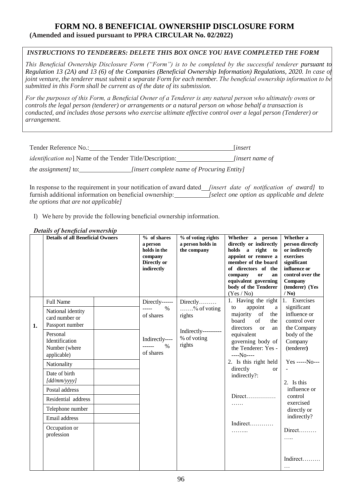## **FORM NO. 8 BENEFICIAL OWNERSHIP DISCLOSURE FORM (Amended and issued pursuant to PPRA CIRCULAR No. 02/2022)**

## *INSTRUCTIONS TO TENDERERS: DELETE THIS BOX ONCE YOU HAVE COMPLETED THE FORM*

*This Beneficial Ownership Disclosure Form ("Form") is to be completed by the successful tenderer pursuant to Regulation 13 (2A) and 13 (6) of the Companies (Beneficial Ownership Information) Regulations, 2020. In case of joint venture, the tenderer must submit a separate Form for each member. The beneficial ownership information to be submitted in this Form shall be current as of the date of its submission.*

*For the purposes of this Form, a Beneficial Owner of a Tenderer is any natural person who ultimately owns or controls the legal person (tenderer) or arrangements or a natural person on whose behalf a transaction is conducted, and includes those persons who exercise ultimate effective control over a legal person (Tenderer) or arrangement.*

| Tender Reference No.:                                            |                                            | <i>linsert</i>         |
|------------------------------------------------------------------|--------------------------------------------|------------------------|
| <i>identification no</i> ] Name of the Tender Title/Description: |                                            | <i>linsert name of</i> |
| <i>the assignment]</i> to:                                       | [insert complete name of Procuring Entity] |                        |

In response to the requirement in your notification of award dated *[insert date of notification of award]* to furnish additional information on beneficial ownership: *[select one option as applicable and delete the options that are not applicable]*

I) We here by provide the following beneficial ownership information.

## *Details of beneficial ownership*

|    | <b>Details of all Beneficial Owners</b>                    | % of shares<br>a person<br>holds in the<br>company<br>Directly or<br>indirectly | % of voting rights<br>a person holds in<br>the company | Whether a person<br>directly or indirectly<br>holds a right to<br>appoint or remove a<br>member of the board<br>of directors of the<br>company<br>or<br>an<br>equivalent governing<br>body of the Tenderer<br>(Yes / No) | Whether a<br>person directly<br>or indirectly<br>exercises<br>significant<br>influence or<br>control over the<br>Company<br>(tenderer) (Yes<br>/ No) |
|----|------------------------------------------------------------|---------------------------------------------------------------------------------|--------------------------------------------------------|--------------------------------------------------------------------------------------------------------------------------------------------------------------------------------------------------------------------------|------------------------------------------------------------------------------------------------------------------------------------------------------|
|    | <b>Full Name</b>                                           | Directly------                                                                  | Directly                                               | 1. Having the right<br>to                                                                                                                                                                                                | Exercises<br>1.                                                                                                                                      |
| 1. | National identity<br>card number or<br>Passport number     | $\%$<br>-----<br>of shares                                                      | $\ldots \ldots \frac{9}{6}$ of voting<br>rights        | appoint<br>a<br>majority<br>of<br>the<br>board<br>of<br>the<br>directors<br><b>or</b><br>an                                                                                                                              | significant<br>influence or<br>control over<br>the Company                                                                                           |
|    | Personal<br>Identification<br>Number (where<br>applicable) | Indirectly----<br>$\%$<br>------<br>of shares                                   | Indirectly----------<br>% of voting<br>rights          | equivalent<br>governing body of<br>the Tenderer: Yes -<br>$---No---$                                                                                                                                                     | body of the<br>Company<br>(tenderer)                                                                                                                 |
|    | Nationality                                                |                                                                                 |                                                        | 2. Is this right held<br>directly<br><sub>or</sub>                                                                                                                                                                       | Yes -----No---                                                                                                                                       |
|    | Date of birth<br>[dd/mm/yyyy]                              |                                                                                 |                                                        | indirectly?:                                                                                                                                                                                                             | 2. Is this                                                                                                                                           |
|    | Postal address                                             |                                                                                 |                                                        |                                                                                                                                                                                                                          | influence or                                                                                                                                         |
|    | Residential address                                        |                                                                                 |                                                        | Direct<br>.                                                                                                                                                                                                              | control<br>exercised                                                                                                                                 |
|    | Telephone number                                           |                                                                                 |                                                        |                                                                                                                                                                                                                          | directly or                                                                                                                                          |
|    | Email address                                              |                                                                                 |                                                        | Indirect                                                                                                                                                                                                                 | indirectly?                                                                                                                                          |
|    | Occupation or<br>profession                                |                                                                                 |                                                        | .                                                                                                                                                                                                                        | $Direct$<br>.                                                                                                                                        |
|    |                                                            |                                                                                 |                                                        |                                                                                                                                                                                                                          | Indirect                                                                                                                                             |
|    |                                                            |                                                                                 |                                                        |                                                                                                                                                                                                                          | $\cdots$                                                                                                                                             |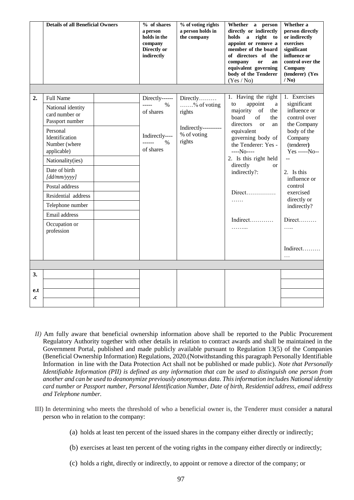|           | <b>Details of all Beneficial Owners</b>       | % of shares<br>a person<br>holds in the<br>company<br>Directly or<br>indirectly | % of voting rights<br>a person holds in<br>the company | Whether a person<br>directly or indirectly<br>holds a<br>right to<br>appoint or remove a<br>member of the board<br>of directors of the<br>company<br>or<br>an<br>equivalent governing<br>body of the Tenderer<br>(Yes / No) | Whether a<br>person directly<br>or indirectly<br>exercises<br>significant<br>influence or<br>control over the<br>Company<br>(tenderer) (Yes<br>/ No) |
|-----------|-----------------------------------------------|---------------------------------------------------------------------------------|--------------------------------------------------------|-----------------------------------------------------------------------------------------------------------------------------------------------------------------------------------------------------------------------------|------------------------------------------------------------------------------------------------------------------------------------------------------|
| 2.        | <b>Full Name</b><br>National identity         | Directly------<br>$1 - 1 - 1$<br>$\%$                                           | $Directly$<br>$\ldots \ldots \frac{9}{6}$ of voting    | 1. Having the right<br>appoint<br>to<br>a                                                                                                                                                                                   | 1. Exercises<br>significant                                                                                                                          |
|           | card number or                                | of shares                                                                       | rights                                                 | majority<br>of<br>the<br>board<br>of<br>the                                                                                                                                                                                 | influence or<br>control over                                                                                                                         |
|           | Passport number<br>Personal<br>Identification | Indirectly----                                                                  | Indirectly----------<br>% of voting                    | directors<br><b>or</b><br>an<br>equivalent<br>governing body of<br>the Tenderer: Yes -<br>$---No---$<br>2. Is this right held<br>directly                                                                                   | the Company<br>body of the<br>Company<br>(tenderer)<br>Yes -----No--                                                                                 |
|           | Number (where<br>applicable)                  | ------<br>$\%$<br>of shares                                                     | rights                                                 |                                                                                                                                                                                                                             |                                                                                                                                                      |
|           | Nationality(ies)                              |                                                                                 |                                                        |                                                                                                                                                                                                                             | $\sim$ $\sim$                                                                                                                                        |
|           | Date of birth<br>[dd/mm/yyyy]                 |                                                                                 |                                                        | <b>or</b><br>indirectly?:                                                                                                                                                                                                   | 2. Is this<br>influence or                                                                                                                           |
|           | Postal address                                |                                                                                 |                                                        |                                                                                                                                                                                                                             | control<br>exercised                                                                                                                                 |
|           | Residential address                           |                                                                                 |                                                        | .                                                                                                                                                                                                                           | directly or                                                                                                                                          |
|           | Telephone number                              |                                                                                 |                                                        |                                                                                                                                                                                                                             | indirectly?                                                                                                                                          |
|           | Email address                                 |                                                                                 |                                                        | Indirect                                                                                                                                                                                                                    | $Direct$                                                                                                                                             |
|           | Occupation or<br>profession                   |                                                                                 |                                                        | .                                                                                                                                                                                                                           | .                                                                                                                                                    |
|           |                                               |                                                                                 |                                                        |                                                                                                                                                                                                                             | Indirect<br>$\cdots$                                                                                                                                 |
|           |                                               |                                                                                 |                                                        |                                                                                                                                                                                                                             |                                                                                                                                                      |
| 3.        |                                               |                                                                                 |                                                        |                                                                                                                                                                                                                             |                                                                                                                                                      |
|           |                                               |                                                                                 |                                                        |                                                                                                                                                                                                                             |                                                                                                                                                      |
| e.t<br>.c |                                               |                                                                                 |                                                        |                                                                                                                                                                                                                             |                                                                                                                                                      |
|           |                                               |                                                                                 |                                                        |                                                                                                                                                                                                                             |                                                                                                                                                      |

- *II)* Am fully aware that beneficial ownership information above shall be reported to the Public Procurement Regulatory Authority together with other details in relation to contract awards and shall be maintained in the Government Portal, published and made publicly available pursuant to Regulation 13(5) of the Companies (Beneficial Ownership Information) Regulations, 2020.(Notwithstanding this paragraph Personally Identifiable Information in line with the Data Protection Act shall not be published or made public). *Note that Personally Identifiable Information (PII) is defined as any information that can be used to distinguish one person from another and can be used to deanonymize previously anonymous data. This information includes National identity card number or Passport number, Personal Identification Number, Date of birth, Residential address, email address and Telephone number.*
- III) In determining who meets the threshold of who a beneficial owner is, the Tenderer must consider a natural person who in relation to the company:
	- (a) holds at least ten percent of the issued shares in the company either directly or indirectly;
	- (b) exercises at least ten percent of the voting rights in the company either directly or indirectly;
	- (c) holds a right, directly or indirectly, to appoint or remove a director of the company; or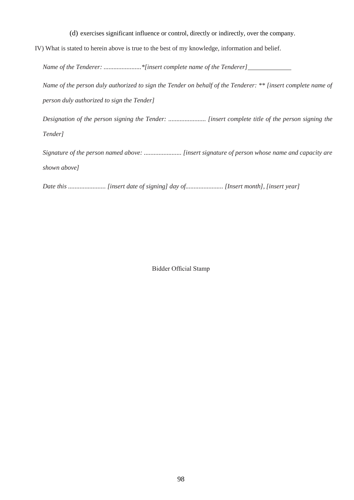- (d) exercises significant influence or control, directly or indirectly, over the company.
- IV) What is stated to herein above is true to the best of my knowledge, information and belief.

*Name of the Tenderer: .......................\*[insert complete name of the Tenderer]*

*Name of the person duly authorized to sign the Tender on behalf of the Tenderer: \*\* [insert complete name of person duly authorized to sign the Tender]*

*Designation of the person signing the Tender: ....................... [insert complete title of the person signing the Tender]*

*Signature of the person named above: ....................... [insert signature of person whose name and capacity are shown above]*

*Date this ....................... [insert date of signing] day of....................... [Insert month], [insert year]*

Bidder Official Stamp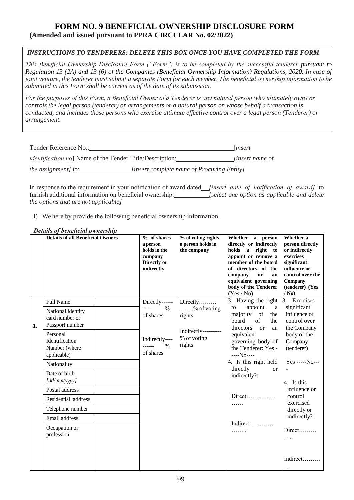# **FORM NO. 9 BENEFICIAL OWNERSHIP DISCLOSURE FORM (Amended and issued pursuant to PPRA CIRCULAR No. 02/2022)**

## *INSTRUCTIONS TO TENDERERS: DELETE THIS BOX ONCE YOU HAVE COMPLETED THE FORM*

*This Beneficial Ownership Disclosure Form ("Form") is to be completed by the successful tenderer pursuant to Regulation 13 (2A) and 13 (6) of the Companies (Beneficial Ownership Information) Regulations, 2020. In case of joint venture, the tenderer must submit a separate Form for each member. The beneficial ownership information to be submitted in this Form shall be current as of the date of its submission.*

*For the purposes of this Form, a Beneficial Owner of a Tenderer is any natural person who ultimately owns or controls the legal person (tenderer) or arrangements or a natural person on whose behalf a transaction is conducted, and includes those persons who exercise ultimate effective control over a legal person (Tenderer) or arrangement.*

| Tender Reference No.:                                            |                                            | <i>linsert</i>         |
|------------------------------------------------------------------|--------------------------------------------|------------------------|
| <i>identification no</i> ] Name of the Tender Title/Description: |                                            | <i>linsert name of</i> |
| <i>the assignment]</i> to:                                       | [insert complete name of Procuring Entity] |                        |

In response to the requirement in your notification of award dated *[insert date of notification of award]* to furnish additional information on beneficial ownership: *[select one option as applicable and delete the options that are not applicable]*

I) We here by provide the following beneficial ownership information.

## *Details of beneficial ownership*

|    | <b>Details of all Beneficial Owners</b>                    | % of shares<br>a person<br>holds in the<br>company<br>Directly or<br>indirectly | % of voting rights<br>a person holds in<br>the company                                           | Whether a person<br>directly or indirectly<br>holds a right to<br>appoint or remove a<br>member of the board<br>of directors of the<br>company<br>or<br>an<br>equivalent governing<br>body of the Tenderer<br>(Yes / No) | Whether a<br>person directly<br>or indirectly<br>exercises<br>significant<br>influence or<br>control over the<br>Company<br>(tenderer) (Yes<br>/ No) |
|----|------------------------------------------------------------|---------------------------------------------------------------------------------|--------------------------------------------------------------------------------------------------|--------------------------------------------------------------------------------------------------------------------------------------------------------------------------------------------------------------------------|------------------------------------------------------------------------------------------------------------------------------------------------------|
|    | <b>Full Name</b>                                           | Directly------                                                                  | Directly                                                                                         | 3. Having the right<br>to                                                                                                                                                                                                | 3. Exercises                                                                                                                                         |
| 1. | National identity<br>card number or<br>Passport number     | $\%$<br>-----<br>of shares<br>Indirectly----<br>$\%$<br>------<br>of shares     | $\ldots \ldots \frac{9}{6}$ of voting<br>rights<br>Indirectly----------<br>% of voting<br>rights | appoint<br>a<br>majority<br>of<br>the<br>board<br>of<br>the<br>directors<br><b>or</b><br>an<br>equivalent<br>governing body of<br>the Tenderer: Yes -<br>$---No---$                                                      | significant<br>influence or<br>control over<br>the Company<br>body of the<br>Company<br>(tenderer)                                                   |
|    | Personal<br>Identification<br>Number (where<br>applicable) |                                                                                 |                                                                                                  |                                                                                                                                                                                                                          |                                                                                                                                                      |
|    | Nationality                                                |                                                                                 |                                                                                                  | 4. Is this right held<br>directly                                                                                                                                                                                        | Yes -----No---                                                                                                                                       |
|    | Date of birth<br>[dd/mm/yyyy]                              |                                                                                 |                                                                                                  | <b>or</b><br>indirectly?:                                                                                                                                                                                                | 4. Is this                                                                                                                                           |
|    | Postal address                                             |                                                                                 |                                                                                                  |                                                                                                                                                                                                                          | influence or                                                                                                                                         |
|    | Residential address                                        |                                                                                 |                                                                                                  | Direct<br>.                                                                                                                                                                                                              | control<br>exercised                                                                                                                                 |
|    | Telephone number                                           |                                                                                 |                                                                                                  |                                                                                                                                                                                                                          | directly or                                                                                                                                          |
|    | Email address                                              |                                                                                 |                                                                                                  | Indirect                                                                                                                                                                                                                 | indirectly?                                                                                                                                          |
|    | Occupation or<br>profession                                |                                                                                 |                                                                                                  | .                                                                                                                                                                                                                        | $Direct$<br>.                                                                                                                                        |
|    |                                                            |                                                                                 |                                                                                                  |                                                                                                                                                                                                                          | Indirect                                                                                                                                             |
|    |                                                            |                                                                                 |                                                                                                  |                                                                                                                                                                                                                          | $\cdots$                                                                                                                                             |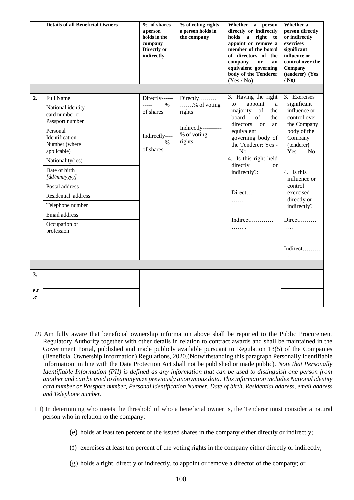|           | <b>Details of all Beneficial Owners</b>                    | % of shares<br>a person<br>holds in the<br>company<br>Directly or<br>indirectly | % of voting rights<br>a person holds in<br>the company                             | Whether a person<br>directly or indirectly<br>holds a right<br>$\mathbf{to}$<br>appoint or remove a<br>member of the board<br>of directors of the<br>company<br><b>or</b><br>an<br>equivalent governing<br>body of the Tenderer<br>(Yes / No) | Whether a<br>person directly<br>or indirectly<br>exercises<br>significant<br>influence or<br>control over the<br>Company<br>(tenderer) (Yes<br>/ No) |
|-----------|------------------------------------------------------------|---------------------------------------------------------------------------------|------------------------------------------------------------------------------------|-----------------------------------------------------------------------------------------------------------------------------------------------------------------------------------------------------------------------------------------------|------------------------------------------------------------------------------------------------------------------------------------------------------|
| 2.        | <b>Full Name</b>                                           | Directly------                                                                  | Directly<br>% of voting<br>rights<br>Indirectly----------<br>% of voting<br>rights | 3. Having the right<br>appoint<br>to<br>a<br>majority<br>of<br>the<br>board<br>of<br>the<br>directors<br><b>or</b><br>an<br>equivalent<br>governing body of<br>the Tenderer: Yes -<br>$---No---$                                              | 3. Exercises<br>significant                                                                                                                          |
|           | National identity<br>card number or<br>Passport number     | -----<br>$\%$<br>of shares                                                      |                                                                                    |                                                                                                                                                                                                                                               | influence or<br>control over<br>the Company<br>body of the<br>Company<br>(tenderer)<br>Yes -----No--                                                 |
|           | Personal<br>Identification<br>Number (where<br>applicable) | Indirectly----<br>$\%$<br>of shares                                             |                                                                                    |                                                                                                                                                                                                                                               |                                                                                                                                                      |
|           | Nationality(ies)                                           |                                                                                 |                                                                                    | 4. Is this right held<br>directly<br><b>or</b>                                                                                                                                                                                                | $\overline{a}$                                                                                                                                       |
|           | Date of birth<br>[dd/mm/yyyy]                              |                                                                                 |                                                                                    | indirectly?:                                                                                                                                                                                                                                  | 4. Is this<br>influence or                                                                                                                           |
|           | Postal address                                             |                                                                                 |                                                                                    |                                                                                                                                                                                                                                               | control<br>exercised                                                                                                                                 |
|           | Residential address                                        |                                                                                 |                                                                                    | .                                                                                                                                                                                                                                             | directly or                                                                                                                                          |
|           | Telephone number                                           |                                                                                 |                                                                                    |                                                                                                                                                                                                                                               | indirectly?                                                                                                                                          |
|           | Email address                                              |                                                                                 |                                                                                    | Indirect                                                                                                                                                                                                                                      | $Direct$                                                                                                                                             |
|           | Occupation or<br>profession                                |                                                                                 |                                                                                    | .                                                                                                                                                                                                                                             | .                                                                                                                                                    |
|           |                                                            |                                                                                 |                                                                                    |                                                                                                                                                                                                                                               | Indirect<br>$\cdots$                                                                                                                                 |
|           |                                                            |                                                                                 |                                                                                    |                                                                                                                                                                                                                                               |                                                                                                                                                      |
| 3.        |                                                            |                                                                                 |                                                                                    |                                                                                                                                                                                                                                               |                                                                                                                                                      |
|           |                                                            |                                                                                 |                                                                                    |                                                                                                                                                                                                                                               |                                                                                                                                                      |
| e.t<br>.c |                                                            |                                                                                 |                                                                                    |                                                                                                                                                                                                                                               |                                                                                                                                                      |
|           |                                                            |                                                                                 |                                                                                    |                                                                                                                                                                                                                                               |                                                                                                                                                      |

- *II)* Am fully aware that beneficial ownership information above shall be reported to the Public Procurement Regulatory Authority together with other details in relation to contract awards and shall be maintained in the Government Portal, published and made publicly available pursuant to Regulation 13(5) of the Companies (Beneficial Ownership Information) Regulations, 2020.(Notwithstanding this paragraph Personally Identifiable Information in line with the Data Protection Act shall not be published or made public). *Note that Personally Identifiable Information (PII) is defined as any information that can be used to distinguish one person from another and can be used to deanonymize previously anonymous data. This information includes National identity card number or Passport number, Personal Identification Number, Date of birth, Residential address, email address and Telephone number.*
- III) In determining who meets the threshold of who a beneficial owner is, the Tenderer must consider a natural person who in relation to the company:
	- (e) holds at least ten percent of the issued shares in the company either directly or indirectly;
	- (f) exercises at least ten percent of the voting rights in the company either directly or indirectly;
	- (g) holds a right, directly or indirectly, to appoint or remove a director of the company; or